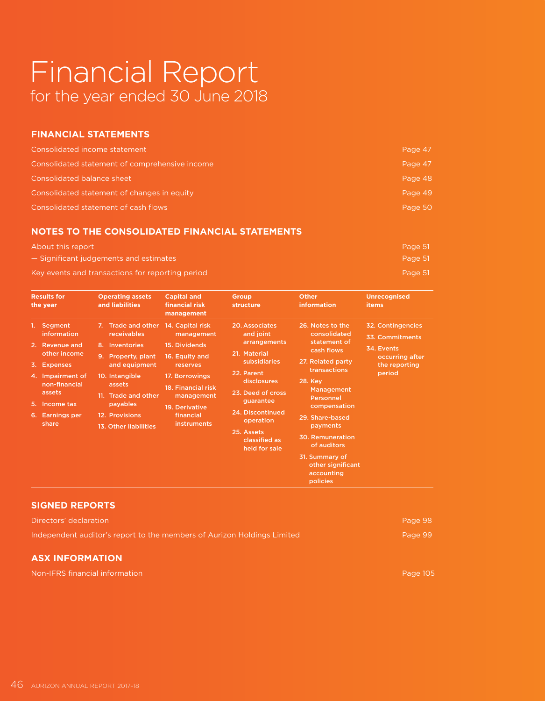# Financial Report for the year ended 30 June 2018

### **FINANCIAL STATEMENTS**

| Consolidated income statement                  | Page 47 |
|------------------------------------------------|---------|
| Consolidated statement of comprehensive income | Page 47 |
| Consolidated balance sheet                     | Page 48 |
| Consolidated statement of changes in equity    | Page 49 |
| Consolidated statement of cash flows           | Page 50 |

### **NOTES TO THE CONSOLIDATED FINANCIAL STATEMENTS**

| About this report | Page 51 |
|-------------------|---------|
|                   |         |

— Significant judgements and estimates Page 51 and the extreme of the extreme of the extreme of the extreme of the extreme of the extreme of the extreme of the extreme of the extreme of the extreme of the extreme of the ex

Key events and transactions for reporting period **Page 10** According to Page 51 According Page 51 According to Page 51 According to Page 51 According to Page 51 According to Page 51 According to Page 51 According to Page 5

| <b>Results for</b><br>the year                                                                                                                                                                       | <b>Operating assets</b><br>and liabilities                                                                                                                                                                  | <b>Capital and</b><br>financial risk<br>management                                                                                                                                       | <b>Group</b><br>structure                                                                                                                                                                                                          | <b>Other</b><br><b>information</b>                                                                                                                                                                                                                                                                                       | <b>Unrecognised</b><br><b>items</b>                                                              |
|------------------------------------------------------------------------------------------------------------------------------------------------------------------------------------------------------|-------------------------------------------------------------------------------------------------------------------------------------------------------------------------------------------------------------|------------------------------------------------------------------------------------------------------------------------------------------------------------------------------------------|------------------------------------------------------------------------------------------------------------------------------------------------------------------------------------------------------------------------------------|--------------------------------------------------------------------------------------------------------------------------------------------------------------------------------------------------------------------------------------------------------------------------------------------------------------------------|--------------------------------------------------------------------------------------------------|
| Segment<br>information<br><b>Revenue and</b><br>2.<br>other income<br>3.<br><b>Expenses</b><br>4. Impairment of<br>non-financial<br>assets<br>Income tax<br>5.<br>6.<br><b>Earnings per</b><br>share | 7. Trade and other<br>receivables<br>8. Inventories<br>9. Property, plant<br>and equipment<br>10. Intangible<br>assets<br>11. Trade and other<br>payables<br>12. Provisions<br><b>13. Other liabilities</b> | 14. Capital risk<br>management<br>15. Dividends<br>16. Equity and<br>reserves<br>17. Borrowings<br>18. Financial risk<br>management<br>19. Derivative<br>financial<br><b>instruments</b> | 20. Associates<br>and joint<br>arrangements<br>21. Material<br>subsidiaries<br>22. Parent<br><b>disclosures</b><br>23. Deed of cross<br>guarantee<br>24. Discontinued<br>operation<br>25. Assets<br>classified as<br>held for sale | 26. Notes to the<br>consolidated<br>statement of<br>cash flows<br>27. Related party<br>transactions<br><b>28. Key</b><br><b>Management</b><br><b>Personnel</b><br>compensation<br>29. Share-based<br>payments<br><b>30. Remuneration</b><br>of auditors<br>31. Summary of<br>other significant<br>accounting<br>policies | 32. Contingencies<br>33. Commitments<br>34. Events<br>occurring after<br>the reporting<br>period |

### **SIGNED REPORTS**

| Directors' declaration                                                  | Page 98 |
|-------------------------------------------------------------------------|---------|
| Independent auditor's report to the members of Aurizon Holdings Limited | Page 99 |
| <b>ASX INFORMATION</b>                                                  |         |

Non-IFRS financial information Page 105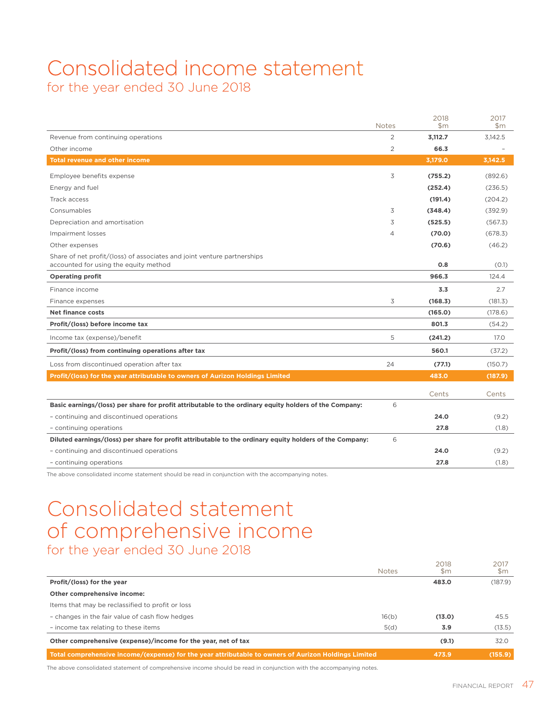## Consolidated income statement for the year ended 30 June 2018

|                                                                                                                  | <b>Notes</b>   | 2018<br>$\mathsf{Sm}$ | 2017<br>$\mathsf{Sm}$ |
|------------------------------------------------------------------------------------------------------------------|----------------|-----------------------|-----------------------|
| Revenue from continuing operations                                                                               | $\overline{2}$ | 3,112.7               | 3,142.5               |
| Other income                                                                                                     | $\overline{2}$ | 66.3                  |                       |
| <b>Total revenue and other income</b>                                                                            |                | 3,179.0               | 3,142.5               |
| Employee benefits expense                                                                                        | 3              | (755.2)               | (892.6)               |
| Energy and fuel                                                                                                  |                | (252.4)               | (236.5)               |
| Track access                                                                                                     |                |                       |                       |
|                                                                                                                  |                | (191.4)               | (204.2)               |
| Consumables                                                                                                      | 3              | (348.4)               | (392.9)               |
| Depreciation and amortisation                                                                                    | 3              | (525.5)               | (567.3)               |
| Impairment losses                                                                                                | $\overline{4}$ | (70.0)                | (678.3)               |
| Other expenses                                                                                                   |                | (70.6)                | (46.2)                |
| Share of net profit/(loss) of associates and joint venture partnerships<br>accounted for using the equity method |                | 0.8                   | (0.1)                 |
| <b>Operating profit</b>                                                                                          |                | 966.3                 | 124.4                 |
| Finance income                                                                                                   |                | 3.3                   | 2.7                   |
| Finance expenses                                                                                                 | 3              | (168.3)               | (181.3)               |
| Net finance costs                                                                                                |                | (165.0)               | (178.6)               |
| Profit/(loss) before income tax                                                                                  |                | 801.3                 | (54.2)                |
| Income tax (expense)/benefit                                                                                     | 5              | (241.2)               | 17.0                  |
| Profit/(loss) from continuing operations after tax                                                               |                | 560.1                 | (37.2)                |
| Loss from discontinued operation after tax                                                                       | 24             | (77.1)                | (150.7)               |
| Profit/(loss) for the year attributable to owners of Aurizon Holdings Limited                                    |                | 483.0                 | (187.9)               |
|                                                                                                                  |                | Cents                 | Cents                 |
| Basic earnings/(loss) per share for profit attributable to the ordinary equity holders of the Company:           | 6              |                       |                       |
| - continuing and discontinued operations                                                                         |                | 24.0                  | (9.2)                 |
| - continuing operations                                                                                          |                | 27.8                  | (1.8)                 |
| Diluted earnings/(loss) per share for profit attributable to the ordinary equity holders of the Company:         | 6              |                       |                       |
| - continuing and discontinued operations                                                                         |                | 24.0                  | (9.2)                 |
| - continuing operations                                                                                          |                | 27.8                  | (1.8)                 |

The above consolidated income statement should be read in conjunction with the accompanying notes.

## Consolidated statement of comprehensive income for the year ended 30 June 2018

| Total comprehensive income/(expense) for the year attributable to owners of Aurizon Holdings Limited |              | 473.9       | (155.9)     |
|------------------------------------------------------------------------------------------------------|--------------|-------------|-------------|
| Other comprehensive (expense)/income for the year, net of tax                                        |              | (9.1)       | 32.0        |
| - income tax relating to these items                                                                 | 5(d)         | 3.9         | (13.5)      |
| - changes in the fair value of cash flow hedges                                                      | 16(b)        | (13.0)      | 45.5        |
| Items that may be reclassified to profit or loss                                                     |              |             |             |
| Other comprehensive income:                                                                          |              |             |             |
| Profit/(loss) for the year                                                                           |              | 483.0       | (187.9)     |
|                                                                                                      | <b>Notes</b> | 2018<br>\$m | 2017<br>\$m |

The above consolidated statement of comprehensive income should be read in conjunction with the accompanying notes.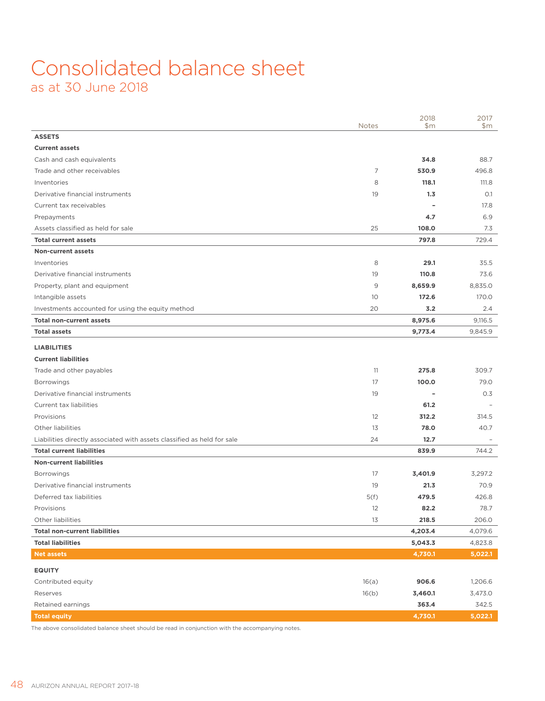## Consolidated balance sheet as at 30 June 2018

|                                                                         | <b>Notes</b> | 2018<br>\$m              | 2017<br>\$m\$ |
|-------------------------------------------------------------------------|--------------|--------------------------|---------------|
| <b>ASSETS</b>                                                           |              |                          |               |
| <b>Current assets</b>                                                   |              |                          |               |
| Cash and cash equivalents                                               |              | 34.8                     | 88.7          |
| Trade and other receivables                                             | 7            | 530.9                    | 496.8         |
| Inventories                                                             | 8            | 118.1                    | 111.8         |
| Derivative financial instruments                                        | 19           | 1,3                      | O.1           |
| Current tax receivables                                                 |              | ٠                        | 17.8          |
| Prepayments                                                             |              | 4.7                      | 6.9           |
| Assets classified as held for sale                                      | 25           | 108.0                    | 7.3           |
| <b>Total current assets</b>                                             |              | 797.8                    | 729.4         |
| <b>Non-current assets</b>                                               |              |                          |               |
| Inventories                                                             | 8            | 29.1                     | 35.5          |
| Derivative financial instruments                                        | 19           | 110.8                    | 73.6          |
| Property, plant and equipment                                           | 9            | 8,659.9                  | 8,835.0       |
| Intangible assets                                                       | 10           | 172.6                    | 170.0         |
| Investments accounted for using the equity method                       | 20           | 3.2                      | 2.4           |
| <b>Total non-current assets</b>                                         |              | 8,975.6                  | 9,116.5       |
| <b>Total assets</b>                                                     |              | 9,773.4                  | 9,845.9       |
| <b>LIABILITIES</b>                                                      |              |                          |               |
| <b>Current liabilities</b>                                              |              |                          |               |
| Trade and other payables                                                | 11           | 275.8                    | 309.7         |
| <b>Borrowings</b>                                                       | 17           | 100.0                    | 79.0          |
| Derivative financial instruments                                        | 19           | $\overline{\phantom{a}}$ | 0.3           |
| Current tax liabilities                                                 |              | 61.2                     |               |
| Provisions                                                              | 12           | 312.2                    | 314.5         |
| Other liabilities                                                       | 13           | 78.0                     | 40.7          |
| Liabilities directly associated with assets classified as held for sale | 24           | 12.7                     |               |
| <b>Total current liabilities</b>                                        |              | 839.9                    | 744.2         |
| <b>Non-current liabilities</b>                                          |              |                          |               |
| <b>Borrowings</b>                                                       | 17           | 3,401.9                  | 3,297.2       |
| Derivative financial instruments                                        | 19           | 21.3                     | 70.9          |
| Deferred tax liabilities                                                | 5(f)         | 479.5                    | 426.8         |
| Provisions                                                              | 12           | 82.2                     | 78.7          |
| Other liabilities                                                       | 13           | 218.5                    | 206.0         |
| <b>Total non-current liabilities</b>                                    |              | 4,203.4                  | 4,079.6       |
| <b>Total liabilities</b>                                                |              | 5,043.3                  | 4,823.8       |
| <b>Net assets</b>                                                       |              | 4,730.1                  | 5,022.1       |
| <b>EQUITY</b>                                                           |              |                          |               |
| Contributed equity                                                      | 16(a)        | 906.6                    | 1,206.6       |
| Reserves                                                                | 16(b)        | 3,460.1                  | 3,473.0       |
| Retained earnings                                                       |              | 363.4                    | 342.5         |
| <b>Total equity</b>                                                     |              | 4,730.1                  | 5,022.1       |

The above consolidated balance sheet should be read in conjunction with the accompanying notes.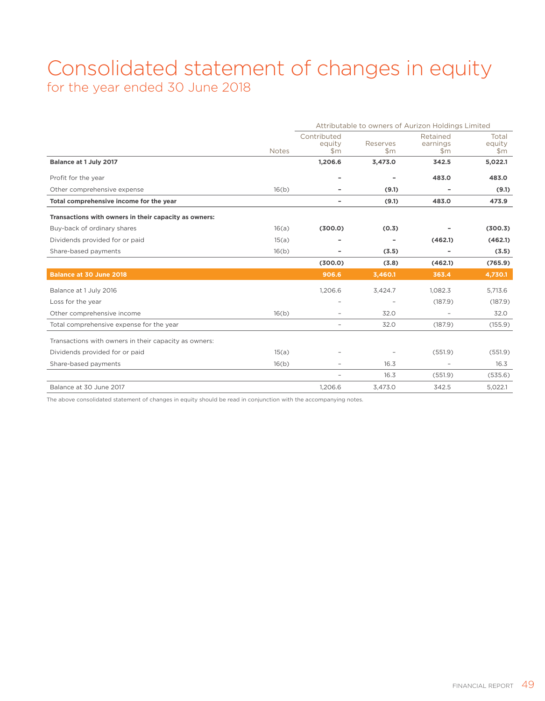## Consolidated statement of changes in equity for the year ended 30 June 2018

|                                                       |              | Attributable to owners of Aurizon Holdings Limited |                   |                                       |                          |
|-------------------------------------------------------|--------------|----------------------------------------------------|-------------------|---------------------------------------|--------------------------|
|                                                       | <b>Notes</b> | Contributed<br>equity<br>\$m                       | Reserves<br>\$m\$ | Retained<br>earnings<br>$\mathsf{Sm}$ | Total<br>equity<br>\$m\$ |
| Balance at 1 July 2017                                |              | 1,206.6                                            | 3,473.0           | 342.5                                 | 5,022.1                  |
| Profit for the year                                   |              | $\overline{\phantom{a}}$                           |                   | 483.0                                 | 483.0                    |
| Other comprehensive expense                           | 16(b)        | ۰                                                  | (9.1)             | ۰                                     | (9.1)                    |
| Total comprehensive income for the year               |              | ۰                                                  | (9.1)             | 483.0                                 | 473.9                    |
| Transactions with owners in their capacity as owners: |              |                                                    |                   |                                       |                          |
| Buy-back of ordinary shares                           | 16(a)        | (300.0)                                            | (0.3)             |                                       | (300.3)                  |
| Dividends provided for or paid                        | 15(a)        |                                                    |                   | (462.1)                               | (462.1)                  |
| Share-based payments                                  | 16(b)        |                                                    | (3.5)             |                                       | (3.5)                    |
|                                                       |              | (300.0)                                            | (3.8)             | (462.1)                               | (765.9)                  |
| <b>Balance at 30 June 2018</b>                        |              | 906.6                                              | 3,460.1           | 363.4                                 | 4,730.1                  |
| Balance at 1 July 2016                                |              | 1.206.6                                            | 3,424.7           | 1.082.3                               | 5,713.6                  |
| Loss for the year                                     |              | $\overline{\phantom{0}}$                           |                   | (187.9)                               | (187.9)                  |
| Other comprehensive income                            | 16(b)        |                                                    | 32.0              |                                       | 32.0                     |
| Total comprehensive expense for the year              |              | $\overline{\phantom{0}}$                           | 32.0              | (187.9)                               | (155.9)                  |
| Transactions with owners in their capacity as owners: |              |                                                    |                   |                                       |                          |
| Dividends provided for or paid                        | 15(a)        |                                                    |                   | (551.9)                               | (551.9)                  |
| Share-based payments                                  | 16(b)        |                                                    | 16.3              | $\qquad \qquad -$                     | 16.3                     |
|                                                       |              |                                                    | 16.3              | (551.9)                               | (535.6)                  |
| Balance at 30 June 2017                               |              | 1,206.6                                            | 3,473.0           | 342.5                                 | 5,022.1                  |

The above consolidated statement of changes in equity should be read in conjunction with the accompanying notes.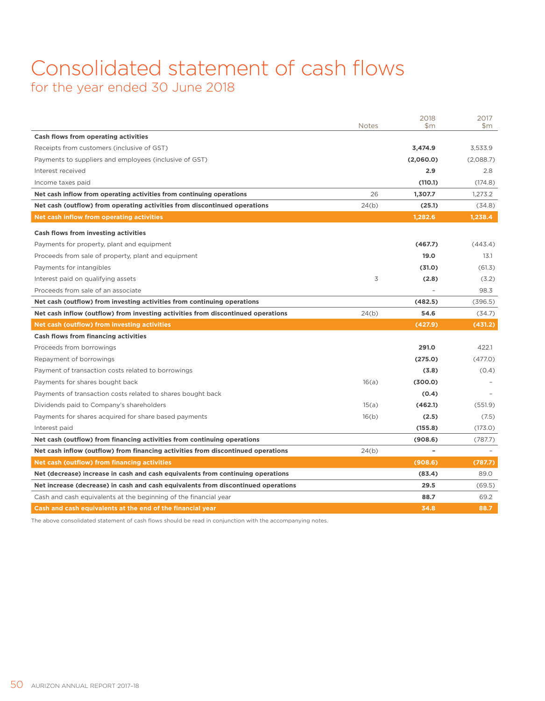## Consolidated statement of cash flows for the year ended 30 June 2018

|                                                                                   | <b>Notes</b> | 2018<br>\$m              | 2017<br>\$m |
|-----------------------------------------------------------------------------------|--------------|--------------------------|-------------|
| Cash flows from operating activities                                              |              |                          |             |
| Receipts from customers (inclusive of GST)                                        |              | 3,474.9                  | 3.533.9     |
| Payments to suppliers and employees (inclusive of GST)                            |              | (2,060.0)                | (2,088.7)   |
| Interest received                                                                 |              | 2.9                      | 2.8         |
| Income taxes paid                                                                 |              | (110.1)                  | (174.8)     |
| Net cash inflow from operating activities from continuing operations              | 26           | 1,307.7                  | 1.273.2     |
| Net cash (outflow) from operating activities from discontinued operations         | 24(b)        | (25.1)                   | (34.8)      |
| <b>Net cash inflow from operating activities</b>                                  |              | 1,282.6                  | 1,238.4     |
| Cash flows from investing activities                                              |              |                          |             |
| Payments for property, plant and equipment                                        |              | (467.7)                  | (443.4)     |
| Proceeds from sale of property, plant and equipment                               |              | 19.0                     | 13.1        |
| Payments for intangibles                                                          |              | (31.0)                   | (61.3)      |
| Interest paid on qualifying assets                                                | 3            | (2.8)                    | (3.2)       |
| Proceeds from sale of an associate                                                |              |                          | 98.3        |
| Net cash (outflow) from investing activities from continuing operations           |              | (482.5)                  | (396.5)     |
| Net cash inflow (outflow) from investing activities from discontinued operations  | 24(b)        | 54.6                     | (34.7)      |
| Net cash (outflow) from investing activities                                      |              | (427.9)                  | (431.2)     |
| <b>Cash flows from financing activities</b>                                       |              |                          |             |
| Proceeds from borrowings                                                          |              | 291.0                    | 422.1       |
| Repayment of borrowings                                                           |              | (275.0)                  | (477.0)     |
| Payment of transaction costs related to borrowings                                |              | (3.8)                    | (0.4)       |
| Payments for shares bought back                                                   | 16(a)        | (300.0)                  |             |
| Payments of transaction costs related to shares bought back                       |              | (0.4)                    |             |
| Dividends paid to Company's shareholders                                          | 15(a)        | (462.1)                  | (551.9)     |
| Payments for shares acquired for share based payments                             | 16(b)        | (2.5)                    | (7.5)       |
| Interest paid                                                                     |              | (155.8)                  | (173.0)     |
| Net cash (outflow) from financing activities from continuing operations           |              | (908.6)                  | (787.7)     |
| Net cash inflow (outflow) from financing activities from discontinued operations  | 24(b)        | $\overline{\phantom{a}}$ |             |
| Net cash (outflow) from financing activities                                      |              | (908.6)                  | (787.7)     |
| Net (decrease) increase in cash and cash equivalents from continuing operations   |              | (83.4)                   | 89.0        |
| Net increase (decrease) in cash and cash equivalents from discontinued operations |              | 29.5                     | (69.5)      |
| Cash and cash equivalents at the beginning of the financial year                  |              | 88.7                     | 69.2        |
| Cash and cash equivalents at the end of the financial year                        |              | 34.8                     | 88.7        |

The above consolidated statement of cash flows should be read in conjunction with the accompanying notes.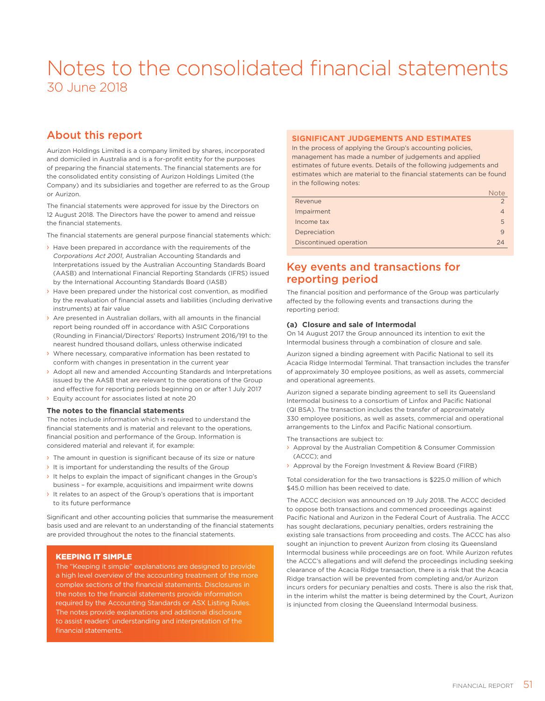## Notes to the consolidated financial statements 30 June 2018

### About this report

Aurizon Holdings Limited is a company limited by shares, incorporated and domiciled in Australia and is a for-profit entity for the purposes of preparing the financial statements. The financial statements are for the consolidated entity consisting of Aurizon Holdings Limited (the Company) and its subsidiaries and together are referred to as the Group or Aurizon.

The financial statements were approved for issue by the Directors on 12 August 2018. The Directors have the power to amend and reissue the financial statements.

The financial statements are general purpose financial statements which:

- › Have been prepared in accordance with the requirements of the *Corporations Act 2001*, Australian Accounting Standards and Interpretations issued by the Australian Accounting Standards Board (AASB) and International Financial Reporting Standards (IFRS) issued by the International Accounting Standards Board (IASB)
- › Have been prepared under the historical cost convention, as modified by the revaluation of financial assets and liabilities (including derivative instruments) at fair value
- › Are presented in Australian dollars, with all amounts in the financial report being rounded off in accordance with ASIC Corporations (Rounding in Financial/Directors' Reports) Instrument 2016/191 to the nearest hundred thousand dollars, unless otherwise indicated
- › Where necessary, comparative information has been restated to conform with changes in presentation in the current year
- › Adopt all new and amended Accounting Standards and Interpretations issued by the AASB that are relevant to the operations of the Group and effective for reporting periods beginning on or after 1 July 2017
- › Equity account for associates listed at note 20

### **The notes to the financial statements**

The notes include information which is required to understand the financial statements and is material and relevant to the operations, financial position and performance of the Group. Information is considered material and relevant if, for example:

- The amount in question is significant because of its size or nature
- $\rightarrow$  It is important for understanding the results of the Group
- › It helps to explain the impact of significant changes in the Group's business – for example, acquisitions and impairment write downs
- › It relates to an aspect of the Group's operations that is important to its future performance

Significant and other accounting policies that summarise the measurement basis used and are relevant to an understanding of the financial statements are provided throughout the notes to the financial statements.

### KEEPING IT SIMPLE

The "Keeping it simple" explanations are designed to provide a high level overview of the accounting treatment of the more complex sections of the financial statements. Disclosures in the notes to the financial statements provide information required by the Accounting Standards or ASX Listing Rules. The notes provide explanations and additional disclosure to assist readers' understanding and interpretation of the financial statements.

### **SIGNIFICANT JUDGEMENTS AND ESTIMATES**

In the process of applying the Group's accounting policies, management has made a number of judgements and applied estimates of future events. Details of the following judgements and estimates which are material to the financial statements can be found in the following notes:

|                        | <b>Note</b> |
|------------------------|-------------|
| Revenue                |             |
| Impairment             |             |
| Income tax             | 5           |
| Depreciation           | 9           |
| Discontinued operation | 24          |

### Key events and transactions for reporting period

The financial position and performance of the Group was particularly affected by the following events and transactions during the reporting period:

### **(a) Closure and sale of Intermodal**

On 14 August 2017 the Group announced its intention to exit the Intermodal business through a combination of closure and sale.

Aurizon signed a binding agreement with Pacific National to sell its Acacia Ridge Intermodal Terminal. That transaction includes the transfer of approximately 30 employee positions, as well as assets, commercial and operational agreements.

Aurizon signed a separate binding agreement to sell its Queensland Intermodal business to a consortium of Linfox and Pacific National (QI BSA). The transaction includes the transfer of approximately 330 employee positions, as well as assets, commercial and operational arrangements to the Linfox and Pacific National consortium.

The transactions are subject to:

- › Approval by the Australian Competition & Consumer Commission (ACCC); and
- › Approval by the Foreign Investment & Review Board (FIRB)

Total consideration for the two transactions is \$225.0 million of which \$45.0 million has been received to date.

The ACCC decision was announced on 19 July 2018. The ACCC decided to oppose both transactions and commenced proceedings against Pacific National and Aurizon in the Federal Court of Australia. The ACCC has sought declarations, pecuniary penalties, orders restraining the existing sale transactions from proceeding and costs. The ACCC has also sought an injunction to prevent Aurizon from closing its Queensland Intermodal business while proceedings are on foot. While Aurizon refutes the ACCC's allegations and will defend the proceedings including seeking clearance of the Acacia Ridge transaction, there is a risk that the Acacia Ridge transaction will be prevented from completing and/or Aurizon incurs orders for pecuniary penalties and costs. There is also the risk that, in the interim whilst the matter is being determined by the Court, Aurizon is injuncted from closing the Queensland Intermodal business.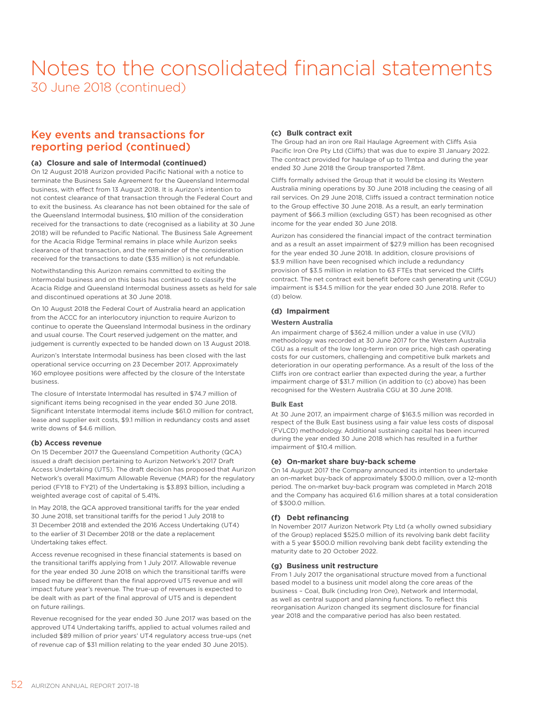### Key events and transactions for reporting period (continued)

### **(a) Closure and sale of Intermodal (continued)**

On 12 August 2018 Aurizon provided Pacific National with a notice to terminate the Business Sale Agreement for the Queensland Intermodal business, with effect from 13 August 2018. It is Aurizon's intention to not contest clearance of that transaction through the Federal Court and to exit the business. As clearance has not been obtained for the sale of the Queensland Intermodal business, \$10 million of the consideration received for the transactions to date (recognised as a liability at 30 June 2018) will be refunded to Pacific National. The Business Sale Agreement for the Acacia Ridge Terminal remains in place while Aurizon seeks clearance of that transaction, and the remainder of the consideration received for the transactions to date (\$35 million) is not refundable.

Notwithstanding this Aurizon remains committed to exiting the Intermodal business and on this basis has continued to classify the Acacia Ridge and Queensland Intermodal business assets as held for sale and discontinued operations at 30 June 2018.

On 10 August 2018 the Federal Court of Australia heard an application from the ACCC for an interlocutory injunction to require Aurizon to continue to operate the Queensland Intermodal business in the ordinary and usual course. The Court reserved judgement on the matter, and judgement is currently expected to be handed down on 13 August 2018.

Aurizon's Interstate Intermodal business has been closed with the last operational service occurring on 23 December 2017. Approximately 160 employee positions were affected by the closure of the Interstate business.

The closure of Interstate Intermodal has resulted in \$74.7 million of significant items being recognised in the year ended 30 June 2018. Significant Interstate Intermodal items include \$61.0 million for contract, lease and supplier exit costs, \$9.1 million in redundancy costs and asset write downs of \$4.6 million.

### **(b) Access revenue**

On 15 December 2017 the Queensland Competition Authority (QCA) issued a draft decision pertaining to Aurizon Network's 2017 Draft Access Undertaking (UT5). The draft decision has proposed that Aurizon Network's overall Maximum Allowable Revenue (MAR) for the regulatory period (FY18 to FY21) of the Undertaking is \$3.893 billion, including a weighted average cost of capital of 5.41%.

In May 2018, the QCA approved transitional tariffs for the year ended 30 June 2018, set transitional tariffs for the period 1 July 2018 to 31 December 2018 and extended the 2016 Access Undertaking (UT4) to the earlier of 31 December 2018 or the date a replacement Undertaking takes effect.

Access revenue recognised in these financial statements is based on the transitional tariffs applying from 1 July 2017. Allowable revenue for the year ended 30 June 2018 on which the transitional tariffs were based may be different than the final approved UT5 revenue and will impact future year's revenue. The true-up of revenues is expected to be dealt with as part of the final approval of UT5 and is dependent on future railings.

Revenue recognised for the year ended 30 June 2017 was based on the approved UT4 Undertaking tariffs, applied to actual volumes railed and included \$89 million of prior years' UT4 regulatory access true-ups (net of revenue cap of \$31 million relating to the year ended 30 June 2015).

### **(c) Bulk contract exit**

The Group had an iron ore Rail Haulage Agreement with Cliffs Asia Pacific Iron Ore Pty Ltd (Cliffs) that was due to expire 31 January 2022. The contract provided for haulage of up to 11mtpa and during the year ended 30 June 2018 the Group transported 7.8mt.

Cliffs formally advised the Group that it would be closing its Western Australia mining operations by 30 June 2018 including the ceasing of all rail services. On 29 June 2018, Cliffs issued a contract termination notice to the Group effective 30 June 2018. As a result, an early termination payment of \$66.3 million (excluding GST) has been recognised as other income for the year ended 30 June 2018.

Aurizon has considered the financial impact of the contract termination and as a result an asset impairment of \$27.9 million has been recognised for the year ended 30 June 2018. In addition, closure provisions of \$3.9 million have been recognised which include a redundancy provision of \$3.5 million in relation to 63 FTEs that serviced the Cliffs contract. The net contract exit benefit before cash generating unit (CGU) impairment is \$34.5 million for the year ended 30 June 2018. Refer to (d) below.

### **(d) Impairment**

### **Western Australia**

An impairment charge of \$362.4 million under a value in use (VIU) methodology was recorded at 30 June 2017 for the Western Australia CGU as a result of the low long-term iron ore price, high cash operating costs for our customers, challenging and competitive bulk markets and deterioration in our operating performance. As a result of the loss of the Cliffs iron ore contract earlier than expected during the year, a further impairment charge of \$31.7 million (in addition to (c) above) has been recognised for the Western Australia CGU at 30 June 2018.

### **Bulk East**

At 30 June 2017, an impairment charge of \$163.5 million was recorded in respect of the Bulk East business using a fair value less costs of disposal (FVLCD) methodology. Additional sustaining capital has been incurred during the year ended 30 June 2018 which has resulted in a further impairment of \$10.4 million.

### **(e) On-market share buy-back scheme**

On 14 August 2017 the Company announced its intention to undertake an on-market buy-back of approximately \$300.0 million, over a 12-month period. The on-market buy-back program was completed in March 2018 and the Company has acquired 61.6 million shares at a total consideration of \$300.0 million.

#### **(f) Debt refinancing**

In November 2017 Aurizon Network Pty Ltd (a wholly owned subsidiary of the Group) replaced \$525.0 million of its revolving bank debt facility with a 5 year \$500.0 million revolving bank debt facility extending the maturity date to 20 October 2022.

### **(g) Business unit restructure**

From 1 July 2017 the organisational structure moved from a functional based model to a business unit model along the core areas of the business – Coal, Bulk (including Iron Ore), Network and Intermodal, as well as central support and planning functions. To reflect this reorganisation Aurizon changed its segment disclosure for financial year 2018 and the comparative period has also been restated.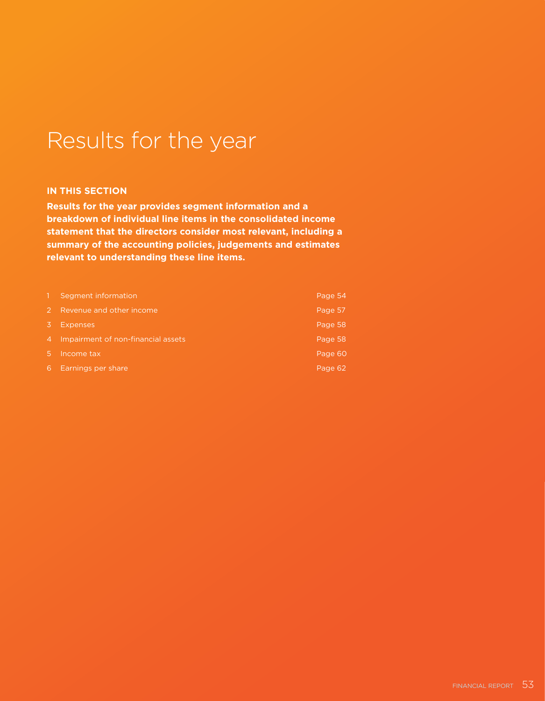# Results for the year

### **IN THIS SECTION**

**Results for the year provides segment information and a breakdown of individual line items in the consolidated income statement that the directors consider most relevant, including a summary of the accounting policies, judgements and estimates relevant to understanding these line items.**

|                | Segment information                | Page 54 |
|----------------|------------------------------------|---------|
| $\mathcal{P}$  | Revenue and other income           | Page 57 |
| 3.             | <b>Expenses</b>                    | Page 58 |
| $\overline{4}$ | Impairment of non-financial assets | Page 58 |
| <b>T5 N</b>    | Income tax                         | Page 60 |
| 6              | Earnings per share                 | Page 62 |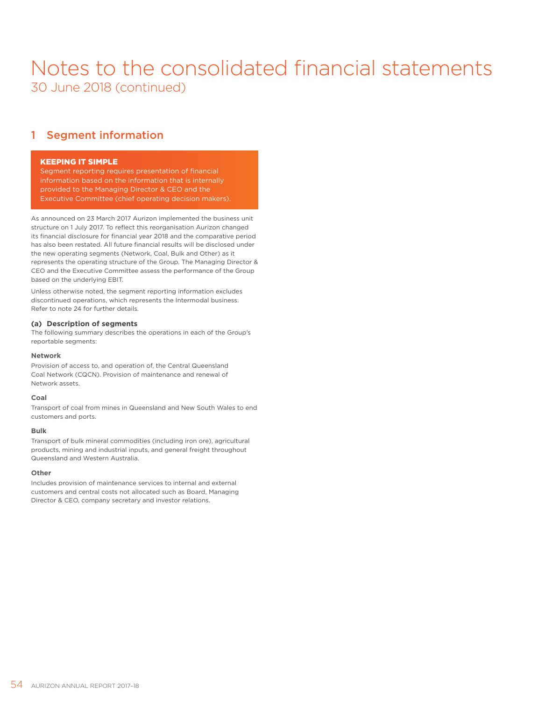### 1 Segment information

### KEEPING IT SIMPLE

Segment reporting requires presentation of financial information based on the information that is internally provided to the Managing Director & CEO and the Executive Committee (chief operating decision makers).

As announced on 23 March 2017 Aurizon implemented the business unit structure on 1 July 2017. To reflect this reorganisation Aurizon changed its financial disclosure for financial year 2018 and the comparative period has also been restated. All future financial results will be disclosed under the new operating segments (Network, Coal, Bulk and Other) as it represents the operating structure of the Group. The Managing Director & CEO and the Executive Committee assess the performance of the Group based on the underlying EBIT.

Unless otherwise noted, the segment reporting information excludes discontinued operations, which represents the Intermodal business. Refer to note 24 for further details.

### **(a) Description of segments**

The following summary describes the operations in each of the Group's reportable segments:

#### **Network**

Provision of access to, and operation of, the Central Queensland Coal Network (CQCN). Provision of maintenance and renewal of Network assets.

#### **Coal**

Transport of coal from mines in Queensland and New South Wales to end customers and ports.

### **Bulk**

Transport of bulk mineral commodities (including iron ore), agricultural products, mining and industrial inputs, and general freight throughout Queensland and Western Australia.

#### **Other**

Includes provision of maintenance services to internal and external customers and central costs not allocated such as Board, Managing Director & CEO, company secretary and investor relations.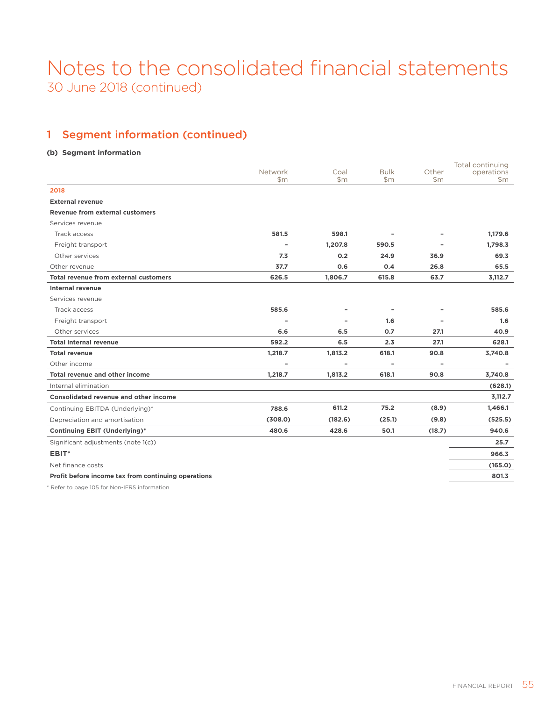### 1 Segment information (continued)

### **(b) Segment information**

|                                                     | Network | Coal    | <b>Bulk</b> | Other                    | Total continuing<br>operations |
|-----------------------------------------------------|---------|---------|-------------|--------------------------|--------------------------------|
|                                                     | \$m     | \$m     | \$m         | \$m                      | \$m\$                          |
| 2018                                                |         |         |             |                          |                                |
| <b>External revenue</b>                             |         |         |             |                          |                                |
| <b>Revenue from external customers</b>              |         |         |             |                          |                                |
| Services revenue                                    |         |         |             |                          |                                |
| Track access                                        | 581.5   | 598.1   |             |                          | 1,179.6                        |
| Freight transport                                   |         | 1,207.8 | 590.5       |                          | 1,798.3                        |
| Other services                                      | 7.3     | 0.2     | 24.9        | 36.9                     | 69.3                           |
| Other revenue                                       | 37.7    | 0.6     | 0.4         | 26.8                     | 65.5                           |
| <b>Total revenue from external customers</b>        | 626.5   | 1,806.7 | 615.8       | 63.7                     | 3,112.7                        |
| <b>Internal revenue</b>                             |         |         |             |                          |                                |
| Services revenue                                    |         |         |             |                          |                                |
| Track access                                        | 585.6   |         |             |                          | 585.6                          |
| Freight transport                                   |         |         | 1.6         |                          | 1.6                            |
| Other services                                      | 6.6     | 6.5     | 0.7         | 27.1                     | 40.9                           |
| <b>Total internal revenue</b>                       | 592.2   | 6.5     | 2.3         | 27.1                     | 628.1                          |
| <b>Total revenue</b>                                | 1,218.7 | 1,813.2 | 618.1       | 90.8                     | 3,740.8                        |
| Other income                                        | ۰       |         | ۰           | $\overline{\phantom{a}}$ |                                |
| Total revenue and other income                      | 1,218.7 | 1,813.2 | 618.1       | 90.8                     | 3,740.8                        |
| Internal elimination                                |         |         |             |                          | (628.1)                        |
| <b>Consolidated revenue and other income</b>        |         |         |             |                          | 3,112.7                        |
| Continuing EBITDA (Underlying)*                     | 788.6   | 611.2   | 75.2        | (8.9)                    | 1,466.1                        |
| Depreciation and amortisation                       | (308.0) | (182.6) | (25.1)      | (9.8)                    | (525.5)                        |
| <b>Continuing EBIT (Underlying)*</b>                | 480.6   | 428.6   | 50.1        | (18.7)                   | 940.6                          |
| Significant adjustments (note 1(c))                 |         |         |             |                          | 25.7                           |
| EBIT*                                               |         |         |             |                          | 966.3                          |
| Net finance costs                                   |         |         |             |                          | (165.0)                        |
| Profit before income tax from continuing operations |         |         |             |                          | 801.3                          |
|                                                     |         |         |             |                          |                                |

\* Refer to page 105 for Non-IFRS information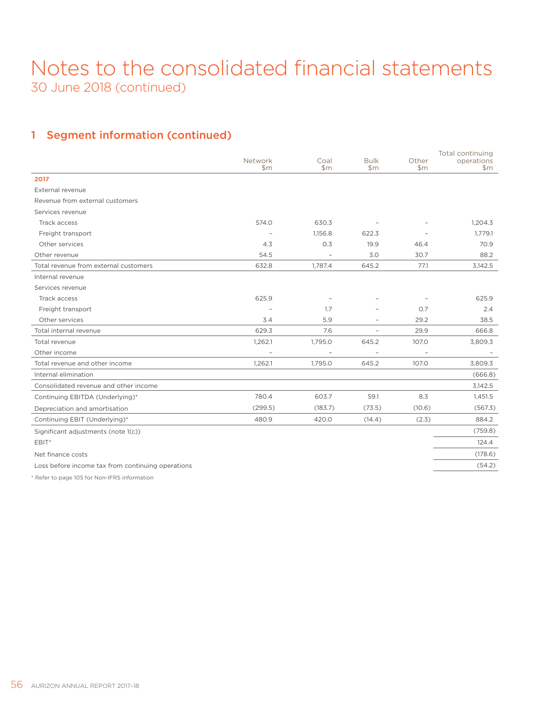### 1 Segment information (continued)

|                                                   | Network | Coal    | <b>Bulk</b>    | Other  | Total continuing<br>operations |
|---------------------------------------------------|---------|---------|----------------|--------|--------------------------------|
|                                                   | \$m     | \$m\$   | \$m\$          | \$m    | $\mathsf{Sm}$                  |
| 2017                                              |         |         |                |        |                                |
| External revenue                                  |         |         |                |        |                                |
| Revenue from external customers                   |         |         |                |        |                                |
| Services revenue                                  |         |         |                |        |                                |
| Track access                                      | 574.0   | 630.3   |                |        | 1.204.3                        |
| Freight transport                                 |         | 1,156.8 | 622.3          |        | 1,779.1                        |
| Other services                                    | 4.3     | 0.3     | 19.9           | 46.4   | 70.9                           |
| Other revenue                                     | 54.5    |         | 3.0            | 30.7   | 88.2                           |
| Total revenue from external customers             | 632.8   | 1,787.4 | 645.2          | 77.1   | 3,142.5                        |
| Internal revenue                                  |         |         |                |        |                                |
| Services revenue                                  |         |         |                |        |                                |
| Track access                                      | 625.9   |         |                |        | 625.9                          |
| Freight transport                                 |         | 1.7     |                | 0.7    | 2.4                            |
| Other services                                    | 3.4     | 5.9     |                | 29.2   | 38.5                           |
| Total internal revenue                            | 629.3   | 7.6     | $\overline{a}$ | 29.9   | 666.8                          |
| Total revenue                                     | 1,262.1 | 1,795.0 | 645.2          | 107.0  | 3,809.3                        |
| Other income                                      |         |         |                |        |                                |
| Total revenue and other income                    | 1,262.1 | 1,795.0 | 645.2          | 107.0  | 3,809.3                        |
| Internal elimination                              |         |         |                |        | (666.8)                        |
| Consolidated revenue and other income             |         |         |                |        | 3,142.5                        |
| Continuing EBITDA (Underlying)*                   | 780.4   | 603.7   | 59.1           | 8.3    | 1,451.5                        |
| Depreciation and amortisation                     | (299.5) | (183.7) | (73.5)         | (10.6) | (567.3)                        |
| Continuing EBIT (Underlying)*                     | 480.9   | 420.0   | (14.4)         | (2.3)  | 884.2                          |
| Significant adjustments (note 1(c))               |         |         |                |        | (759.8)                        |
| EBIT*                                             |         |         |                |        | 124.4                          |
| Net finance costs                                 |         |         |                |        | (178.6)                        |
| Loss before income tax from continuing operations |         |         |                |        | (54.2)                         |

\* Refer to page 105 for Non-IFRS information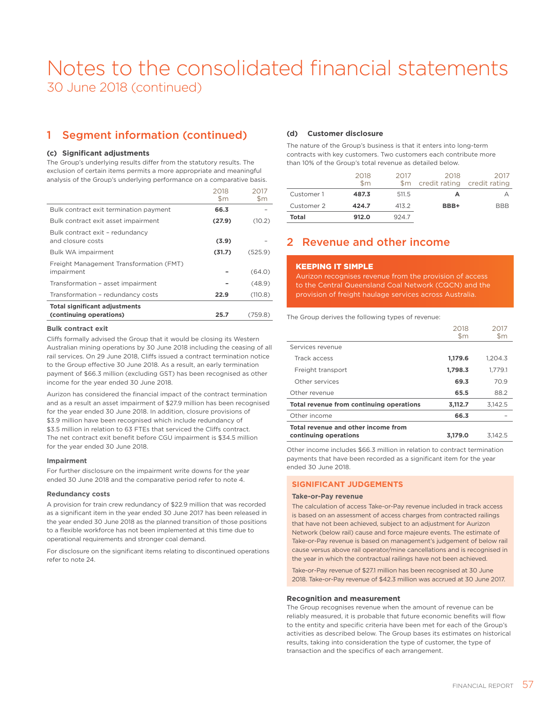### 1 Segment information (continued)

### **(c) Significant adjustments**

The Group's underlying results differ from the statutory results. The exclusion of certain items permits a more appropriate and meaningful analysis of the Group's underlying performance on a comparative basis.

|                                                                 | 2018<br>$\mathsf{Sm}$ | 2017<br>$\mathsf{Sm}$ |
|-----------------------------------------------------------------|-----------------------|-----------------------|
| Bulk contract exit termination payment                          | 66.3                  |                       |
| Bulk contract exit asset impairment                             | (27.9)                | (10.2)                |
| Bulk contract exit - redundancy<br>and closure costs            | (3.9)                 |                       |
| Bulk WA impairment                                              | (31.7)                | (525.9)               |
| Freight Management Transformation (FMT)<br>impairment           |                       | (64.0)                |
| Transformation - asset impairment                               |                       | (48.9)                |
| Transformation - redundancy costs                               | 22.9                  | (110.8)               |
| <b>Total significant adjustments</b><br>(continuing operations) | 25.7                  | (759.8)               |

### **Bulk contract exit**

Cliffs formally advised the Group that it would be closing its Western Australian mining operations by 30 June 2018 including the ceasing of all rail services. On 29 June 2018, Cliffs issued a contract termination notice to the Group effective 30 June 2018. As a result, an early termination payment of \$66.3 million (excluding GST) has been recognised as other income for the year ended 30 June 2018.

Aurizon has considered the financial impact of the contract termination and as a result an asset impairment of \$27.9 million has been recognised for the year ended 30 June 2018. In addition, closure provisions of \$3.9 million have been recognised which include redundancy of \$3.5 million in relation to 63 FTEs that serviced the Cliffs contract. The net contract exit benefit before CGU impairment is \$34.5 million for the year ended 30 June 2018.

#### **Impairment**

For further disclosure on the impairment write downs for the year ended 30 June 2018 and the comparative period refer to note 4.

#### **Redundancy costs**

A provision for train crew redundancy of \$22.9 million that was recorded as a significant item in the year ended 30 June 2017 has been released in the year ended 30 June 2018 as the planned transition of those positions to a flexible workforce has not been implemented at this time due to operational requirements and stronger coal demand.

For disclosure on the significant items relating to discontinued operations refer to note 24.

### **(d) Customer disclosure**

The nature of the Group's business is that it enters into long-term contracts with key customers. Two customers each contribute more than 10% of the Group's total revenue as detailed below.

|            | 2018<br>$\mathsf{Sm}$ | 2017<br>\$m | 2018<br>credit rating credit rating | 2017       |
|------------|-----------------------|-------------|-------------------------------------|------------|
| Customer 1 | 487.3                 | 511.5       |                                     |            |
| Customer 2 | 424.7                 | 413.2       | BBB+                                | <b>BBB</b> |
| Total      | 912.0                 | 924.7       |                                     |            |

### 2 Revenue and other income

### KEEPING IT SIMPLE

Aurizon recognises revenue from the provision of access to the Central Queensland Coal Network (CQCN) and the provision of freight haulage services across Australia.

The Group derives the following types of revenue:

|                                                              | 2018<br>$\mathsf{Sm}$ | 2017<br>\$m |
|--------------------------------------------------------------|-----------------------|-------------|
| Services revenue                                             |                       |             |
| Track access                                                 | 1,179.6               | 1.204.3     |
| Freight transport                                            | 1,798.3               | 1.779.1     |
| Other services                                               | 69.3                  | 70.9        |
| Other revenue                                                | 65.5                  | 88.2        |
| Total revenue from continuing operations                     | 3,112.7               | 3.142.5     |
| Other income                                                 | 66.3                  |             |
| Total revenue and other income from<br>continuing operations | 3.179.0               | 3.142.5     |

Other income includes \$66.3 million in relation to contract termination payments that have been recorded as a significant item for the year ended 30 June 2018.

### **SIGNIFICANT JUDGEMENTS**

### **Take-or-Pay revenue**

The calculation of access Take-or-Pay revenue included in track access is based on an assessment of access charges from contracted railings that have not been achieved, subject to an adjustment for Aurizon Network (below rail) cause and force majeure events. The estimate of Take-or-Pay revenue is based on management's judgement of below rail cause versus above rail operator/mine cancellations and is recognised in the year in which the contractual railings have not been achieved.

Take-or-Pay revenue of \$27.1 million has been recognised at 30 June 2018. Take-or-Pay revenue of \$42.3 million was accrued at 30 June 2017.

#### **Recognition and measurement**

The Group recognises revenue when the amount of revenue can be reliably measured, it is probable that future economic benefits will flow to the entity and specific criteria have been met for each of the Group's activities as described below. The Group bases its estimates on historical results, taking into consideration the type of customer, the type of transaction and the specifics of each arrangement.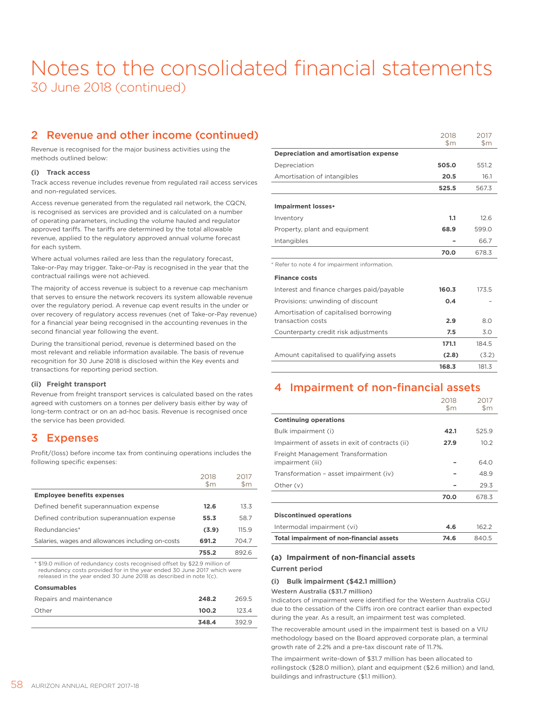### 2 Revenue and other income (continued)

Revenue is recognised for the major business activities using the methods outlined below:

### **(i) Track access**

Track access revenue includes revenue from regulated rail access services and non-regulated services.

Access revenue generated from the regulated rail network, the CQCN, is recognised as services are provided and is calculated on a number of operating parameters, including the volume hauled and regulator approved tariffs. The tariffs are determined by the total allowable revenue, applied to the regulatory approved annual volume forecast for each system.

Where actual volumes railed are less than the regulatory forecast, Take-or-Pay may trigger. Take-or-Pay is recognised in the year that the contractual railings were not achieved.

The majority of access revenue is subject to a revenue cap mechanism that serves to ensure the network recovers its system allowable revenue over the regulatory period. A revenue cap event results in the under or over recovery of regulatory access revenues (net of Take-or-Pay revenue) for a financial year being recognised in the accounting revenues in the second financial year following the event.

During the transitional period, revenue is determined based on the most relevant and reliable information available. The basis of revenue recognition for 30 June 2018 is disclosed within the Key events and transactions for reporting period section.

#### **(ii) Freight transport**

Revenue from freight transport services is calculated based on the rates agreed with customers on a tonnes per delivery basis either by way of long-term contract or on an ad-hoc basis. Revenue is recognised once the service has been provided.

### 3 Expenses

Profit/(loss) before income tax from continuing operations includes the following specific expenses:

|                                                   | 2018<br>\$m | 2017<br>\$m |
|---------------------------------------------------|-------------|-------------|
| <b>Employee benefits expenses</b>                 |             |             |
| Defined benefit superannuation expense            | 12.6        | 13.3        |
| Defined contribution superannuation expense       | 55.3        | 58.7        |
| Redundancies*                                     | (3.9)       | 115.9       |
| Salaries, wages and allowances including on-costs | 691.2       | 704.7       |
|                                                   | 755.2       | 8926        |

\* \$19.0 million of redundancy costs recognised offset by \$22.9 million of redundancy costs provided for in the year ended 30 June 2017 which were released in the year ended 30 June 2018 as described in note 1(c).

### **Consumables**

| Repairs and maintenance | 248.2 | 269.5 |
|-------------------------|-------|-------|
| Other                   | 100.2 | 1234  |
|                         | 348.4 | 3929  |

|                                               | 2018          | 2017          |
|-----------------------------------------------|---------------|---------------|
|                                               | $\mathsf{Sm}$ | $\mathsf{Sm}$ |
| Depreciation and amortisation expense         |               |               |
| Depreciation                                  | 505.0         | 551.2         |
| Amortisation of intangibles                   | 20.5          | 16.1          |
|                                               | 525.5         | 567.3         |
| Impairment losses•                            |               |               |
| Inventory                                     | 1.1           | 12.6          |
| Property, plant and equipment                 | 68.9          | 599.0         |
| Intangibles                                   |               | 66.7          |
|                                               | 70.0          | 678.3         |
| * Refer to note 4 for impairment information. |               |               |
| <b>Finance costs</b>                          |               |               |
| Interest and finance charges paid/payable     | 160.3         | 173.5         |
| Provisions: unwinding of discount             | 0.4           |               |
| Amortisation of capitalised borrowing         |               |               |
| transaction costs                             | 2.9           | 80            |
| Counterparty credit risk adjustments          | 7.5           | 3.0           |
|                                               | 171.1         | 184.5         |
| Amount capitalised to qualifying assets       | (2.8)         | (3.2)         |
|                                               | 168.3         | 181.3         |

### 4 Impairment of non-financial assets

|                                                       | 2018<br>$\mathsf{Sm}$ | 2017<br>\$m |
|-------------------------------------------------------|-----------------------|-------------|
| <b>Continuing operations</b>                          |                       |             |
| Bulk impairment (i)                                   | 42.1                  | 525.9       |
| Impairment of assets in exit of contracts (ii)        | 27.9                  | 10.2        |
| Freight Management Transformation<br>impairment (iii) |                       | 64.0        |
| Transformation - asset impairment (iv)                |                       | 48.9        |
| Other (v)                                             |                       | 29.3        |
|                                                       | 70.0                  | 678.3       |
| <b>Discontinued operations</b>                        |                       |             |

| Intermodal impairment (vi)               | 4.6  | 162.2 |
|------------------------------------------|------|-------|
| Total impairment of non-financial assets | 74.6 | 840.5 |

### **(a) Impairment of non-financial assets**

### **Current period**

**(i) Bulk impairment (\$42.1 million)** 

#### Western Australia (\$31.7 million)

Indicators of impairment were identified for the Western Australia CGU due to the cessation of the Cliffs iron ore contract earlier than expected during the year. As a result, an impairment test was completed.

The recoverable amount used in the impairment test is based on a VIU methodology based on the Board approved corporate plan, a terminal growth rate of 2.2% and a pre-tax discount rate of 11.7%.

The impairment write-down of \$31.7 million has been allocated to rollingstock (\$28.0 million), plant and equipment (\$2.6 million) and land, buildings and infrastructure (\$1.1 million).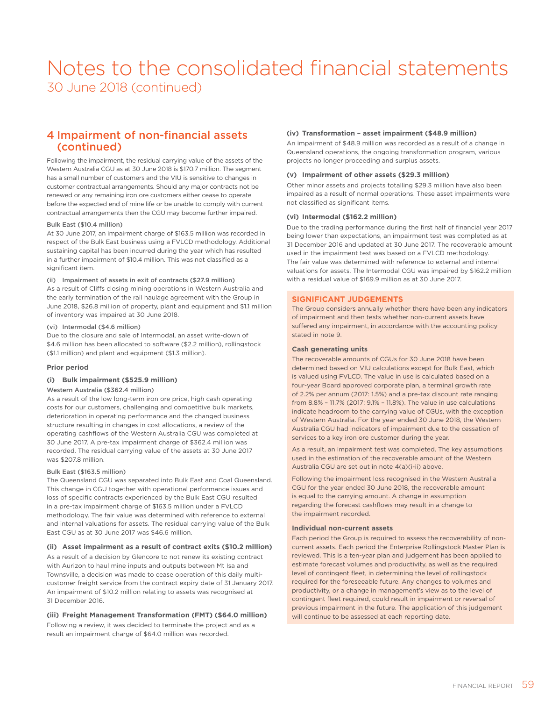### 4 Impairment of non-financial assets (continued)

Following the impairment, the residual carrying value of the assets of the Western Australia CGU as at 30 June 2018 is \$170.7 million. The segment has a small number of customers and the VIU is sensitive to changes in customer contractual arrangements. Should any major contracts not be renewed or any remaining iron ore customers either cease to operate before the expected end of mine life or be unable to comply with current contractual arrangements then the CGU may become further impaired.

### Bulk East (\$10.4 million)

At 30 June 2017, an impairment charge of \$163.5 million was recorded in respect of the Bulk East business using a FVLCD methodology. Additional sustaining capital has been incurred during the year which has resulted in a further impairment of \$10.4 million. This was not classified as a significant item.

(ii) Impairment of assets in exit of contracts (\$27.9 million)

As a result of Cliffs closing mining operations in Western Australia and the early termination of the rail haulage agreement with the Group in June 2018, \$26.8 million of property, plant and equipment and \$1.1 million of inventory was impaired at 30 June 2018.

#### (vi) Intermodal (\$4.6 million)

Due to the closure and sale of Intermodal, an asset write-down of \$4.6 million has been allocated to software (\$2.2 million), rollingstock (\$1.1 million) and plant and equipment (\$1.3 million).

#### **Prior period**

### **(i) Bulk impairment (\$525.9 million)**

#### Western Australia (\$362.4 million)

As a result of the low long-term iron ore price, high cash operating costs for our customers, challenging and competitive bulk markets, deterioration in operating performance and the changed business structure resulting in changes in cost allocations, a review of the operating cashflows of the Western Australia CGU was completed at 30 June 2017. A pre-tax impairment charge of \$362.4 million was recorded. The residual carrying value of the assets at 30 June 2017 was \$207.8 million.

#### Bulk East (\$163.5 million)

The Queensland CGU was separated into Bulk East and Coal Queensland. This change in CGU together with operational performance issues and loss of specific contracts experienced by the Bulk East CGU resulted in a pre-tax impairment charge of \$163.5 million under a FVLCD methodology. The fair value was determined with reference to external and internal valuations for assets. The residual carrying value of the Bulk East CGU as at 30 June 2017 was \$46.6 million.

#### **(ii) Asset impairment as a result of contract exits (\$10.2 million)**

As a result of a decision by Glencore to not renew its existing contract with Aurizon to haul mine inputs and outputs between Mt Isa and Townsville, a decision was made to cease operation of this daily multicustomer freight service from the contract expiry date of 31 January 2017. An impairment of \$10.2 million relating to assets was recognised at 31 December 2016.

### **(iii) Freight Management Transformation (FMT) (\$64.0 million)**

Following a review, it was decided to terminate the project and as a result an impairment charge of \$64.0 million was recorded.

#### **(iv) Transformation – asset impairment (\$48.9 million)**

An impairment of \$48.9 million was recorded as a result of a change in Queensland operations, the ongoing transformation program, various projects no longer proceeding and surplus assets.

### **(v) Impairment of other assets (\$29.3 million)**

Other minor assets and projects totalling \$29.3 million have also been impaired as a result of normal operations. These asset impairments were not classified as significant items.

### **(vi) Intermodal (\$162.2 million)**

Due to the trading performance during the first half of financial year 2017 being lower than expectations, an impairment test was completed as at 31 December 2016 and updated at 30 June 2017. The recoverable amount used in the impairment test was based on a FVLCD methodology. The fair value was determined with reference to external and internal valuations for assets. The Intermodal CGU was impaired by \$162.2 million with a residual value of \$169.9 million as at 30 June 2017.

#### **SIGNIFICANT JUDGEMENTS**

The Group considers annually whether there have been any indicators of impairment and then tests whether non-current assets have suffered any impairment, in accordance with the accounting policy stated in note 9.

### **Cash generating units**

The recoverable amounts of CGUs for 30 June 2018 have been determined based on VIU calculations except for Bulk East, which is valued using FVLCD. The value in use is calculated based on a four-year Board approved corporate plan, a terminal growth rate of 2.2% per annum (2017: 1.5%) and a pre-tax discount rate ranging from 8.8% – 11.7% (2017: 9.1% – 11.8%). The value in use calculations indicate headroom to the carrying value of CGUs, with the exception of Western Australia. For the year ended 30 June 2018, the Western Australia CGU had indicators of impairment due to the cessation of services to a key iron ore customer during the year.

As a result, an impairment test was completed. The key assumptions used in the estimation of the recoverable amount of the Western Australia CGU are set out in note 4(a)(i-ii) above.

Following the impairment loss recognised in the Western Australia CGU for the year ended 30 June 2018, the recoverable amount is equal to the carrying amount. A change in assumption regarding the forecast cashflows may result in a change to the impairment recorded.

### **Individual non-current assets**

Each period the Group is required to assess the recoverability of noncurrent assets. Each period the Enterprise Rollingstock Master Plan is reviewed. This is a ten-year plan and judgement has been applied to estimate forecast volumes and productivity, as well as the required level of contingent fleet, in determining the level of rollingstock required for the foreseeable future. Any changes to volumes and productivity, or a change in management's view as to the level of contingent fleet required, could result in impairment or reversal of previous impairment in the future. The application of this judgement will continue to be assessed at each reporting date.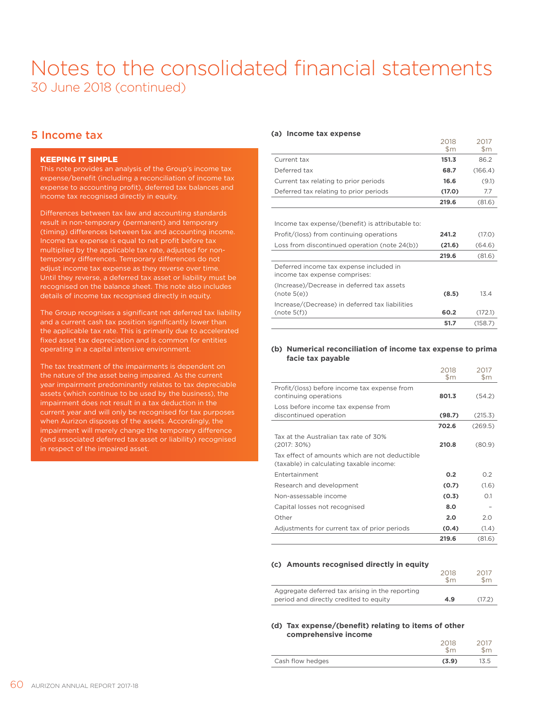### 5 Income tax

### KEEPING IT SIMPLE

This note provides an analysis of the Group's income tax expense/benefit (including a reconciliation of income tax expense to accounting profit), deferred tax balances and income tax recognised directly in equity.

Differences between tax law and accounting standards result in non-temporary (permanent) and temporary (timing) differences between tax and accounting income. Income tax expense is equal to net profit before tax multiplied by the applicable tax rate, adjusted for nontemporary differences. Temporary differences do not adjust income tax expense as they reverse over time. Until they reverse, a deferred tax asset or liability must be recognised on the balance sheet. This note also includes details of income tax recognised directly in equity.

The Group recognises a significant net deferred tax liability and a current cash tax position significantly lower than the applicable tax rate. This is primarily due to accelerated fixed asset tax depreciation and is common for entities operating in a capital intensive environment.

The tax treatment of the impairments is dependent on the nature of the asset being impaired. As the current year impairment predominantly relates to tax depreciable assets (which continue to be used by the business), the impairment does not result in a tax deduction in the current year and will only be recognised for tax purposes when Aurizon disposes of the assets. Accordingly, the impairment will merely change the temporary difference (and associated deferred tax asset or liability) recognised in respect of the impaired asset.

### **(a) Income tax expense**

|                                        | 2018<br>$\mathsf{Sm}$ | 2017<br>$\mathsf{Sm}$ |
|----------------------------------------|-----------------------|-----------------------|
| Current tax                            | 151.3                 | 86.2                  |
| Deferred tax                           | 68.7                  | (166.4)               |
| Current tax relating to prior periods  | 16.6                  | (9.1)                 |
| Deferred tax relating to prior periods | (17.0)                | 7.7                   |
|                                        | 219.6                 | (81.6)                |

2018

2017

Income tax expense/(benefit) is attributable to:

| Profit/(loss) from continuing operations                                 | 241.2  | (17.0)  |
|--------------------------------------------------------------------------|--------|---------|
| Loss from discontinued operation (note 24(b))                            | (21.6) | (64.6)  |
|                                                                          | 219.6  | (81.6)  |
| Deferred income tax expense included in<br>income tax expense comprises: |        |         |
| (Increase)/Decrease in deferred tax assets<br>(note 5(e))                | (8.5)  | 13.4    |
| Increase/(Decrease) in deferred tax liabilities<br>(note 5(f))           | 60.2   | (172.1) |
|                                                                          | 51.7   | (158.7) |

### **(b) Numerical reconciliation of income tax expense to prima facie tax payable**

|                                                                                            | 2018<br>\$m | 2017<br>\$m |
|--------------------------------------------------------------------------------------------|-------------|-------------|
| Profit/(loss) before income tax expense from<br>continuing operations                      | 801.3       | (54.2)      |
| Loss before income tax expense from<br>discontinued operation                              | (98.7)      | (215.3)     |
|                                                                                            | 702.6       | (269.5)     |
| Tax at the Australian tax rate of 30%<br>(2017:30%)                                        | 210.8       | (80.9)      |
| Tax effect of amounts which are not deductible<br>(taxable) in calculating taxable income: |             |             |
| Entertainment                                                                              | 0.2         | 0.2         |
| Research and development                                                                   | (0.7)       | (1.6)       |
| Non-assessable income                                                                      | (0.3)       | $\Omega$ 1  |
| Capital losses not recognised                                                              | 8.0         |             |
| Other                                                                                      | 2.0         | 2.0         |
| Adjustments for current tax of prior periods                                               | (0.4)       | (1.4)       |
|                                                                                            | 219.6       | (81.6)      |

### **(c) Amounts recognised directly in equity**

|                                                                                           | 2018<br>\$m | \$m    |
|-------------------------------------------------------------------------------------------|-------------|--------|
| Aggregate deferred tax arising in the reporting<br>period and directly credited to equity | 4.9         | (17.2) |

### **(d) Tax expense/(benefit) relating to items of other comprehensive income**

|                  | 2018<br>$\mathsf{Sm}$ |      |
|------------------|-----------------------|------|
| Cash flow hedges | (3.9)                 | 13.5 |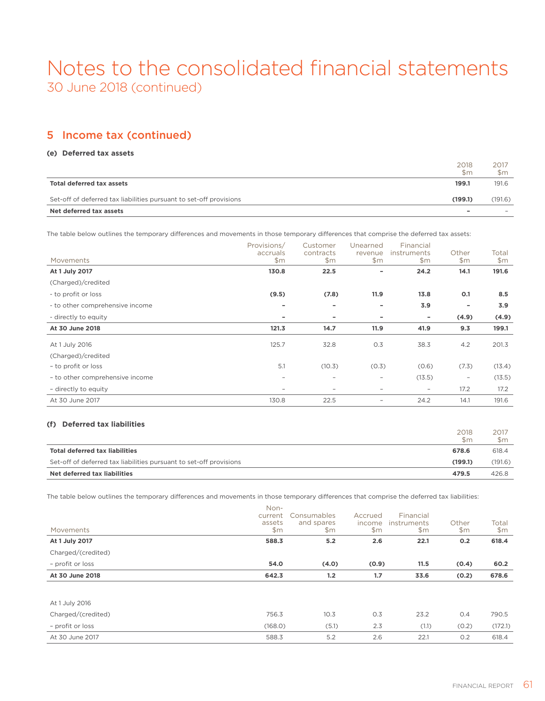### 5 Income tax (continued)

### **(e) Deferred tax assets**

|                                                                    | 2018<br>$\mathsf{Sm}$ | 2017<br>$\mathsf{Sm}$ |
|--------------------------------------------------------------------|-----------------------|-----------------------|
| Total deferred tax assets                                          | 199.1                 | 191.6                 |
| Set-off of deferred tax liabilities pursuant to set-off provisions | (199.1)               | (191.6)               |
| Net deferred tax assets                                            | -                     |                       |

The table below outlines the temporary differences and movements in those temporary differences that comprise the deferred tax assets:

| Movements                       | Provisions/<br>accruals<br>\$m\$ | Customer<br>contracts<br>\$m\$ | Unearned<br>revenue<br>\$m | Financial<br>instruments<br>\$m\$ | Other<br>\$m\$           | Total<br>\$m\$ |
|---------------------------------|----------------------------------|--------------------------------|----------------------------|-----------------------------------|--------------------------|----------------|
| At 1 July 2017                  | 130.8                            | 22.5                           |                            | 24.2                              | 14.1                     | 191.6          |
| (Charged)/credited              |                                  |                                |                            |                                   |                          |                |
| - to profit or loss             | (9.5)                            | (7.8)                          | 11.9                       | 13.8                              | 0.1                      | 8.5            |
| - to other comprehensive income |                                  | ۰                              | ۰                          | 3.9                               | -                        | 3.9            |
| - directly to equity            |                                  |                                | ۰                          | ۰                                 | (4.9)                    | (4.9)          |
| At 30 June 2018                 | 121.3                            | 14.7                           | 11.9                       | 41.9                              | 9.3                      | 199.1          |
| At 1 July 2016                  | 125.7                            | 32.8                           | O.3                        | 38.3                              | 4.2                      | 201.3          |
| (Charged)/credited              |                                  |                                |                            |                                   |                          |                |
| - to profit or loss             | 5.1                              | (10.3)                         | (0.3)                      | (0.6)                             | (7.3)                    | (13.4)         |
| - to other comprehensive income |                                  | $\overline{\phantom{0}}$       | $\qquad \qquad -$          | (13.5)                            | $\overline{\phantom{a}}$ | (13.5)         |
| - directly to equity            |                                  |                                |                            | $\overline{\phantom{a}}$          | 17.2                     | 17.2           |
| At 30 June 2017                 | 130.8                            | 22.5                           | $\overline{\phantom{m}}$   | 24.2                              | 14.1                     | 191.6          |

### **(f) Deferred tax liabilities**

|                                                                    | 2018<br>$\mathsf{Sm}$ | 2017<br>$\mathsf{Sm}$ |
|--------------------------------------------------------------------|-----------------------|-----------------------|
| Total deferred tax liabilities                                     | 678.6                 | 618.4                 |
| Set-off of deferred tax liabilities pursuant to set-off provisions | (199.1)               | (191.6)               |
| Net deferred tax liabilities                                       | 479.5                 | 426.8                 |

The table below outlines the temporary differences and movements in those temporary differences that comprise the deferred tax liabilities:

| Movements          | Non-<br>current<br>assets<br>\$m | Consumables<br>and spares<br>\$m\$ | Accrued<br>income<br>\$m\$ | Financial<br>instruments<br>\$m\$ | Other<br>\$m\$ | Total<br>\$m\$ |
|--------------------|----------------------------------|------------------------------------|----------------------------|-----------------------------------|----------------|----------------|
| At 1 July 2017     | 588.3                            | 5.2                                | 2.6                        | 22.1                              | 0.2            | 618.4          |
| Charged/(credited) |                                  |                                    |                            |                                   |                |                |
| - profit or loss   | 54.0                             | (4.0)                              | (0.9)                      | 11.5                              | (0.4)          | 60.2           |
| At 30 June 2018    | 642.3                            | 1.2                                | 1.7                        | 33.6                              | (0.2)          | 678.6          |
|                    |                                  |                                    |                            |                                   |                |                |
| At 1 July 2016     |                                  |                                    |                            |                                   |                |                |
| Charged/(credited) | 756.3                            | 10.3                               | O.3                        | 23.2                              | O.4            | 790.5          |
| - profit or loss   | (168.0)                          | (5.1)                              | 2.3                        | (1.1)                             | (0.2)          | (172.1)        |
| At 30 June 2017    | 588.3                            | 5.2                                | 2.6                        | 22.1                              | 0.2            | 618.4          |
|                    |                                  |                                    |                            |                                   |                |                |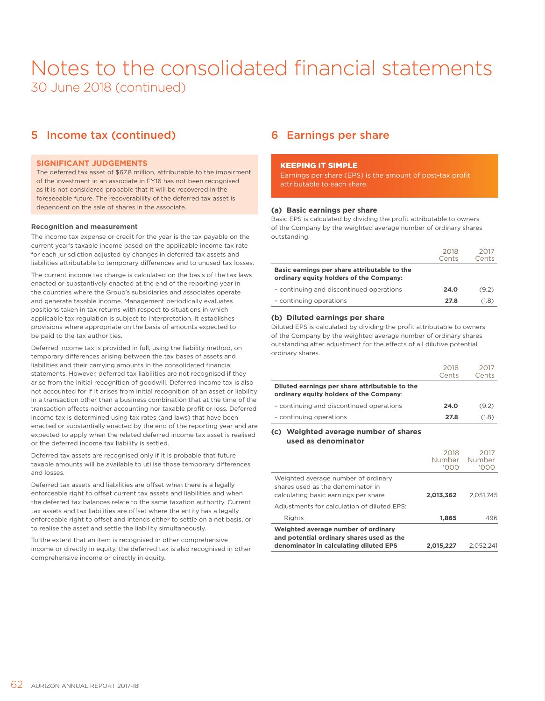### 5 Income tax (continued)

### **SIGNIFICANT JUDGEMENTS**

The deferred tax asset of \$67.8 million, attributable to the impairment of the investment in an associate in FY16 has not been recognised as it is not considered probable that it will be recovered in the foreseeable future. The recoverability of the deferred tax asset is dependent on the sale of shares in the associate.

### **Recognition and measurement**

The income tax expense or credit for the year is the tax payable on the current year's taxable income based on the applicable income tax rate for each jurisdiction adjusted by changes in deferred tax assets and liabilities attributable to temporary differences and to unused tax losses.

The current income tax charge is calculated on the basis of the tax laws enacted or substantively enacted at the end of the reporting year in the countries where the Group's subsidiaries and associates operate and generate taxable income. Management periodically evaluates positions taken in tax returns with respect to situations in which applicable tax regulation is subject to interpretation. It establishes provisions where appropriate on the basis of amounts expected to be paid to the tax authorities.

Deferred income tax is provided in full, using the liability method, on temporary differences arising between the tax bases of assets and liabilities and their carrying amounts in the consolidated financial statements. However, deferred tax liabilities are not recognised if they arise from the initial recognition of goodwill. Deferred income tax is also not accounted for if it arises from initial recognition of an asset or liability in a transaction other than a business combination that at the time of the transaction affects neither accounting nor taxable profit or loss. Deferred income tax is determined using tax rates (and laws) that have been enacted or substantially enacted by the end of the reporting year and are expected to apply when the related deferred income tax asset is realised or the deferred income tax liability is settled.

Deferred tax assets are recognised only if it is probable that future taxable amounts will be available to utilise those temporary differences and losses.

Deferred tax assets and liabilities are offset when there is a legally enforceable right to offset current tax assets and liabilities and when the deferred tax balances relate to the same taxation authority. Current tax assets and tax liabilities are offset where the entity has a legally enforceable right to offset and intends either to settle on a net basis, or to realise the asset and settle the liability simultaneously.

To the extent that an item is recognised in other comprehensive income or directly in equity, the deferred tax is also recognised in other comprehensive income or directly in equity.

### 6 Earnings per share

### KEEPING IT SIMPLE

Earnings per share (EPS) is the amount of post-tax profit attributable to each share.

#### **(a) Basic earnings per share**

Basic EPS is calculated by dividing the profit attributable to owners of the Company by the weighted average number of ordinary shares outstanding.

|                                                                                         | 2018<br>Cents | 2017<br>Cents |
|-----------------------------------------------------------------------------------------|---------------|---------------|
| Basic earnings per share attributable to the<br>ordinary equity holders of the Company: |               |               |
| - continuing and discontinued operations                                                | 24.0          | (9.2)         |
| - continuing operations                                                                 | 27.8          | (1.8)         |

### **(b) Diluted earnings per share**

Diluted EPS is calculated by dividing the profit attributable to owners of the Company by the weighted average number of ordinary shares outstanding after adjustment for the effects of all dilutive potential ordinary shares.

|                                                                                           | 2018<br>Cents | 2017<br>Cents |
|-------------------------------------------------------------------------------------------|---------------|---------------|
| Diluted earnings per share attributable to the<br>ordinary equity holders of the Company: |               |               |
| - continuing and discontinued operations                                                  | 24.0          | (9.2)         |
| - continuing operations                                                                   | 27.8          | (1.8)         |

#### **(c) Weighted average number of shares used as denominator**

| Weighted average number of ordinary<br>and potential ordinary shares used as the<br>denominator in calculating diluted EPS | 2,015,227              | 2.052,241              |
|----------------------------------------------------------------------------------------------------------------------------|------------------------|------------------------|
| Rights                                                                                                                     | 1,865                  | 496                    |
| Adjustments for calculation of diluted EPS:                                                                                |                        |                        |
| Weighted average number of ordinary<br>shares used as the denominator in<br>calculating basic earnings per share           | 2,013,362              | 2.051.745              |
|                                                                                                                            | 2018<br>Number<br>'OOO | 2017<br>Number<br>'OOO |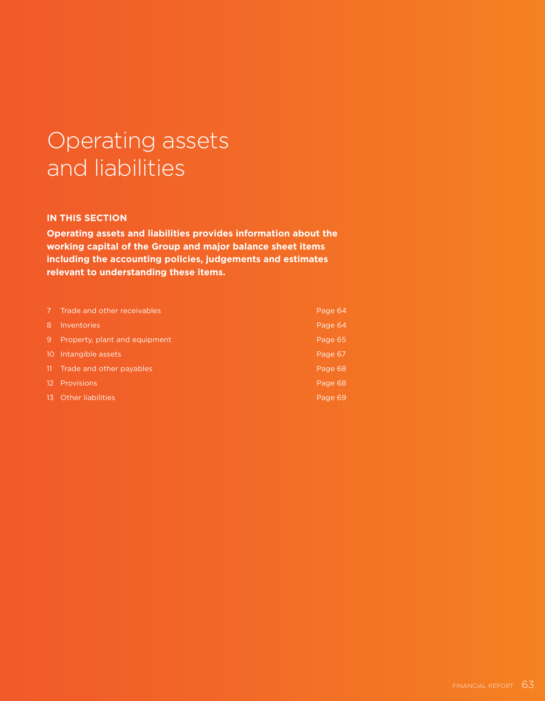# Operating assets and liabilities

### **IN THIS SECTION**

**Operating assets and liabilities provides information about the working capital of the Group and major balance sheet items including the accounting policies, judgements and estimates relevant to understanding these items.**

| 17)   | Trade and other receivables   | Page 64 |
|-------|-------------------------------|---------|
| 8     | Inventories                   | Page 64 |
| 9     | Property, plant and equipment | Page 65 |
|       | 10 Intangible assets          | Page 67 |
| -11-  | Trade and other payables      | Page 68 |
|       | 12 Provisions                 | Page 68 |
| -13 - | <b>Other liabilities</b>      | Page 69 |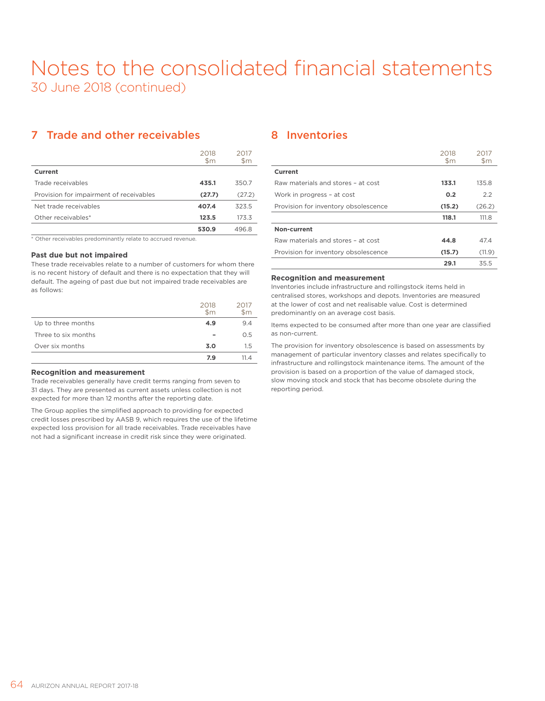### 7 Trade and other receivables

|                                         | 2018<br>$\mathsf{Sm}$ | 2017<br>\$m |
|-----------------------------------------|-----------------------|-------------|
| Current                                 |                       |             |
| Trade receivables                       | 435.1                 | 350.7       |
| Provision for impairment of receivables | (27.7)                | (27.2)      |
| Net trade receivables                   | 407.4                 | 323.5       |
| Other receivables*                      | 123.5                 | 173.3       |
|                                         | 530.9                 | 496.8       |

\* Other receivables predominantly relate to accrued revenue.

### **Past due but not impaired**

These trade receivables relate to a number of customers for whom there is no recent history of default and there is no expectation that they will default. The ageing of past due but not impaired trade receivables are as follows:

|                     | 2018<br>$\mathsf{Sm}$ | 2017<br>$\mathsf{Sm}$ |
|---------------------|-----------------------|-----------------------|
| Up to three months  | 4.9                   | 9.4                   |
| Three to six months |                       | O.5                   |
| Over six months     | 3.0                   | 1.5                   |
|                     | 7.9                   | 11 <i>Δ</i>           |

### **Recognition and measurement**

Trade receivables generally have credit terms ranging from seven to 31 days. They are presented as current assets unless collection is not expected for more than 12 months after the reporting date.

The Group applies the simplified approach to providing for expected credit losses prescribed by AASB 9, which requires the use of the lifetime expected loss provision for all trade receivables. Trade receivables have not had a significant increase in credit risk since they were originated.

### 8 Inventories

|                                      | 2018<br>$\mathsf{Sm}$ | 2017<br>$\mathsf{Sm}$ |
|--------------------------------------|-----------------------|-----------------------|
| Current                              |                       |                       |
| Raw materials and stores - at cost   | 133.1                 | 135.8                 |
| Work in progress - at cost           | 0.2                   | 2.2                   |
| Provision for inventory obsolescence | (15.2)                | (26.2)                |
|                                      | 118.1                 | 111.8                 |
| Non-current                          |                       |                       |
| Raw materials and stores - at cost   | 44.8                  | 47.4                  |
| Provision for inventory obsolescence | (15.7)                | (11.9)                |
|                                      | 29.1                  | 35.5                  |

#### **Recognition and measurement**

Inventories include infrastructure and rollingstock items held in centralised stores, workshops and depots. Inventories are measured at the lower of cost and net realisable value. Cost is determined predominantly on an average cost basis.

Items expected to be consumed after more than one year are classified as non-current.

The provision for inventory obsolescence is based on assessments by management of particular inventory classes and relates specifically to infrastructure and rollingstock maintenance items. The amount of the provision is based on a proportion of the value of damaged stock, slow moving stock and stock that has become obsolete during the reporting period.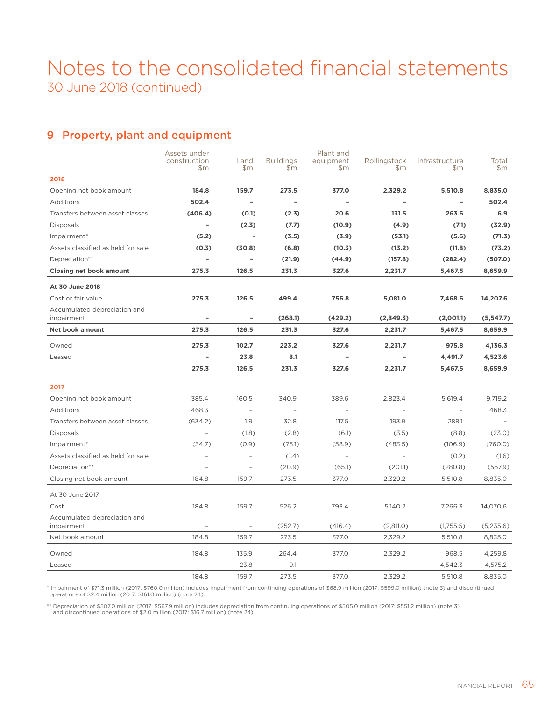### 9 Property, plant and equipment

|                                    | Assets under             |                          |                         | Plant and        |                          |                          |              |
|------------------------------------|--------------------------|--------------------------|-------------------------|------------------|--------------------------|--------------------------|--------------|
|                                    | construction<br>\$m      | Land<br>\$m\$            | <b>Buildings</b><br>\$m | equipment<br>\$m | Rollingstock<br>\$m      | Infrastructure<br>\$m    | Total<br>\$m |
| 2018                               |                          |                          |                         |                  |                          |                          |              |
| Opening net book amount            | 184.8                    | 159.7                    | 273.5                   | 377.0            | 2,329.2                  | 5,510.8                  | 8,835.0      |
| Additions                          | 502.4                    | $\overline{\phantom{a}}$ |                         |                  |                          |                          | 502.4        |
| Transfers between asset classes    | (406.4)                  | (0.1)                    | (2.3)                   | 20.6             | 131.5                    | 263.6                    | 6.9          |
| <b>Disposals</b>                   | $\overline{\phantom{a}}$ | (2.3)                    | (7.7)                   | (10.9)           | (4.9)                    | (7.1)                    | (32.9)       |
| Impairment*                        | (5.2)                    | $\overline{a}$           | (3.5)                   | (3.9)            | (53.1)                   | (5.6)                    | (71.3)       |
| Assets classified as held for sale | (0.3)                    | (30.8)                   | (6.8)                   | (10.3)           | (13.2)                   | (11.8)                   | (73.2)       |
| Depreciation**                     | ÷                        | $\overline{\phantom{a}}$ | (21.9)                  | (44.9)           | (157.8)                  | (282.4)                  | (507.0)      |
| <b>Closing net book amount</b>     | 275.3                    | 126.5                    | 231.3                   | 327.6            | 2,231.7                  | 5,467.5                  | 8,659.9      |
| At 30 June 2018                    |                          |                          |                         |                  |                          |                          |              |
| Cost or fair value                 | 275.3                    | 126.5                    | 499.4                   | 756.8            | 5,081.0                  | 7,468.6                  | 14,207.6     |
| Accumulated depreciation and       |                          |                          |                         |                  |                          |                          |              |
| impairment                         | $\overline{\phantom{m}}$ | $\overline{\phantom{a}}$ | (268.1)                 | (429.2)          | (2,849.3)                | (2,001.1)                | (5,547.7)    |
| <b>Net book amount</b>             | 275.3                    | 126.5                    | 231.3                   | 327.6            | 2,231.7                  | 5,467.5                  | 8,659.9      |
| Owned                              | 275.3                    | 102.7                    | 223.2                   | 327.6            | 2,231.7                  | 975.8                    | 4,136.3      |
| Leased                             | ÷                        | 23.8                     | 8.1                     |                  |                          | 4,491.7                  | 4,523.6      |
|                                    | 275.3                    | 126.5                    | 231.3                   | 327.6            | 2,231.7                  | 5,467.5                  | 8,659.9      |
| 2017                               |                          |                          |                         |                  |                          |                          |              |
| Opening net book amount            | 385.4                    | 160.5                    | 340.9                   | 389.6            | 2,823.4                  | 5,619.4                  | 9,719.2      |
| Additions                          | 468.3                    | $\overline{a}$           |                         |                  |                          | $\overline{\phantom{a}}$ | 468.3        |
| Transfers between asset classes    | (634.2)                  | 1.9                      | 32.8                    | 117.5            | 193.9                    | 288.1                    |              |
| <b>Disposals</b>                   | $\overline{a}$           | (1.8)                    | (2.8)                   | (6.1)            | (3.5)                    | (8.8)                    | (23.0)       |
| Impairment*                        | (34.7)                   | (0.9)                    | (75.1)                  | (58.9)           | (483.5)                  | (106.9)                  | (760.0)      |
| Assets classified as held for sale |                          | $\overline{\phantom{a}}$ | (1.4)                   | $\equiv$         | $\overline{\phantom{a}}$ | (0.2)                    | (1.6)        |
| Depreciation**                     | $\overline{\phantom{a}}$ | $\qquad \qquad -$        | (20.9)                  | (65.1)           | (201.1)                  | (280.8)                  | (567.9)      |
| Closing net book amount            | 184.8                    | 159.7                    | 273.5                   | 377.0            | 2,329.2                  | 5,510.8                  | 8,835.0      |
| At 30 June 2017                    |                          |                          |                         |                  |                          |                          |              |
| Cost                               | 184.8                    | 159.7                    | 526.2                   | 793.4            | 5,140.2                  | 7,266.3                  | 14,070.6     |
| Accumulated depreciation and       |                          |                          |                         |                  |                          |                          |              |
| impairment                         | $\overline{\phantom{a}}$ | $\overline{\phantom{a}}$ | (252.7)                 | (416.4)          | (2,811.0)                | (1,755.5)                | (5,235.6)    |
| Net book amount                    | 184.8                    | 159.7                    | 273.5                   | 377.0            | 2,329.2                  | 5,510.8                  | 8,835.0      |
| Owned                              | 184.8                    | 135.9                    | 264.4                   | 377.0            | 2,329.2                  | 968.5                    | 4,259.8      |
| Leased                             |                          | 23.8                     | 9.1                     |                  |                          | 4,542.3                  | 4,575.2      |
|                                    | 184.8                    | 159.7                    | 273.5                   | 377.0            | 2,329.2                  | 5,510.8                  | 8,835.0      |

\* Impairment of \$71.3 million (2017: \$760.0 million) includes impairment from continuing operations of \$68.9 million (2017: \$599.0 million) (note 3) and discontinued operations of \$2.4 million (2017: \$161.0 million) (note 24).

\*\* Depreciation of \$507.0 million (2017: \$567.9 million) includes depreciation from continuing operations of \$505.0 million (2017: \$551.2 million) (note 3)<br>and discontinued operations of \$2.0 million (2017: \$16.7 million)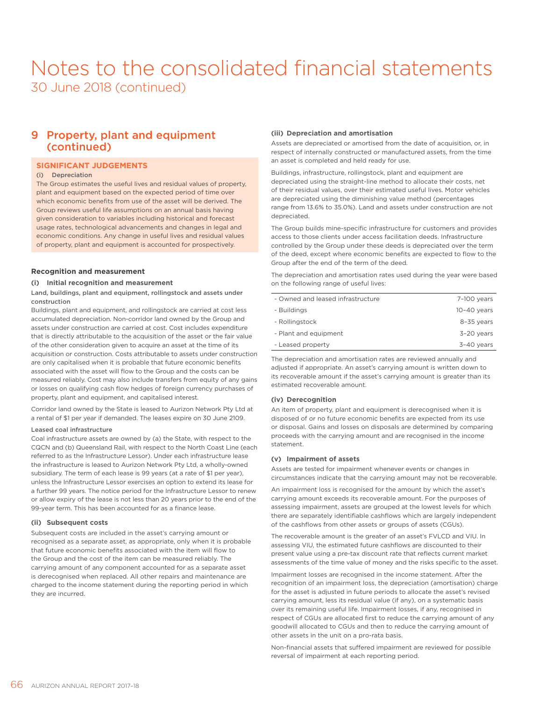### 9 Property, plant and equipment (continued)

### **SIGNIFICANT JUDGEMENTS**

#### (i) Depreciation

The Group estimates the useful lives and residual values of property, plant and equipment based on the expected period of time over which economic benefits from use of the asset will be derived. The Group reviews useful life assumptions on an annual basis having given consideration to variables including historical and forecast usage rates, technological advancements and changes in legal and economic conditions. Any change in useful lives and residual values of property, plant and equipment is accounted for prospectively.

### **Recognition and measurement**

#### **(i) Initial recognition and measurement**

#### Land, buildings, plant and equipment, rollingstock and assets under construction

Buildings, plant and equipment, and rollingstock are carried at cost less accumulated depreciation. Non-corridor land owned by the Group and assets under construction are carried at cost. Cost includes expenditure that is directly attributable to the acquisition of the asset or the fair value of the other consideration given to acquire an asset at the time of its acquisition or construction. Costs attributable to assets under construction are only capitalised when it is probable that future economic benefits associated with the asset will flow to the Group and the costs can be measured reliably. Cost may also include transfers from equity of any gains or losses on qualifying cash flow hedges of foreign currency purchases of property, plant and equipment, and capitalised interest.

Corridor land owned by the State is leased to Aurizon Network Pty Ltd at a rental of \$1 per year if demanded. The leases expire on 30 June 2109.

### Leased coal infrastructure

Coal infrastructure assets are owned by (a) the State, with respect to the CQCN and (b) Queensland Rail, with respect to the North Coast Line (each referred to as the Infrastructure Lessor). Under each infrastructure lease the infrastructure is leased to Aurizon Network Pty Ltd, a wholly-owned subsidiary. The term of each lease is 99 years (at a rate of \$1 per year), unless the Infrastructure Lessor exercises an option to extend its lease for a further 99 years. The notice period for the Infrastructure Lessor to renew or allow expiry of the lease is not less than 20 years prior to the end of the 99-year term. This has been accounted for as a finance lease.

#### **(ii) Subsequent costs**

Subsequent costs are included in the asset's carrying amount or recognised as a separate asset, as appropriate, only when it is probable that future economic benefits associated with the item will flow to the Group and the cost of the item can be measured reliably. The carrying amount of any component accounted for as a separate asset is derecognised when replaced. All other repairs and maintenance are charged to the income statement during the reporting period in which they are incurred.

#### **(iii) Depreciation and amortisation**

Assets are depreciated or amortised from the date of acquisition, or, in respect of internally constructed or manufactured assets, from the time an asset is completed and held ready for use.

Buildings, infrastructure, rollingstock, plant and equipment are depreciated using the straight-line method to allocate their costs, net of their residual values, over their estimated useful lives. Motor vehicles are depreciated using the diminishing value method (percentages range from 13.6% to 35.0%). Land and assets under construction are not depreciated.

The Group builds mine-specific infrastructure for customers and provides access to those clients under access facilitation deeds. Infrastructure controlled by the Group under these deeds is depreciated over the term of the deed, except where economic benefits are expected to flow to the Group after the end of the term of the deed.

The depreciation and amortisation rates used during the year were based on the following range of useful lives:

| - Owned and leased infrastructure | 7-100 years   |
|-----------------------------------|---------------|
| - Buildings                       | $10-40$ vears |
| - Rollingstock                    | 8-35 years    |
| - Plant and equipment             | 3-20 years    |
| - Leased property                 | 3-40 years    |
|                                   |               |

The depreciation and amortisation rates are reviewed annually and adjusted if appropriate. An asset's carrying amount is written down to its recoverable amount if the asset's carrying amount is greater than its estimated recoverable amount.

### **(iv) Derecognition**

An item of property, plant and equipment is derecognised when it is disposed of or no future economic benefits are expected from its use or disposal. Gains and losses on disposals are determined by comparing proceeds with the carrying amount and are recognised in the income statement.

#### **(v) Impairment of assets**

Assets are tested for impairment whenever events or changes in circumstances indicate that the carrying amount may not be recoverable.

An impairment loss is recognised for the amount by which the asset's carrying amount exceeds its recoverable amount. For the purposes of assessing impairment, assets are grouped at the lowest levels for which there are separately identifiable cashflows which are largely independent of the cashflows from other assets or groups of assets (CGUs).

The recoverable amount is the greater of an asset's FVLCD and VIU. In assessing VIU, the estimated future cashflows are discounted to their present value using a pre-tax discount rate that reflects current market assessments of the time value of money and the risks specific to the asset.

Impairment losses are recognised in the income statement. After the recognition of an impairment loss, the depreciation (amortisation) charge for the asset is adjusted in future periods to allocate the asset's revised carrying amount, less its residual value (if any), on a systematic basis over its remaining useful life. Impairment losses, if any, recognised in respect of CGUs are allocated first to reduce the carrying amount of any goodwill allocated to CGUs and then to reduce the carrying amount of other assets in the unit on a pro-rata basis.

Non-financial assets that suffered impairment are reviewed for possible reversal of impairment at each reporting period.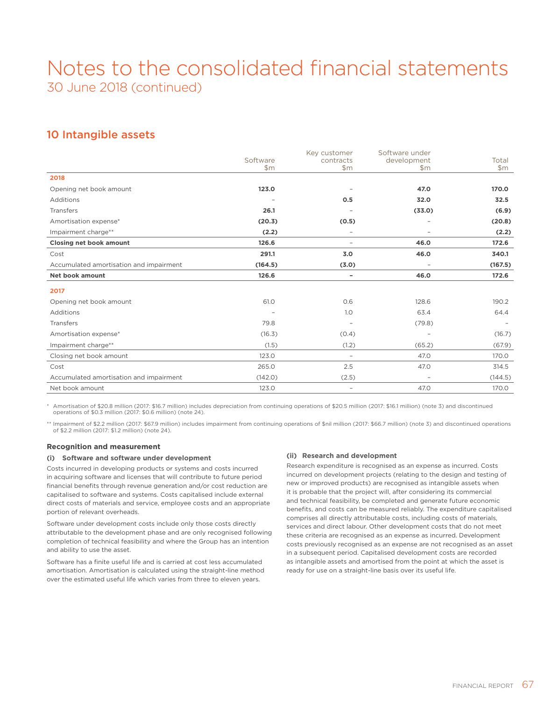### 10 Intangible assets

|                                         |                   | Key customer             | Software under           |                |
|-----------------------------------------|-------------------|--------------------------|--------------------------|----------------|
|                                         | Software<br>\$m\$ | contracts<br>\$m\$       | development<br>\$m\$     | Total<br>\$m\$ |
| 2018                                    |                   |                          |                          |                |
| Opening net book amount                 | 123.0             |                          | 47.0                     | 170.0          |
| Additions                               |                   | 0.5                      | 32.0                     | 32.5           |
| Transfers                               | 26.1              |                          | (33.0)                   | (6.9)          |
| Amortisation expense*                   | (20.3)            | (0.5)                    |                          | (20.8)         |
| Impairment charge**                     | (2.2)             | $\overline{\phantom{a}}$ | $\overline{a}$           | (2.2)          |
| <b>Closing net book amount</b>          | 126.6             | $\overline{\phantom{a}}$ | 46.0                     | 172.6          |
| Cost                                    | 291.1             | 3.0                      | 46.0                     | 340.1          |
| Accumulated amortisation and impairment | (164.5)           | (3.0)                    | $\overline{\phantom{0}}$ | (167.5)        |
| <b>Net book amount</b>                  | 126.6             | $\overline{\phantom{a}}$ | 46.0                     | 172.6          |
| 2017                                    |                   |                          |                          |                |
| Opening net book amount                 | 61.0              | 0.6                      | 128.6                    | 190.2          |
| Additions                               | ٠                 | 1.0                      | 63.4                     | 64.4           |
| Transfers                               | 79.8              |                          | (79.8)                   |                |
| Amortisation expense*                   | (16.3)            | (0.4)                    | ۳                        | (16.7)         |
| Impairment charge**                     | (1.5)             | (1.2)                    | (65.2)                   | (67.9)         |
| Closing net book amount                 | 123.0             | $\overline{\phantom{a}}$ | 47.0                     | 170.0          |
| Cost                                    | 265.0             | 2.5                      | 47.0                     | 314.5          |
| Accumulated amortisation and impairment | (142.0)           | (2.5)                    | $\overline{\phantom{0}}$ | (144.5)        |
| Net book amount                         | 123.0             | $\overline{\phantom{a}}$ | 47.0                     | 170.0          |

\* Amortisation of \$20.8 million (2017: \$16.7 million) includes depreciation from continuing operations of \$20.5 million (2017: \$16.1 million) (note 3) and discontinued operations of \$0.3 million (2017: \$0.6 million) (note 24).

\*\* Impairment of \$2.2 million (2017: \$67.9 million) includes impairment from continuing operations of \$nil million (2017: \$66.7 million) (note 3) and discontinued operations of \$2.2 million (2017: \$1.2 million) (note 24).

### **Recognition and measurement**

### **(i) Software and software under development**

Costs incurred in developing products or systems and costs incurred in acquiring software and licenses that will contribute to future period financial benefits through revenue generation and/or cost reduction are capitalised to software and systems. Costs capitalised include external direct costs of materials and service, employee costs and an appropriate portion of relevant overheads.

Software under development costs include only those costs directly attributable to the development phase and are only recognised following completion of technical feasibility and where the Group has an intention and ability to use the asset.

Software has a finite useful life and is carried at cost less accumulated amortisation. Amortisation is calculated using the straight-line method over the estimated useful life which varies from three to eleven years.

### **(ii) Research and development**

Research expenditure is recognised as an expense as incurred. Costs incurred on development projects (relating to the design and testing of new or improved products) are recognised as intangible assets when it is probable that the project will, after considering its commercial and technical feasibility, be completed and generate future economic benefits, and costs can be measured reliably. The expenditure capitalised comprises all directly attributable costs, including costs of materials, services and direct labour. Other development costs that do not meet these criteria are recognised as an expense as incurred. Development costs previously recognised as an expense are not recognised as an asset in a subsequent period. Capitalised development costs are recorded as intangible assets and amortised from the point at which the asset is ready for use on a straight-line basis over its useful life.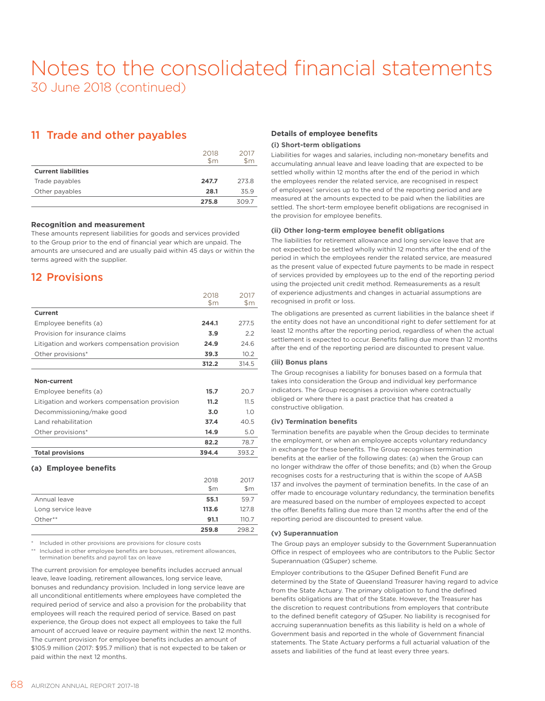### 11 Trade and other payables

|                            | 2018<br>$\mathsf{Sm}$ | 2017<br>$\mathsf{Sm}$ |
|----------------------------|-----------------------|-----------------------|
| <b>Current liabilities</b> |                       |                       |
| Trade payables             | 247.7                 | 273.8                 |
| Other payables             | 28.1                  | 35.9                  |
|                            | 275.8                 | 309.7                 |

### **Recognition and measurement**

These amounts represent liabilities for goods and services provided to the Group prior to the end of financial year which are unpaid. The amounts are unsecured and are usually paid within 45 days or within the terms agreed with the supplier.

### 12 Provisions

|                                               | 2018<br>$\mathsf{Sm}$ | 2017<br>$\mathsf{Sm}$ |
|-----------------------------------------------|-----------------------|-----------------------|
| Current                                       |                       |                       |
| Employee benefits (a)                         | 244.1                 | 277.5                 |
| Provision for insurance claims                | 3.9                   | 2.2                   |
| Litigation and workers compensation provision | 24.9                  | 246                   |
| Other provisions*                             | 39.3                  | 10.2                  |
|                                               | 312.2                 | 314.5                 |
| Non-current                                   |                       |                       |
| Employee benefits (a)                         | 15.7                  | 20.7                  |
| Litigation and workers compensation provision | 11.2                  | 11.5                  |
| Decommissioning/make good                     | 3.0                   | 1 <sub>O</sub>        |
| Land rehabilitation                           | 37.4                  | 40.5                  |
| Other provisions*                             | 14.9                  | 5.0                   |
|                                               | 82.2                  | 78.7                  |
| <b>Total provisions</b>                       | 394.4                 | 393.2                 |
| <b>Employee benefits</b><br>(a)               |                       |                       |
|                                               | 2018                  | 2017                  |
|                                               | \$m                   | \$m                   |
| Annual leave                                  | 55.1                  | 59.7                  |

Included in other provisions are provisions for closure costs

Included in other employee benefits are bonuses, retirement allowances, termination benefits and payroll tax on leave

Long service leave **113.6** 127.8 Other\*\* **91.1** 110.7

The current provision for employee benefits includes accrued annual leave, leave loading, retirement allowances, long service leave, bonuses and redundancy provision. Included in long service leave are all unconditional entitlements where employees have completed the required period of service and also a provision for the probability that employees will reach the required period of service. Based on past experience, the Group does not expect all employees to take the full amount of accrued leave or require payment within the next 12 months. The current provision for employee benefits includes an amount of \$105.9 million (2017: \$95.7 million) that is not expected to be taken or paid within the next 12 months.

### **Details of employee benefits**

#### **(i) Short-term obligations**

Liabilities for wages and salaries, including non-monetary benefits and accumulating annual leave and leave loading that are expected to be settled wholly within 12 months after the end of the period in which the employees render the related service, are recognised in respect of employees' services up to the end of the reporting period and are measured at the amounts expected to be paid when the liabilities are settled. The short-term employee benefit obligations are recognised in the provision for employee benefits.

### **(ii) Other long-term employee benefit obligations**

The liabilities for retirement allowance and long service leave that are not expected to be settled wholly within 12 months after the end of the period in which the employees render the related service, are measured as the present value of expected future payments to be made in respect of services provided by employees up to the end of the reporting period using the projected unit credit method. Remeasurements as a result of experience adjustments and changes in actuarial assumptions are recognised in profit or loss.

The obligations are presented as current liabilities in the balance sheet if the entity does not have an unconditional right to defer settlement for at least 12 months after the reporting period, regardless of when the actual settlement is expected to occur. Benefits falling due more than 12 months after the end of the reporting period are discounted to present value.

#### **(iii) Bonus plans**

The Group recognises a liability for bonuses based on a formula that takes into consideration the Group and individual key performance indicators. The Group recognises a provision where contractually obliged or where there is a past practice that has created a constructive obligation.

### **(iv) Termination benefits**

Termination benefits are payable when the Group decides to terminate the employment, or when an employee accepts voluntary redundancy in exchange for these benefits. The Group recognises termination benefits at the earlier of the following dates: (a) when the Group can no longer withdraw the offer of those benefits; and (b) when the Group recognises costs for a restructuring that is within the scope of AASB 137 and involves the payment of termination benefits. In the case of an offer made to encourage voluntary redundancy, the termination benefits are measured based on the number of employees expected to accept the offer. Benefits falling due more than 12 months after the end of the reporting period are discounted to present value.

#### **(v) Superannuation**

**259.8** 298.2

The Group pays an employer subsidy to the Government Superannuation Office in respect of employees who are contributors to the Public Sector Superannuation (QSuper) scheme.

Employer contributions to the QSuper Defined Benefit Fund are determined by the State of Queensland Treasurer having regard to advice from the State Actuary. The primary obligation to fund the defined benefits obligations are that of the State. However, the Treasurer has the discretion to request contributions from employers that contribute to the defined benefit category of QSuper. No liability is recognised for accruing superannuation benefits as this liability is held on a whole of Government basis and reported in the whole of Government financial statements. The State Actuary performs a full actuarial valuation of the assets and liabilities of the fund at least every three years.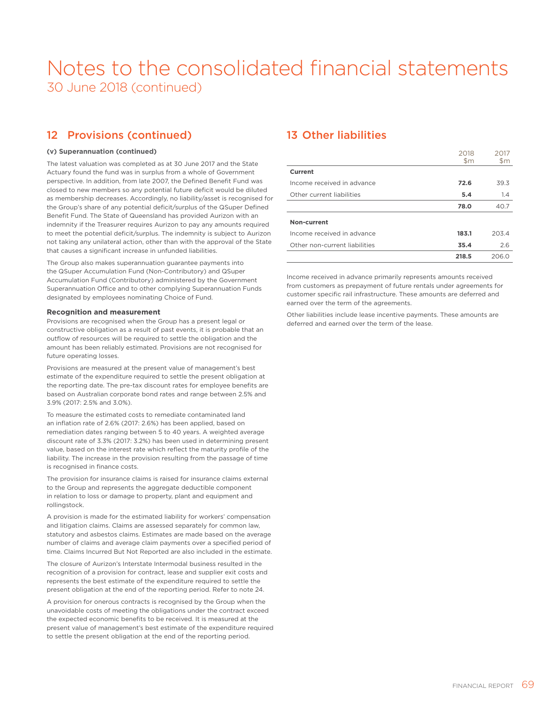### 12 Provisions (continued)

### **(v) Superannuation (continued)**

The latest valuation was completed as at 30 June 2017 and the State Actuary found the fund was in surplus from a whole of Government perspective. In addition, from late 2007, the Defined Benefit Fund was closed to new members so any potential future deficit would be diluted as membership decreases. Accordingly, no liability/asset is recognised for the Group's share of any potential deficit/surplus of the QSuper Defined Benefit Fund. The State of Queensland has provided Aurizon with an indemnity if the Treasurer requires Aurizon to pay any amounts required to meet the potential deficit/surplus. The indemnity is subject to Aurizon not taking any unilateral action, other than with the approval of the State that causes a significant increase in unfunded liabilities.

The Group also makes superannuation guarantee payments into the QSuper Accumulation Fund (Non-Contributory) and QSuper Accumulation Fund (Contributory) administered by the Government Superannuation Office and to other complying Superannuation Funds designated by employees nominating Choice of Fund.

#### **Recognition and measurement**

Provisions are recognised when the Group has a present legal or constructive obligation as a result of past events, it is probable that an outflow of resources will be required to settle the obligation and the amount has been reliably estimated. Provisions are not recognised for future operating losses.

Provisions are measured at the present value of management's best estimate of the expenditure required to settle the present obligation at the reporting date. The pre-tax discount rates for employee benefits are based on Australian corporate bond rates and range between 2.5% and 3.9% (2017: 2.5% and 3.0%).

To measure the estimated costs to remediate contaminated land an inflation rate of 2.6% (2017: 2.6%) has been applied, based on remediation dates ranging between 5 to 40 years. A weighted average discount rate of 3.3% (2017: 3.2%) has been used in determining present value, based on the interest rate which reflect the maturity profile of the liability. The increase in the provision resulting from the passage of time is recognised in finance costs.

The provision for insurance claims is raised for insurance claims external to the Group and represents the aggregate deductible component in relation to loss or damage to property, plant and equipment and rollingstock.

A provision is made for the estimated liability for workers' compensation and litigation claims. Claims are assessed separately for common law, statutory and asbestos claims. Estimates are made based on the average number of claims and average claim payments over a specified period of time. Claims Incurred But Not Reported are also included in the estimate.

The closure of Aurizon's Interstate Intermodal business resulted in the recognition of a provision for contract, lease and supplier exit costs and represents the best estimate of the expenditure required to settle the present obligation at the end of the reporting period. Refer to note 24.

A provision for onerous contracts is recognised by the Group when the unavoidable costs of meeting the obligations under the contract exceed the expected economic benefits to be received. It is measured at the present value of management's best estimate of the expenditure required to settle the present obligation at the end of the reporting period.

### 13 Other liabilities

|                               | 2018<br>$\mathsf{Sm}$ | 2017<br>\$m |
|-------------------------------|-----------------------|-------------|
| Current                       |                       |             |
| Income received in advance    | 72.6                  | 39.3        |
| Other current liabilities     | 5.4                   | 1.4         |
|                               | 78.0                  | 40.7        |
| Non-current                   |                       |             |
| Income received in advance    | 183.1                 | 203.4       |
| Other non-current liabilities | 35.4                  | 2.6         |
|                               | 218.5                 | 206.0       |

Income received in advance primarily represents amounts received from customers as prepayment of future rentals under agreements for customer specific rail infrastructure. These amounts are deferred and earned over the term of the agreements.

Other liabilities include lease incentive payments. These amounts are deferred and earned over the term of the lease.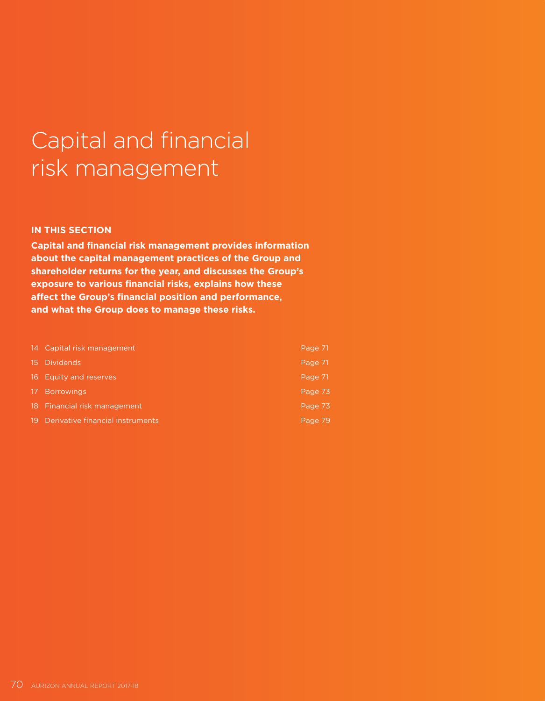# Capital and financial risk management

### **IN THIS SECTION**

**Capital and financial risk management provides information about the capital management practices of the Group and shareholder returns for the year, and discusses the Group's exposure to various financial risks, explains how these affect the Group's financial position and performance, and what the Group does to manage these risks.**

|      | 14 Capital risk management       | Page 71 |
|------|----------------------------------|---------|
|      | 15 Dividends                     | Page 71 |
|      | 16 Equity and reserves           | Page 71 |
|      | 17 Borrowings                    | Page 73 |
|      | 18 Financial risk management     | Page 73 |
| -19. | Derivative financial instruments | Page 79 |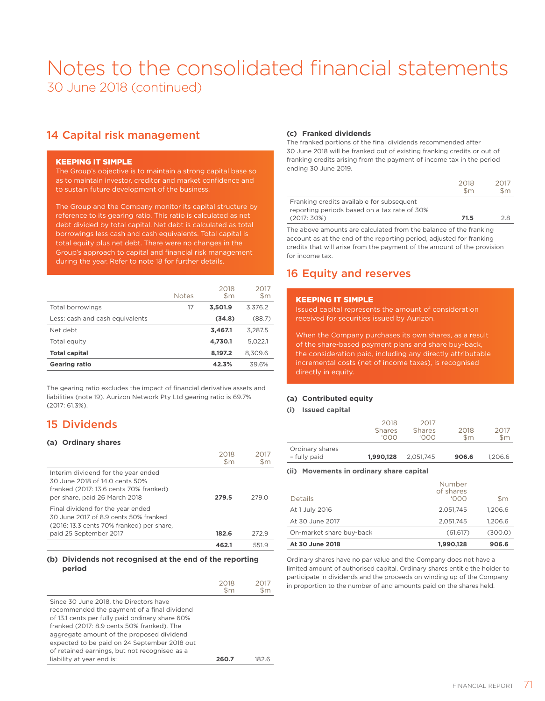### 14 Capital risk management

### KEEPING IT SIMPLE

The Group's objective is to maintain a strong capital base so as to maintain investor, creditor and market confidence and to sustain future development of the business.

The Group and the Company monitor its capital structure by reference to its gearing ratio. This ratio is calculated as net debt divided by total capital. Net debt is calculated as total borrowings less cash and cash equivalents. Total capital is total equity plus net debt. There were no changes in the Group's approach to capital and financial risk management during the year. Refer to note 18 for further details.

|                                 | <b>Notes</b> | 2018<br>\$m | 2017<br>$\mathsf{Sm}$ |
|---------------------------------|--------------|-------------|-----------------------|
| Total borrowings                | 17           | 3,501.9     | 3.376.2               |
| Less: cash and cash equivalents |              | (34.8)      | (88.7)                |
| Net debt                        |              | 3,467.1     | 3.287.5               |
| Total equity                    |              | 4,730.1     | 5.022.1               |
| <b>Total capital</b>            |              | 8,197.2     | 8.309.6               |
| <b>Gearing ratio</b>            |              | 42.3%       | 39.6%                 |

The gearing ratio excludes the impact of financial derivative assets and liabilities (note 19). Aurizon Network Pty Ltd gearing ratio is 69.7% (2017: 61.3%).

### 15 Dividends

### **(a) Ordinary shares**

|                                                                                                                                                   | 2018<br>$\mathsf{Sm}$ | \$m   |
|---------------------------------------------------------------------------------------------------------------------------------------------------|-----------------------|-------|
| Interim dividend for the year ended<br>30 June 2018 of 14 0 cents 50%<br>franked (2017: 13.6 cents 70% franked)<br>per share, paid 26 March 2018  | 279.5                 | 279 O |
| Final dividend for the year ended<br>30 June 2017 of 8.9 cents 50% franked<br>(2016: 13.3 cents 70% franked) per share,<br>paid 25 September 2017 | 182.6                 | 272.9 |
|                                                                                                                                                   | 462.1                 | 5519  |

### **(b) Dividends not recognised at the end of the reporting period**

|                                                                                                                                                                                                                                                                                                                                      | 2018<br>$\mathsf{Sm}$ | 2017<br>\$m |
|--------------------------------------------------------------------------------------------------------------------------------------------------------------------------------------------------------------------------------------------------------------------------------------------------------------------------------------|-----------------------|-------------|
| Since 30 June 2018, the Directors have<br>recommended the payment of a final dividend<br>of 13.1 cents per fully paid ordinary share 60%<br>franked (2017: 8.9 cents 50% franked). The<br>aggregate amount of the proposed dividend<br>expected to be paid on 24 September 2018 out<br>of retained earnings, but not recognised as a |                       |             |
| liability at year end is:                                                                                                                                                                                                                                                                                                            | 260 Z                 | 182 G       |

### **(c) Franked dividends**

The franked portions of the final dividends recommended after 30 June 2018 will be franked out of existing franking credits or out of franking credits arising from the payment of income tax in the period ending 30 June 2019.

|                                                                                           | $  -$<br>\$m\$ | $    -$<br>\$m. |
|-------------------------------------------------------------------------------------------|----------------|-----------------|
| Franking credits available for subsequent<br>reporting periods based on a tax rate of 30% |                |                 |
| $(2017:30\%)$                                                                             | 71.5           | 2 R             |

 $2018$ 

 $2017$ 

The above amounts are calculated from the balance of the franking account as at the end of the reporting period, adjusted for franking credits that will arise from the payment of the amount of the provision for income tax.

### 16 Equity and reserves

### KEEPING IT SIMPLE

Issued capital represents the amount of consideration received for securities issued by Aurizon.

When the Company purchases its own shares, as a result of the share-based payment plans and share buy-back, the consideration paid, including any directly attributable incremental costs (net of income taxes), is recognised directly in equity.

### **(a) Contributed equity**

**(i) Issued capital**

|                                 | 2018<br><b>Shares</b><br><u>roon</u> | 2017<br><b>Shares</b><br>'OOO | 2018<br>$\mathsf{Sm}$ | 2017<br>$\mathsf{Sm}$ |
|---------------------------------|--------------------------------------|-------------------------------|-----------------------|-----------------------|
| Ordinary shares<br>- fully paid | 1,990,128                            | 2,051,745                     | 906.6                 | 1.206.6               |

#### **(ii) Movements in ordinary share capital**

| Details                  | Number<br>of shares<br><u>'OOO</u> | $\mathsf{Sm}$ |
|--------------------------|------------------------------------|---------------|
| At 1 July 2016           | 2.051.745                          | 1.206.6       |
| At 30 June 2017          | 2.051.745                          | 1.206.6       |
| On-market share buy-back | (61, 617)                          | (300.0)       |
| At 30 June 2018          | 1,990,128                          | 906.6         |

Ordinary shares have no par value and the Company does not have a limited amount of authorised capital. Ordinary shares entitle the holder to participate in dividends and the proceeds on winding up of the Company in proportion to the number of and amounts paid on the shares held.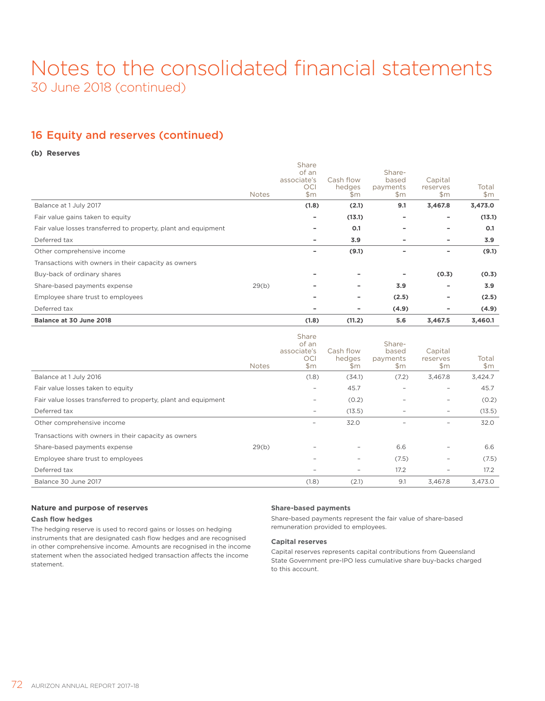### 16 Equity and reserves (continued)

### **(b) Reserves**

| Balance at 30 June 2018                                        |              | (1.8)                                              | (11.2)                     | 5.6                                | 3,467.5                    | 3,460.1        |
|----------------------------------------------------------------|--------------|----------------------------------------------------|----------------------------|------------------------------------|----------------------------|----------------|
| Deferred tax                                                   |              | -                                                  | ۰                          | (4.9)                              | ۰                          | (4.9)          |
| Employee share trust to employees                              |              |                                                    | -                          | (2.5)                              |                            | (2.5)          |
| Share-based payments expense                                   | 29(b)        |                                                    | ۰                          | 3.9                                |                            | 3.9            |
| Buy-back of ordinary shares                                    |              | -                                                  | ۰                          | -                                  | (0.3)                      | (0.3)          |
| Transactions with owners in their capacity as owners           |              |                                                    |                            |                                    |                            |                |
| Other comprehensive income                                     |              |                                                    | (9.1)                      |                                    | ۰                          | (9.1)          |
| Deferred tax                                                   |              | -                                                  | 3.9                        | -                                  | ۰                          | 3.9            |
| Fair value losses transferred to property, plant and equipment |              | -                                                  | O.1                        |                                    |                            | 0.1            |
| Fair value gains taken to equity                               |              | ۰                                                  | (13.1)                     | ۰                                  |                            | (13.1)         |
| Balance at 1 July 2017                                         |              | (1.8)                                              | (2.1)                      | 9.1                                | 3,467.8                    | 3,473.0        |
|                                                                | <b>Notes</b> | Share<br>of an<br>associate's<br><b>OCI</b><br>\$m | Cash flow<br>hedges<br>\$m | Share-<br>based<br>payments<br>\$m | Capital<br>reserves<br>\$m | Total<br>\$m\$ |

|                                                                | <b>Notes</b> | Share<br>of an<br>associate's<br>OCI<br>\$m\$ | Cash flow<br>hedges<br>\$m | Share-<br>based<br>payments<br>\$m | Capital<br>reserves<br>\$m | Total<br>$\mathsf{Sm}$ |
|----------------------------------------------------------------|--------------|-----------------------------------------------|----------------------------|------------------------------------|----------------------------|------------------------|
| Balance at 1 July 2016                                         |              | (1.8)                                         | (34.1)                     | (7.2)                              | 3,467.8                    | 3,424.7                |
| Fair value losses taken to equity                              |              | $\overline{\phantom{a}}$                      | 45.7                       | $\overline{\phantom{a}}$           |                            | 45.7                   |
| Fair value losses transferred to property, plant and equipment |              |                                               | (0.2)                      |                                    |                            | (0.2)                  |
| Deferred tax                                                   |              | $\overline{\phantom{a}}$                      | (13.5)                     |                                    | $\overline{\phantom{a}}$   | (13.5)                 |
| Other comprehensive income                                     |              |                                               | 32.0                       |                                    | -                          | 32.0                   |
| Transactions with owners in their capacity as owners           |              |                                               |                            |                                    |                            |                        |
| Share-based payments expense                                   | 29(b)        |                                               | $\overline{\phantom{0}}$   | 6.6                                |                            | 6.6                    |
| Employee share trust to employees                              |              | $\overline{\phantom{a}}$                      | $\overline{\phantom{a}}$   | (7.5)                              |                            | (7.5)                  |
| Deferred tax                                                   |              |                                               | $\overline{\phantom{a}}$   | 17.2                               |                            | 17.2                   |
| Balance 30 June 2017                                           |              | (1.8)                                         | (2.1)                      | 9.1                                | 3,467.8                    | 3,473.0                |

### **Nature and purpose of reserves**

### **Cash flow hedges**

The hedging reserve is used to record gains or losses on hedging instruments that are designated cash flow hedges and are recognised in other comprehensive income. Amounts are recognised in the income statement when the associated hedged transaction affects the income statement.

### **Share-based payments**

Share-based payments represent the fair value of share-based remuneration provided to employees.

### **Capital reserves**

Capital reserves represents capital contributions from Queensland State Government pre-IPO less cumulative share buy-backs charged to this account.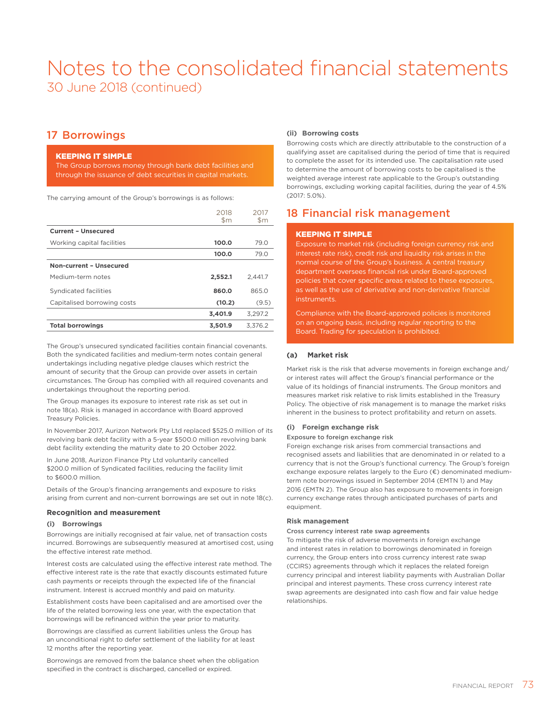### 17 Borrowings

### KEEPING IT SIMPLE

The Group borrows money through bank debt facilities and through the issuance of debt securities in capital markets.

The carrying amount of the Group's borrowings is as follows:

|                             | 2018<br>$\mathsf{Sm}$ | 2017<br>$\mathsf{Sm}$ |
|-----------------------------|-----------------------|-----------------------|
| <b>Current - Unsecured</b>  |                       |                       |
| Working capital facilities  | 100.0                 | 79.0                  |
|                             | 100.0                 | 79.0                  |
| Non-current - Unsecured     |                       |                       |
| Medium-term notes           | 2,552.1               | 2.441.7               |
| Syndicated facilities       | 860.0                 | 865.0                 |
| Capitalised borrowing costs | (10.2)                | (9.5)                 |
|                             | 3,401.9               | 3.297.2               |
| <b>Total borrowings</b>     | 3,501.9               | 3,376.2               |

The Group's unsecured syndicated facilities contain financial covenants. Both the syndicated facilities and medium-term notes contain general undertakings including negative pledge clauses which restrict the amount of security that the Group can provide over assets in certain circumstances. The Group has complied with all required covenants and undertakings throughout the reporting period.

The Group manages its exposure to interest rate risk as set out in note 18(a). Risk is managed in accordance with Board approved Treasury Policies.

In November 2017, Aurizon Network Pty Ltd replaced \$525.0 million of its revolving bank debt facility with a 5-year \$500.0 million revolving bank debt facility extending the maturity date to 20 October 2022.

In June 2018, Aurizon Finance Pty Ltd voluntarily cancelled \$200.0 million of Syndicated facilities, reducing the facility limit to \$600.0 million.

Details of the Group's financing arrangements and exposure to risks arising from current and non-current borrowings are set out in note 18(c).

### **Recognition and measurement**

### **(i) Borrowings**

Borrowings are initially recognised at fair value, net of transaction costs incurred. Borrowings are subsequently measured at amortised cost, using the effective interest rate method.

Interest costs are calculated using the effective interest rate method. The effective interest rate is the rate that exactly discounts estimated future cash payments or receipts through the expected life of the financial instrument. Interest is accrued monthly and paid on maturity.

Establishment costs have been capitalised and are amortised over the life of the related borrowing less one year, with the expectation that borrowings will be refinanced within the year prior to maturity.

Borrowings are classified as current liabilities unless the Group has an unconditional right to defer settlement of the liability for at least 12 months after the reporting year.

Borrowings are removed from the balance sheet when the obligation specified in the contract is discharged, cancelled or expired.

### **(ii) Borrowing costs**

Borrowing costs which are directly attributable to the construction of a qualifying asset are capitalised during the period of time that is required to complete the asset for its intended use. The capitalisation rate used to determine the amount of borrowing costs to be capitalised is the weighted average interest rate applicable to the Group's outstanding borrowings, excluding working capital facilities, during the year of 4.5% (2017: 5.0%).

### 18 Financial risk management

### KEEPING IT SIMPLE

Exposure to market risk (including foreign currency risk and interest rate risk), credit risk and liquidity risk arises in the normal course of the Group's business. A central treasury department oversees financial risk under Board-approved policies that cover specific areas related to these exposures, as well as the use of derivative and non-derivative financial instruments.

Compliance with the Board-approved policies is monitored on an ongoing basis, including regular reporting to the Board. Trading for speculation is prohibited.

### **(a) Market risk**

Market risk is the risk that adverse movements in foreign exchange and/ or interest rates will affect the Group's financial performance or the value of its holdings of financial instruments. The Group monitors and measures market risk relative to risk limits established in the Treasury Policy. The objective of risk management is to manage the market risks inherent in the business to protect profitability and return on assets.

### **(i) Foreign exchange risk**

### Exposure to foreign exchange risk

Foreign exchange risk arises from commercial transactions and recognised assets and liabilities that are denominated in or related to a currency that is not the Group's functional currency. The Group's foreign exchange exposure relates largely to the Euro (€) denominated mediumterm note borrowings issued in September 2014 (EMTN 1) and May 2016 (EMTN 2). The Group also has exposure to movements in foreign currency exchange rates through anticipated purchases of parts and equipment.

### **Risk management**

#### Cross currency interest rate swap agreements

To mitigate the risk of adverse movements in foreign exchange and interest rates in relation to borrowings denominated in foreign currency, the Group enters into cross currency interest rate swap (CCIRS) agreements through which it replaces the related foreign currency principal and interest liability payments with Australian Dollar principal and interest payments. These cross currency interest rate swap agreements are designated into cash flow and fair value hedge relationships.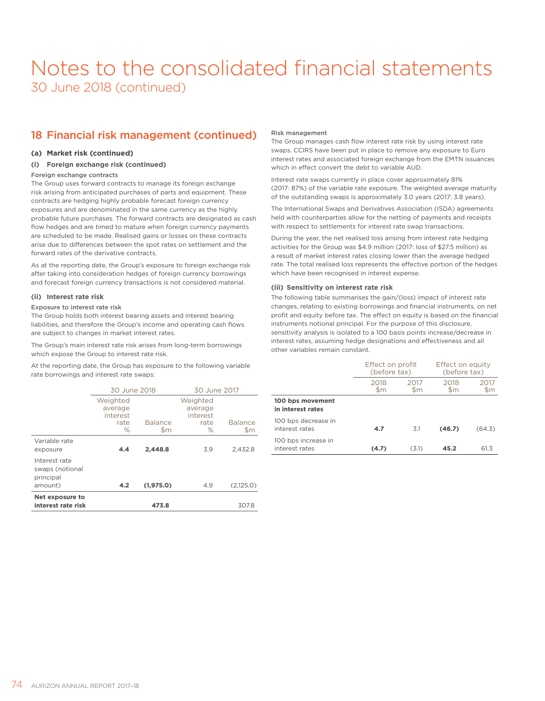### 18 Financial risk management (continued)

### **(a) Market risk (continued)**

### **(i) Foreign exchange risk (continued)**

### Foreign exchange contracts

The Group uses forward contracts to manage its foreign exchange risk arising from anticipated purchases of parts and equipment. These contracts are hedging highly probable forecast foreign currency exposures and are denominated in the same currency as the highly probable future purchases. The forward contracts are designated as cash flow hedges and are timed to mature when foreign currency payments are scheduled to be made. Realised gains or losses on these contracts arise due to differences between the spot rates on settlement and the forward rates of the derivative contracts.

As at the reporting date, the Group's exposure to foreign exchange risk after taking into consideration hedges of foreign currency borrowings and forecast foreign currency transactions is not considered material.

### **(ii) Interest rate risk**

### Exposure to interest rate risk

The Group holds both interest bearing assets and interest bearing liabilities, and therefore the Group's income and operating cash flows are subject to changes in market interest rates.

The Group's main interest rate risk arises from long-term borrowings which expose the Group to interest rate risk.

At the reporting date, the Group has exposure to the following variable rate borrowings and interest rate swaps:

|                                                          | 30 June 2018                                    |                                 | 30 June 2017                                    |                       |  |
|----------------------------------------------------------|-------------------------------------------------|---------------------------------|-------------------------------------------------|-----------------------|--|
|                                                          | Weighted<br>average<br>interest<br>rate<br>$\%$ | <b>Balance</b><br>$\mathsf{Sm}$ | Weighted<br>average<br>interest<br>rate<br>$\%$ | <b>Balance</b><br>\$m |  |
| Variable rate<br>exposure                                | 4.4                                             | 2.448.8                         | 3.9                                             | 2.432.8               |  |
| Interest rate<br>swaps (notional<br>principal<br>amount) | 4.2                                             | (1,975.0)                       | 4.9                                             | (2,125.0)             |  |
| Net exposure to<br>interest rate risk                    |                                                 | 473.8                           |                                                 | 307.8                 |  |
|                                                          |                                                 |                                 |                                                 |                       |  |

### Risk management

The Group manages cash flow interest rate risk by using interest rate swaps. CCIRS have been put in place to remove any exposure to Euro interest rates and associated foreign exchange from the EMTN issuances which in effect convert the debt to variable AUD.

Interest rate swaps currently in place cover approximately 81% (2017: 87%) of the variable rate exposure. The weighted average maturity of the outstanding swaps is approximately 3.0 years (2017: 3.8 years).

The International Swaps and Derivatives Association (ISDA) agreements held with counterparties allow for the netting of payments and receipts with respect to settlements for interest rate swap transactions.

During the year, the net realised loss arising from interest rate hedging activities for the Group was \$4.9 million (2017: loss of \$27.5 million) as a result of market interest rates closing lower than the average hedged rate. The total realised loss represents the effective portion of the hedges which have been recognised in interest expense.

### **(iii) Sensitivity on interest rate risk**

The following table summarises the gain/(loss) impact of interest rate changes, relating to existing borrowings and financial instruments, on net profit and equity before tax. The effect on equity is based on the financial instruments notional principal. For the purpose of this disclosure, sensitivity analysis is isolated to a 100 basis points increase/decrease in interest rates, assuming hedge designations and effectiveness and all other variables remain constant.

|                                       | Effect on profit<br>(before tax) |             | Effect on equity<br>(before tax) |             |
|---------------------------------------|----------------------------------|-------------|----------------------------------|-------------|
|                                       | 2018<br>\$m                      | 2017<br>\$m | 2018<br>\$m                      | 2017<br>\$m |
| 100 bps movement<br>in interest rates |                                  |             |                                  |             |
| 100 bps decrease in<br>interest rates | 4.7                              | 3.1         | (46.7)                           | (64.3)      |
| 100 bps increase in<br>interest rates | (4.7)                            | (3.1)       | 45.2                             | 61.3        |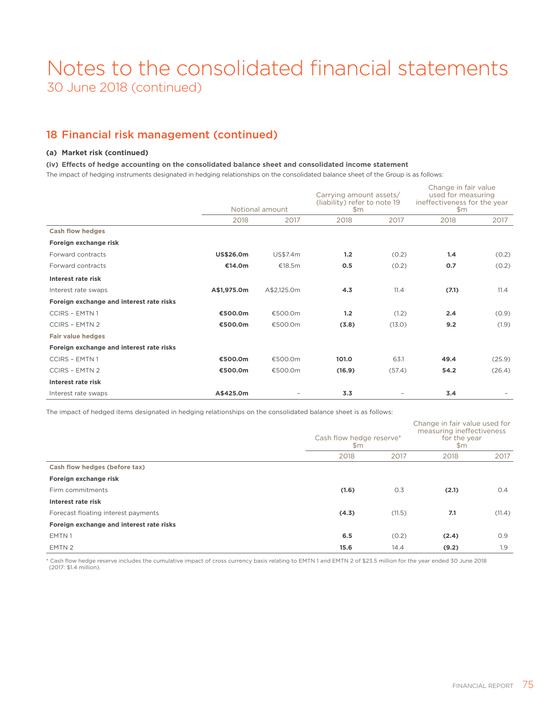### 18 Financial risk management (continued)

### **(a) Market risk (continued)**

### **(iv) Effects of hedge accounting on the consolidated balance sheet and consolidated income statement**

The impact of hedging instruments designated in hedging relationships on the consolidated balance sheet of the Group is as follows:

|                                          | Notional amount  |             | Carrying amount assets/<br>(liability) refer to note 19<br>\$m\$ |        | Change in fair value<br>used for measuring<br>ineffectiveness for the year<br>\$m\$ |        |
|------------------------------------------|------------------|-------------|------------------------------------------------------------------|--------|-------------------------------------------------------------------------------------|--------|
|                                          | 2018             | 2017        | 2018                                                             | 2017   | 2018                                                                                | 2017   |
| <b>Cash flow hedges</b>                  |                  |             |                                                                  |        |                                                                                     |        |
| Foreign exchange risk                    |                  |             |                                                                  |        |                                                                                     |        |
| Forward contracts                        | <b>US\$26.0m</b> | US\$7.4m    | 1.2                                                              | (0.2)  | 1.4                                                                                 | (0.2)  |
| Forward contracts                        | €14.0m           | €18.5 $m$   | 0.5                                                              | (0.2)  | 0.7                                                                                 | (0.2)  |
| Interest rate risk                       |                  |             |                                                                  |        |                                                                                     |        |
| Interest rate swaps                      | A\$1,975.0m      | A\$2,125.0m | 4.3                                                              | 11.4   | (7.1)                                                                               | 11.4   |
| Foreign exchange and interest rate risks |                  |             |                                                                  |        |                                                                                     |        |
| <b>CCIRS - EMTN1</b>                     | €500.0m          | €500.0m     | 1.2                                                              | (1.2)  | 2.4                                                                                 | (0.9)  |
| <b>CCIRS - EMTN 2</b>                    | €500.0m          | €500.0m     | (3.8)                                                            | (13.0) | 9.2                                                                                 | (1.9)  |
| <b>Fair value hedges</b>                 |                  |             |                                                                  |        |                                                                                     |        |
| Foreign exchange and interest rate risks |                  |             |                                                                  |        |                                                                                     |        |
| <b>CCIRS - EMTN1</b>                     | €500.0m          | €500.0m     | 101.0                                                            | 63.1   | 49.4                                                                                | (25.9) |
| <b>CCIRS - EMTN 2</b>                    | €500.0m          | €500.0m     | (16.9)                                                           | (57.4) | 54.2                                                                                | (26.4) |
| Interest rate risk                       |                  |             |                                                                  |        |                                                                                     |        |
| Interest rate swaps                      | A\$425.0m        |             | 3.3                                                              |        | 3.4                                                                                 |        |

The impact of hedged items designated in hedging relationships on the consolidated balance sheet is as follows:

|                                          | Cash flow hedge reserve*<br>\$m |        | Change in fair value used for<br>measuring ineffectiveness<br>for the year<br>\$m\$ |        |  |
|------------------------------------------|---------------------------------|--------|-------------------------------------------------------------------------------------|--------|--|
|                                          | 2018                            | 2017   | 2018                                                                                | 2017   |  |
| Cash flow hedges (before tax)            |                                 |        |                                                                                     |        |  |
| Foreign exchange risk                    |                                 |        |                                                                                     |        |  |
| Firm commitments                         | (1.6)                           | 0.3    | (2.1)                                                                               | 0.4    |  |
| Interest rate risk                       |                                 |        |                                                                                     |        |  |
| Forecast floating interest payments      | (4.3)                           | (11.5) | 7.1                                                                                 | (11.4) |  |
| Foreign exchange and interest rate risks |                                 |        |                                                                                     |        |  |
| EMTN1                                    | 6.5                             | (0.2)  | (2.4)                                                                               | O.9    |  |
| EMTN 2                                   | 15.6                            | 14.4   | (9.2)                                                                               | 1.9    |  |

\* Cash flow hedge reserve includes the cumulative impact of cross currency basis relating to EMTN 1 and EMTN 2 of \$23.5 million for the year ended 30 June 2018 (2017: \$1.4 million).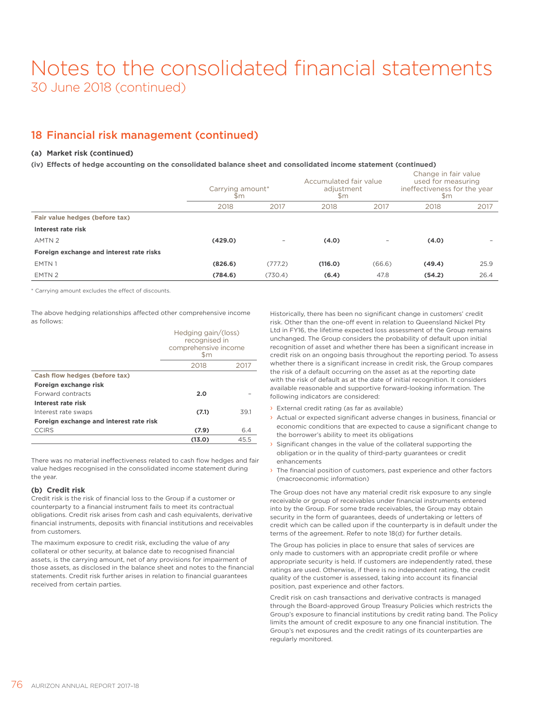### 18 Financial risk management (continued)

### **(a) Market risk (continued)**

### **(iv) Effects of hedge accounting on the consolidated balance sheet and consolidated income statement (continued)**

|                                          | Carrying amount*<br>$\mathsf{Sm}$ |                          | Accumulated fair value<br>adjustment<br>$\mathsf{Sm}$ |                          | Change in fair value<br>used for measuring<br>ineffectiveness for the year<br>$\mathsf{Sm}$ |      |
|------------------------------------------|-----------------------------------|--------------------------|-------------------------------------------------------|--------------------------|---------------------------------------------------------------------------------------------|------|
|                                          | 2018                              | 2017                     | 2018                                                  | 2017                     | 2018                                                                                        | 2017 |
| Fair value hedges (before tax)           |                                   |                          |                                                       |                          |                                                                                             |      |
| Interest rate risk                       |                                   |                          |                                                       |                          |                                                                                             |      |
| AMTN <sub>2</sub>                        | (429.0)                           | $\overline{\phantom{0}}$ | (4.0)                                                 | $\overline{\phantom{0}}$ | (4.0)                                                                                       |      |
| Foreign exchange and interest rate risks |                                   |                          |                                                       |                          |                                                                                             |      |
| EMTN1                                    | (826.6)                           | (777.2)                  | (116.0)                                               | (66.6)                   | (49.4)                                                                                      | 25.9 |
| EMTN 2                                   | (784.6)                           | (730.4)                  | (6.4)                                                 | 47.8                     | (54.2)                                                                                      | 26.4 |

\* Carrying amount excludes the effect of discounts.

The above hedging relationships affected other comprehensive income as follows:

|                                         | Hedging gain/(loss)<br>recognised in<br>comprehensive income |      |  |  |  |
|-----------------------------------------|--------------------------------------------------------------|------|--|--|--|
|                                         | \$m<br>2018<br>2017                                          |      |  |  |  |
| Cash flow hedges (before tax)           |                                                              |      |  |  |  |
| Foreign exchange risk                   |                                                              |      |  |  |  |
| Forward contracts                       | 2.0                                                          |      |  |  |  |
| Interest rate risk                      |                                                              |      |  |  |  |
| Interest rate swaps                     | (7.1)                                                        | 39.1 |  |  |  |
| Foreign exchange and interest rate risk |                                                              |      |  |  |  |
| <b>CCIRS</b>                            | (7.9)                                                        | 6.4  |  |  |  |
|                                         | (13.0)<br>45.5                                               |      |  |  |  |

There was no material ineffectiveness related to cash flow hedges and fair value hedges recognised in the consolidated income statement during the year.

### **(b) Credit risk**

Credit risk is the risk of financial loss to the Group if a customer or counterparty to a financial instrument fails to meet its contractual obligations. Credit risk arises from cash and cash equivalents, derivative financial instruments, deposits with financial institutions and receivables from customers.

The maximum exposure to credit risk, excluding the value of any collateral or other security, at balance date to recognised financial assets, is the carrying amount, net of any provisions for impairment of those assets, as disclosed in the balance sheet and notes to the financial statements. Credit risk further arises in relation to financial guarantees received from certain parties.

Historically, there has been no significant change in customers' credit risk. Other than the one-off event in relation to Queensland Nickel Pty Ltd in FY16, the lifetime expected loss assessment of the Group remains unchanged. The Group considers the probability of default upon initial recognition of asset and whether there has been a significant increase in credit risk on an ongoing basis throughout the reporting period. To assess whether there is a significant increase in credit risk, the Group compares the risk of a default occurring on the asset as at the reporting date with the risk of default as at the date of initial recognition. It considers available reasonable and supportive forward-looking information. The following indicators are considered:

- › External credit rating (as far as available)
- › Actual or expected significant adverse changes in business, financial or economic conditions that are expected to cause a significant change to the borrower's ability to meet its obligations
- $\rightarrow$  Significant changes in the value of the collateral supporting the obligation or in the quality of third-party guarantees or credit enhancements
- › The financial position of customers, past experience and other factors (macroeconomic information)

The Group does not have any material credit risk exposure to any single receivable or group of receivables under financial instruments entered into by the Group. For some trade receivables, the Group may obtain security in the form of guarantees, deeds of undertaking or letters of credit which can be called upon if the counterparty is in default under the terms of the agreement. Refer to note 18(d) for further details.

The Group has policies in place to ensure that sales of services are only made to customers with an appropriate credit profile or where appropriate security is held. If customers are independently rated, these ratings are used. Otherwise, if there is no independent rating, the credit quality of the customer is assessed, taking into account its financial position, past experience and other factors.

Credit risk on cash transactions and derivative contracts is managed through the Board-approved Group Treasury Policies which restricts the Group's exposure to financial institutions by credit rating band. The Policy limits the amount of credit exposure to any one financial institution. The Group's net exposures and the credit ratings of its counterparties are regularly monitored.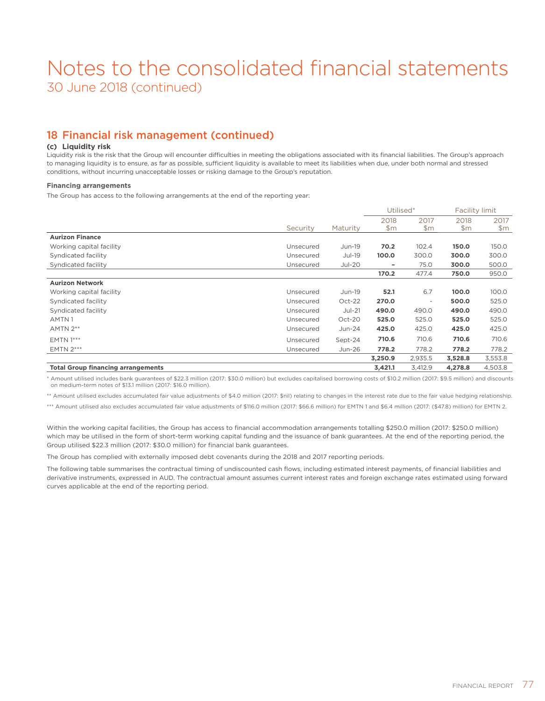### 18 Financial risk management (continued)

### **(c) Liquidity risk**

Liquidity risk is the risk that the Group will encounter difficulties in meeting the obligations associated with its financial liabilities. The Group's approach to managing liquidity is to ensure, as far as possible, sufficient liquidity is available to meet its liabilities when due, under both normal and stressed conditions, without incurring unacceptable losses or risking damage to the Group's reputation.

#### **Financing arrangements**

The Group has access to the following arrangements at the end of the reporting year:

|                                           |           |          |             | Utilised*                |               | Facility limit |
|-------------------------------------------|-----------|----------|-------------|--------------------------|---------------|----------------|
|                                           | Security  | Maturity | 2018<br>\$m | 2017<br>\$m\$            | 2018<br>\$m\$ | 2017<br>\$m\$  |
| <b>Aurizon Finance</b>                    |           |          |             |                          |               |                |
| Working capital facility                  | Unsecured | Jun-19   | 70.2        | 102.4                    | 150.0         | 150.0          |
| Syndicated facility                       | Unsecured | Jul-19   | 100.0       | 300.0                    | 300.0         | 300.0          |
| Syndicated facility                       | Unsecured | $Jul-20$ | ۰           | 75.0                     | 300.0         | 500.0          |
|                                           |           |          | 170.2       | 477.4                    | 750.0         | 950.0          |
| <b>Aurizon Network</b>                    |           |          |             |                          |               |                |
| Working capital facility                  | Unsecured | Jun-19   | 52.1        | 6.7                      | 100.0         | 100.0          |
| Syndicated facility                       | Unsecured | $Oct-22$ | 270.0       | $\overline{\phantom{a}}$ | 500.0         | 525.0          |
| Syndicated facility                       | Unsecured | $Jul-21$ | 490.0       | 490.0                    | 490.0         | 490.0          |
| AMTN1                                     | Unsecured | Oct-20   | 525.0       | 525.0                    | 525.0         | 525.0          |
| $AMTN 2**$                                | Unsecured | Jun-24   | 425.0       | 425.0                    | 425.0         | 425.0          |
| <b>EMTN 1***</b>                          | Unsecured | Sept-24  | 710.6       | 710.6                    | 710.6         | 710.6          |
| <b>EMTN 2***</b>                          | Unsecured | Jun-26   | 778.2       | 778.2                    | 778.2         | 778.2          |
|                                           |           |          | 3,250.9     | 2,935.5                  | 3,528.8       | 3,553.8        |
| <b>Total Group financing arrangements</b> |           |          | 3,421.1     | 3,412.9                  | 4,278.8       | 4,503.8        |

\* Amount utilised includes bank guarantees of \$22.3 million (2017: \$30.0 million) but excludes capitalised borrowing costs of \$10.2 million (2017: \$9.5 million) and discounts on medium-term notes of \$13.1 million (2017: \$16.0 million).

\*\* Amount utilised excludes accumulated fair value adjustments of \$4.0 million (2017: \$nil) relating to changes in the interest rate due to the fair value hedging relationship.

\*\*\* Amount utilised also excludes accumulated fair value adjustments of \$116.0 million (2017: \$66.6 million) for EMTN 1 and \$6.4 million (2017: (\$47.8) million) for EMTN 2.

Within the working capital facilities, the Group has access to financial accommodation arrangements totalling \$250.0 million (2017: \$250.0 million) which may be utilised in the form of short-term working capital funding and the issuance of bank guarantees. At the end of the reporting period, the Group utilised \$22.3 million (2017: \$30.0 million) for financial bank guarantees.

The Group has complied with externally imposed debt covenants during the 2018 and 2017 reporting periods.

The following table summarises the contractual timing of undiscounted cash flows, including estimated interest payments, of financial liabilities and derivative instruments, expressed in AUD. The contractual amount assumes current interest rates and foreign exchange rates estimated using forward curves applicable at the end of the reporting period.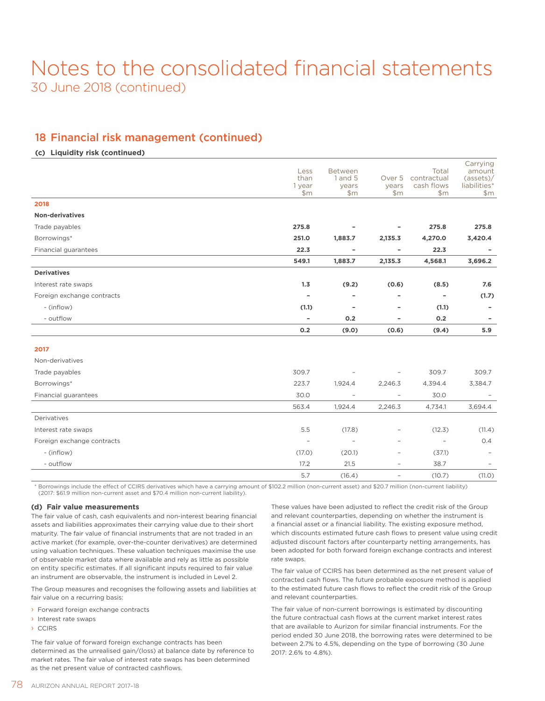### 18 Financial risk management (continued)

### **(c) Liquidity risk (continued)**

|                            | Less<br>than<br>1 year<br>\$m | <b>Between</b><br>1 and 5<br>years<br>\$m | Over 5<br>years<br>\$m\$ | Total<br>contractual<br>cash flows<br>\$m | Carrying<br>amount<br>(asserts)<br>liabilities*<br>\$m\$ |
|----------------------------|-------------------------------|-------------------------------------------|--------------------------|-------------------------------------------|----------------------------------------------------------|
| 2018                       |                               |                                           |                          |                                           |                                                          |
| <b>Non-derivatives</b>     |                               |                                           |                          |                                           |                                                          |
| Trade payables             | 275.8                         |                                           |                          | 275.8                                     | 275.8                                                    |
| Borrowings*                | 251.0                         | 1,883.7                                   | 2,135.3                  | 4,270.0                                   | 3,420.4                                                  |
| Financial guarantees       | 22.3                          |                                           |                          | 22.3                                      |                                                          |
|                            | 549.1                         | 1,883.7                                   | 2,135.3                  | 4,568.1                                   | 3,696.2                                                  |
| <b>Derivatives</b>         |                               |                                           |                          |                                           |                                                          |
| Interest rate swaps        | 1.3                           | (9.2)                                     | (0.6)                    | (8.5)                                     | 7.6                                                      |
| Foreign exchange contracts | $\overline{\phantom{a}}$      | ٠                                         | ۰                        | $\overline{\phantom{a}}$                  | (1.7)                                                    |
| - (inflow)                 | (1.1)                         | ۰                                         | ۰                        | (1.1)                                     |                                                          |
| - outflow                  | $\overline{\phantom{a}}$      | 0.2                                       | -                        | 0.2                                       |                                                          |
|                            | 0.2                           | (9.0)                                     | (0.6)                    | (9.4)                                     | 5.9                                                      |
| 2017                       |                               |                                           |                          |                                           |                                                          |
|                            |                               |                                           |                          |                                           |                                                          |
| Non-derivatives            |                               |                                           |                          |                                           |                                                          |
| Trade payables             | 309.7                         |                                           |                          | 309.7                                     | 309.7                                                    |
| Borrowings*                | 223.7                         | 1,924.4                                   | 2,246.3                  | 4,394.4                                   | 3,384.7                                                  |
| Financial guarantees       | 30.0                          | $\overline{\phantom{a}}$                  | $\overline{\phantom{a}}$ | 30.0                                      |                                                          |
|                            | 563.4                         | 1,924.4                                   | 2,246.3                  | 4,734.1                                   | 3,694.4                                                  |
| Derivatives                |                               |                                           |                          |                                           |                                                          |
| Interest rate swaps        | 5.5                           | (17.8)                                    |                          | (12.3)                                    | (11.4)                                                   |
| Foreign exchange contracts | $\overline{\phantom{a}}$      | $\overline{\phantom{a}}$                  | $\overline{\phantom{a}}$ | $\overline{\phantom{a}}$                  | O.4                                                      |
| - (inflow)                 | (17.0)                        | (20.1)                                    | $\overline{\phantom{a}}$ | (37.1)                                    |                                                          |
| - outflow                  | 17.2                          | 21.5                                      | $\overline{\phantom{a}}$ | 38.7                                      |                                                          |
|                            | 5.7                           | (16.4)                                    | $\overline{\phantom{a}}$ | (10.7)                                    | (11.0)                                                   |

\* Borrowings include the effect of CCIRS derivatives which have a carrying amount of \$102.2 million (non-current asset) and \$20.7 million (non-current liability) (2017: \$61.9 million non-current asset and \$70.4 million non-current liability).

#### **(d) Fair value measurements**

The fair value of cash, cash equivalents and non-interest bearing financial assets and liabilities approximates their carrying value due to their short maturity. The fair value of financial instruments that are not traded in an active market (for example, over-the-counter derivatives) are determined using valuation techniques. These valuation techniques maximise the use of observable market data where available and rely as little as possible on entity specific estimates. If all significant inputs required to fair value an instrument are observable, the instrument is included in Level 2.

The Group measures and recognises the following assets and liabilities at fair value on a recurring basis:

- › Forward foreign exchange contracts
- › Interest rate swaps
- › CCIRS

The fair value of forward foreign exchange contracts has been determined as the unrealised gain/(loss) at balance date by reference to market rates. The fair value of interest rate swaps has been determined as the net present value of contracted cashflows.

These values have been adjusted to reflect the credit risk of the Group and relevant counterparties, depending on whether the instrument is a financial asset or a financial liability. The existing exposure method, which discounts estimated future cash flows to present value using credit adjusted discount factors after counterparty netting arrangements, has been adopted for both forward foreign exchange contracts and interest rate swaps.

The fair value of CCIRS has been determined as the net present value of contracted cash flows. The future probable exposure method is applied to the estimated future cash flows to reflect the credit risk of the Group and relevant counterparties.

The fair value of non-current borrowings is estimated by discounting the future contractual cash flows at the current market interest rates that are available to Aurizon for similar financial instruments. For the period ended 30 June 2018, the borrowing rates were determined to be between 2.7% to 4.5%, depending on the type of borrowing (30 June 2017: 2.6% to 4.8%).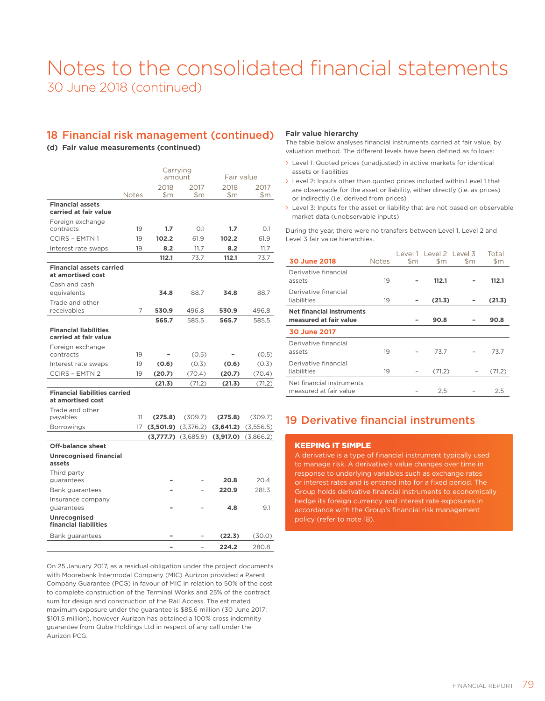### 18 Financial risk management (continued)

### **(d) Fair value measurements (continued)**

|                                                           |              |                         | Carrying<br>amount      |           | Fair value    |
|-----------------------------------------------------------|--------------|-------------------------|-------------------------|-----------|---------------|
|                                                           |              | 2018                    | 2017                    | 2018      | 2017          |
|                                                           | <b>Notes</b> | \$m                     | $\mathsf{Sm}$           | \$m       | $\mathsf{Sm}$ |
| <b>Financial assets</b><br>carried at fair value          |              |                         |                         |           |               |
| Foreign exchange<br>contracts                             | 19           | 1.7                     | O.1                     | 1.7       | O.1           |
| <b>CCIRS - EMTN1</b>                                      | 19           | 102.2                   | 61.9                    | 102.2     | 61.9          |
| Interest rate swaps                                       | 19           | 8.2                     | 11.7                    | 8.2       | 11.7          |
|                                                           |              | 112.1                   | 73.7                    | 112.1     | 73.7          |
| <b>Financial assets carried</b><br>at amortised cost      |              |                         |                         |           |               |
| Cash and cash                                             |              |                         |                         |           |               |
| equivalents                                               |              | 34.8                    | 88.7                    | 34.8      | 88.7          |
| Trade and other                                           |              |                         |                         |           |               |
| receivables                                               | 7            | 530.9                   | 496.8                   | 530.9     | 496.8         |
|                                                           |              | 565.7                   | 585.5                   | 565.7     | 585.5         |
| <b>Financial liabilities</b><br>carried at fair value     |              |                         |                         |           |               |
| Foreign exchange                                          |              |                         |                         |           |               |
| contracts                                                 | 19           |                         | (0.5)                   |           | (0.5)         |
| Interest rate swaps                                       | 19           | (0.6)                   | (0.3)                   | (0.6)     | (0.3)         |
| <b>CCIRS - EMTN 2</b>                                     | 19           | (20.7)                  | (70.4)                  | (20.7)    | (70.4)        |
|                                                           |              | (21.3)                  | (71.2)                  | (21.3)    | (71.2)        |
| <b>Financial liabilities carried</b><br>at amortised cost |              |                         |                         |           |               |
| Trade and other<br>payables                               | 11           | (275.8)                 | (309.7)                 | (275.8)   | (309.7)       |
| <b>Borrowings</b>                                         | 17           | $(3,501.9)$ $(3,376.2)$ |                         | (3,641.2) | (3,556.5)     |
|                                                           |              |                         | $(3,777.7)$ $(3,685.9)$ | (3,917.0) | (3,866.2)     |
| Off-balance sheet                                         |              |                         |                         |           |               |
| <b>Unrecognised financial</b>                             |              |                         |                         |           |               |
| assets                                                    |              |                         |                         |           |               |
| Third party<br>quarantees                                 |              |                         |                         | 20.8      | 20.4          |
|                                                           |              |                         |                         | 220.9     | 281.3         |
| Bank guarantees                                           |              |                         |                         |           |               |
| Insurance company<br>guarantees                           |              |                         |                         | 4.8       | 9.1           |
| Unrecognised                                              |              |                         |                         |           |               |
| financial liabilities                                     |              |                         |                         |           |               |
| Bank guarantees                                           |              |                         |                         | (22.3)    | (30.0)        |
|                                                           |              |                         |                         | 224.2     | 280.8         |

On 25 January 2017, as a residual obligation under the project documents with Moorebank Intermodal Company (MIC) Aurizon provided a Parent Company Guarantee (PCG) in favour of MIC in relation to 50% of the cost to complete construction of the Terminal Works and 25% of the contract sum for design and construction of the Rail Access. The estimated maximum exposure under the guarantee is \$85.6 million (30 June 2017: \$101.5 million), however Aurizon has obtained a 100% cross indemnity guarantee from Qube Holdings Ltd in respect of any call under the Aurizon PCG.

### **Fair value hierarchy**

The table below analyses financial instruments carried at fair value, by valuation method. The different levels have been defined as follows:

- › Level 1: Quoted prices (unadjusted) in active markets for identical assets or liabilities
- › Level 2: Inputs other than quoted prices included within Level 1 that are observable for the asset or liability, either directly (i.e. as prices) or indirectly (i.e. derived from prices)
- › Level 3: Inputs for the asset or liability that are not based on observable market data (unobservable inputs)

During the year, there were no transfers between Level 1, Level 2 and Level 3 fair value hierarchies.

| 30 June 2018                                               | <b>Notes</b> | $\mathsf{Sm}$ | Level 1 Level 2 Level 3<br>\$m | \$m | Total<br>\$m |
|------------------------------------------------------------|--------------|---------------|--------------------------------|-----|--------------|
| Derivative financial<br>assets                             | 19           |               | 112.1                          |     | 112.1        |
| Derivative financial<br>liabilities                        | 19           |               | (21.3)                         |     | (21.3)       |
| <b>Net financial instruments</b><br>measured at fair value |              |               | 90.8                           |     | 90.8         |
| 30 June 2017                                               |              |               |                                |     |              |
| Derivative financial<br>assets                             | 19           |               | 73.7                           |     | 73.7         |
| Derivative financial<br>liabilities                        | 19           |               | (71.2)                         |     | (71.2)       |
| Net financial instruments<br>measured at fair value        |              |               | 2.5                            |     | 2.5          |

### 19 Derivative financial instruments

### KEEPING IT SIMPLE

A derivative is a type of financial instrument typically used to manage risk. A derivative's value changes over time in response to underlying variables such as exchange rates or interest rates and is entered into for a fixed period. The Group holds derivative financial instruments to economically hedge its foreign currency and interest rate exposures in accordance with the Group's financial risk management policy (refer to note 18).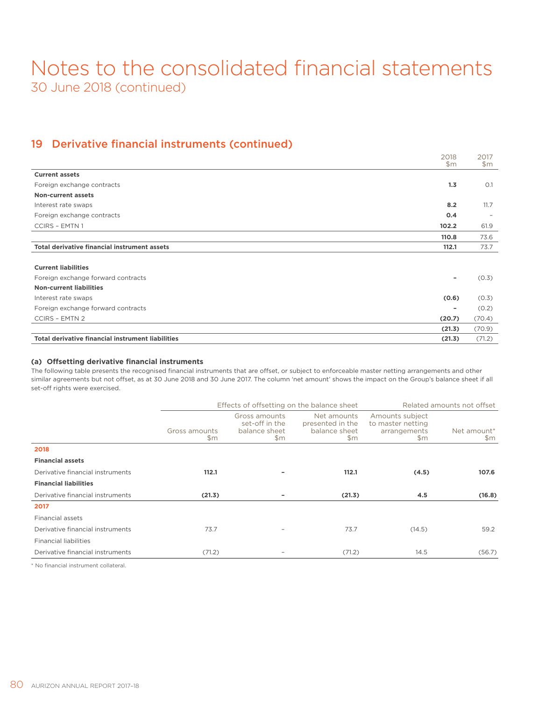### 19 Derivative financial instruments (continued)

|                                                          | 2018<br>\$m\$ | 2017<br>\$m\$            |
|----------------------------------------------------------|---------------|--------------------------|
| <b>Current assets</b>                                    |               |                          |
| Foreign exchange contracts                               | 1.3           | O.1                      |
| <b>Non-current assets</b>                                |               |                          |
| Interest rate swaps                                      | 8.2           | 11.7                     |
| Foreign exchange contracts                               | 0.4           | $\overline{\phantom{a}}$ |
| <b>CCIRS - EMTN1</b>                                     | 102.2         | 61.9                     |
|                                                          | 110.8         | 73.6                     |
| <b>Total derivative financial instrument assets</b>      | 112.1         | 73.7                     |
|                                                          |               |                          |
| <b>Current liabilities</b>                               |               |                          |
| Foreign exchange forward contracts                       |               | (0.3)                    |
| <b>Non-current liabilities</b>                           |               |                          |
| Interest rate swaps                                      | (0.6)         | (0.3)                    |
| Foreign exchange forward contracts                       | ۰             | (0.2)                    |
| <b>CCIRS - EMTN 2</b>                                    | (20.7)        | (70.4)                   |
|                                                          | (21.3)        | (70.9)                   |
| <b>Total derivative financial instrument liabilities</b> | (21.3)        | (71.2)                   |

### **(a) Offsetting derivative financial instruments**

The following table presents the recognised financial instruments that are offset, or subject to enforceable master netting arrangements and other similar agreements but not offset, as at 30 June 2018 and 30 June 2017. The column 'net amount' shows the impact on the Group's balance sheet if all set-off rights were exercised.

|                                  |                      | Effects of offsetting on the balance sheet              |                                                         |                                                                       | Related amounts not offset |  |  |
|----------------------------------|----------------------|---------------------------------------------------------|---------------------------------------------------------|-----------------------------------------------------------------------|----------------------------|--|--|
|                                  | Gross amounts<br>\$m | Gross amounts<br>set-off in the<br>balance sheet<br>\$m | Net amounts<br>presented in the<br>balance sheet<br>\$m | Amounts subject<br>to master netting<br>arrangements<br>$\mathsf{Sm}$ | Net amount*<br>\$m         |  |  |
| 2018                             |                      |                                                         |                                                         |                                                                       |                            |  |  |
| <b>Financial assets</b>          |                      |                                                         |                                                         |                                                                       |                            |  |  |
| Derivative financial instruments | 112.1                |                                                         | 112.1                                                   | (4.5)                                                                 | 107.6                      |  |  |
| <b>Financial liabilities</b>     |                      |                                                         |                                                         |                                                                       |                            |  |  |
| Derivative financial instruments | (21.3)               |                                                         | (21.3)                                                  | 4.5                                                                   | (16.8)                     |  |  |
| 2017                             |                      |                                                         |                                                         |                                                                       |                            |  |  |
| Financial assets                 |                      |                                                         |                                                         |                                                                       |                            |  |  |
| Derivative financial instruments | 73.7                 |                                                         | 73.7                                                    | (14.5)                                                                | 59.2                       |  |  |
| <b>Financial liabilities</b>     |                      |                                                         |                                                         |                                                                       |                            |  |  |
| Derivative financial instruments | (71.2)               |                                                         | (71.2)                                                  | 14.5                                                                  | (56.7)                     |  |  |

\* No financial instrument collateral.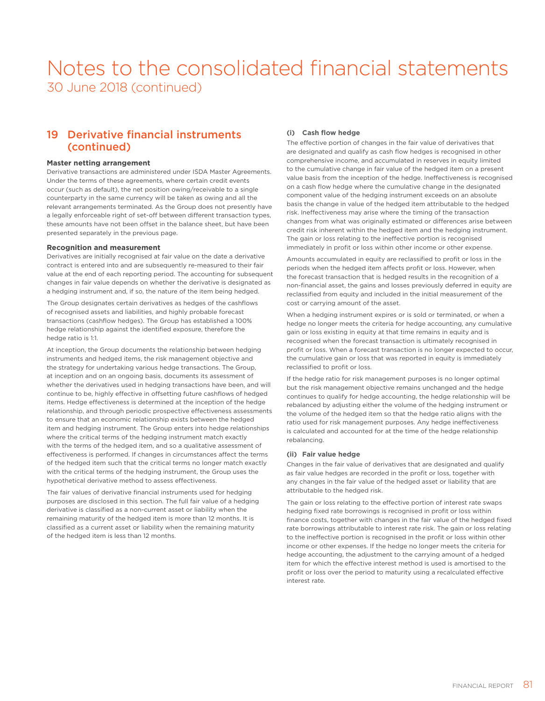### 19 Derivative financial instruments (continued)

#### **Master netting arrangement**

Derivative transactions are administered under ISDA Master Agreements. Under the terms of these agreements, where certain credit events occur (such as default), the net position owing/receivable to a single counterparty in the same currency will be taken as owing and all the relevant arrangements terminated. As the Group does not presently have a legally enforceable right of set-off between different transaction types, these amounts have not been offset in the balance sheet, but have been presented separately in the previous page.

### **Recognition and measurement**

Derivatives are initially recognised at fair value on the date a derivative contract is entered into and are subsequently re-measured to their fair value at the end of each reporting period. The accounting for subsequent changes in fair value depends on whether the derivative is designated as a hedging instrument and, if so, the nature of the item being hedged.

The Group designates certain derivatives as hedges of the cashflows of recognised assets and liabilities, and highly probable forecast transactions (cashflow hedges). The Group has established a 100% hedge relationship against the identified exposure, therefore the hedge ratio is 1:1.

At inception, the Group documents the relationship between hedging instruments and hedged items, the risk management objective and the strategy for undertaking various hedge transactions. The Group, at inception and on an ongoing basis, documents its assessment of whether the derivatives used in hedging transactions have been, and will continue to be, highly effective in offsetting future cashflows of hedged items. Hedge effectiveness is determined at the inception of the hedge relationship, and through periodic prospective effectiveness assessments to ensure that an economic relationship exists between the hedged item and hedging instrument. The Group enters into hedge relationships where the critical terms of the hedging instrument match exactly with the terms of the hedged item, and so a qualitative assessment of effectiveness is performed. If changes in circumstances affect the terms of the hedged item such that the critical terms no longer match exactly with the critical terms of the hedging instrument, the Group uses the hypothetical derivative method to assess effectiveness.

The fair values of derivative financial instruments used for hedging purposes are disclosed in this section. The full fair value of a hedging derivative is classified as a non-current asset or liability when the remaining maturity of the hedged item is more than 12 months. It is classified as a current asset or liability when the remaining maturity of the hedged item is less than 12 months.

### **(i) Cash flow hedge**

The effective portion of changes in the fair value of derivatives that are designated and qualify as cash flow hedges is recognised in other comprehensive income, and accumulated in reserves in equity limited to the cumulative change in fair value of the hedged item on a present value basis from the inception of the hedge. Ineffectiveness is recognised on a cash flow hedge where the cumulative change in the designated component value of the hedging instrument exceeds on an absolute basis the change in value of the hedged item attributable to the hedged risk. Ineffectiveness may arise where the timing of the transaction changes from what was originally estimated or differences arise between credit risk inherent within the hedged item and the hedging instrument. The gain or loss relating to the ineffective portion is recognised immediately in profit or loss within other income or other expense.

Amounts accumulated in equity are reclassified to profit or loss in the periods when the hedged item affects profit or loss. However, when the forecast transaction that is hedged results in the recognition of a non-financial asset, the gains and losses previously deferred in equity are reclassified from equity and included in the initial measurement of the cost or carrying amount of the asset.

When a hedging instrument expires or is sold or terminated, or when a hedge no longer meets the criteria for hedge accounting, any cumulative gain or loss existing in equity at that time remains in equity and is recognised when the forecast transaction is ultimately recognised in profit or loss. When a forecast transaction is no longer expected to occur, the cumulative gain or loss that was reported in equity is immediately reclassified to profit or loss.

If the hedge ratio for risk management purposes is no longer optimal but the risk management objective remains unchanged and the hedge continues to qualify for hedge accounting, the hedge relationship will be rebalanced by adjusting either the volume of the hedging instrument or the volume of the hedged item so that the hedge ratio aligns with the ratio used for risk management purposes. Any hedge ineffectiveness is calculated and accounted for at the time of the hedge relationship rebalancing.

### **(ii) Fair value hedge**

Changes in the fair value of derivatives that are designated and qualify as fair value hedges are recorded in the profit or loss, together with any changes in the fair value of the hedged asset or liability that are attributable to the hedged risk.

The gain or loss relating to the effective portion of interest rate swaps hedging fixed rate borrowings is recognised in profit or loss within finance costs, together with changes in the fair value of the hedged fixed rate borrowings attributable to interest rate risk. The gain or loss relating to the ineffective portion is recognised in the profit or loss within other income or other expenses. If the hedge no longer meets the criteria for hedge accounting, the adjustment to the carrying amount of a hedged item for which the effective interest method is used is amortised to the profit or loss over the period to maturity using a recalculated effective interest rate.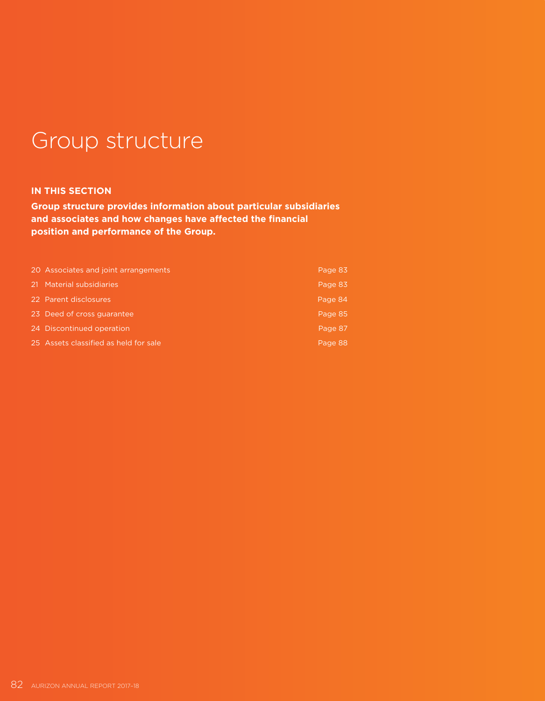# Group structure

### **IN THIS SECTION**

**Group structure provides information about particular subsidiaries and associates and how changes have affected the financial position and performance of the Group.**

| 20 Associates and joint arrangements  | Page 83 |
|---------------------------------------|---------|
| 21 Material subsidiaries              | Page 83 |
| 22 Parent disclosures                 | Page 84 |
| 23 Deed of cross quarantee            | Page 85 |
| 24 Discontinued operation             | Page 87 |
| 25 Assets classified as held for sale | Page 88 |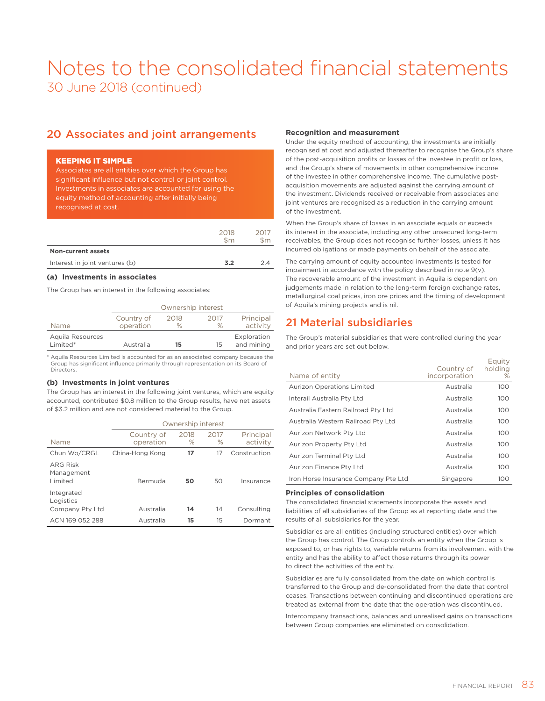### 20 Associates and joint arrangements

### KEEPING IT SIMPLE

Associates are all entities over which the Group has significant influence but not control or joint control. Investments in associates are accounted for using the equity method of accounting after initially being recognised at cost.

|                                | 2018<br>\$m\$ | 2017<br>\$m\$ |
|--------------------------------|---------------|---------------|
| <b>Non-current assets</b>      |               |               |
| Interest in joint ventures (b) | 3.2           | ク4            |
|                                |               |               |

### **(a) Investments in associates**

The Group has an interest in the following associates:

|                  | Ownership interest |      |      |             |  |
|------------------|--------------------|------|------|-------------|--|
|                  | Country of         | 2018 | 2017 | Principal   |  |
| <b>Name</b>      | operation          | $\%$ | $\%$ | activity    |  |
| Aquila Resources |                    |      |      | Exploration |  |
| Limited*         | Australia          | 15   | 15   | and mining  |  |

\* Aquila Resources Limited is accounted for as an associated company because the Group has significant influence primarily through representation on its Board of Directors.

#### **(b) Investments in joint ventures**

The Group has an interest in the following joint ventures, which are equity accounted, contributed \$0.8 million to the Group results, have net assets of \$3.2 million and are not considered material to the Group.

|                                            |                         | Ownership interest |              |                       |  |  |
|--------------------------------------------|-------------------------|--------------------|--------------|-----------------------|--|--|
| Name                                       | Country of<br>operation | 2018<br>$\%$       | 2017<br>$\%$ | Principal<br>activity |  |  |
| Chun Wo/CRGL                               | China-Hong Kong         | 17                 | 17           | Construction          |  |  |
| <b>ARG Risk</b><br>Management<br>Limited   | <b>Bermuda</b>          | 50                 | 50           | Insurance             |  |  |
| Integrated<br>Logistics<br>Company Pty Ltd | Australia               | 14                 | 14           | Consulting            |  |  |
| ACN 169 052 288                            | Australia               | 15                 | 15           | Dormant               |  |  |

### **Recognition and measurement**

Under the equity method of accounting, the investments are initially recognised at cost and adjusted thereafter to recognise the Group's share of the post-acquisition profits or losses of the investee in profit or loss, and the Group's share of movements in other comprehensive income of the investee in other comprehensive income. The cumulative postacquisition movements are adjusted against the carrying amount of the investment. Dividends received or receivable from associates and joint ventures are recognised as a reduction in the carrying amount of the investment.

When the Group's share of losses in an associate equals or exceeds its interest in the associate, including any other unsecured long-term receivables, the Group does not recognise further losses, unless it has incurred obligations or made payments on behalf of the associate.

The carrying amount of equity accounted investments is tested for impairment in accordance with the policy described in note 9(v). The recoverable amount of the investment in Aquila is dependent on judgements made in relation to the long-term foreign exchange rates, metallurgical coal prices, iron ore prices and the timing of development of Aquila's mining projects and is nil.

### 21 Material subsidiaries

The Group's material subsidiaries that were controlled during the year and prior years are set out below.

| Name of entity                       | Country of<br>incorporation | Equity<br>holding<br>% |
|--------------------------------------|-----------------------------|------------------------|
| <b>Aurizon Operations Limited</b>    | Australia                   | 100                    |
| Interail Australia Pty Ltd           | Australia                   | 100                    |
| Australia Eastern Railroad Pty Ltd   | Australia                   | 100                    |
| Australia Western Railroad Pty Ltd   | Australia                   | 100                    |
| Aurizon Network Pty Ltd              | Australia                   | 100                    |
| Aurizon Property Pty Ltd             | Australia                   | 100                    |
| Aurizon Terminal Pty Ltd             | Australia                   | 100                    |
| Aurizon Finance Pty Ltd              | Australia                   | 100                    |
| Iron Horse Insurance Company Pte Ltd | Singapore                   | 100                    |

### **Principles of consolidation**

The consolidated financial statements incorporate the assets and liabilities of all subsidiaries of the Group as at reporting date and the results of all subsidiaries for the year.

Subsidiaries are all entities (including structured entities) over which the Group has control. The Group controls an entity when the Group is exposed to, or has rights to, variable returns from its involvement with the entity and has the ability to affect those returns through its power to direct the activities of the entity.

Subsidiaries are fully consolidated from the date on which control is transferred to the Group and de-consolidated from the date that control ceases. Transactions between continuing and discontinued operations are treated as external from the date that the operation was discontinued.

Intercompany transactions, balances and unrealised gains on transactions between Group companies are eliminated on consolidation.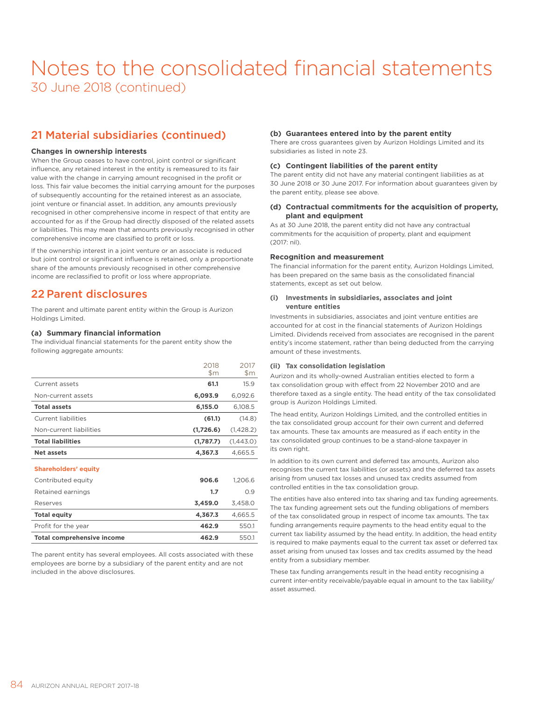### 21 Material subsidiaries (continued)

### **Changes in ownership interests**

When the Group ceases to have control, joint control or significant influence, any retained interest in the entity is remeasured to its fair value with the change in carrying amount recognised in the profit or loss. This fair value becomes the initial carrying amount for the purposes of subsequently accounting for the retained interest as an associate, joint venture or financial asset. In addition, any amounts previously recognised in other comprehensive income in respect of that entity are accounted for as if the Group had directly disposed of the related assets or liabilities. This may mean that amounts previously recognised in other comprehensive income are classified to profit or loss.

If the ownership interest in a joint venture or an associate is reduced but joint control or significant influence is retained, only a proportionate share of the amounts previously recognised in other comprehensive income are reclassified to profit or loss where appropriate.

### 22 Parent disclosures

The parent and ultimate parent entity within the Group is Aurizon Holdings Limited.

### **(a) Summary financial information**

The individual financial statements for the parent entity show the following aggregate amounts:

| 61.1<br>Current assets<br>6,093.9<br>Non-current assets<br><b>Total assets</b><br>6,155.0<br>Current liabilities<br>(61.1)<br>Non-current liabilities<br>(1,726.6)<br><b>Total liabilities</b><br>(1,787.7)<br><b>Net assets</b><br>4,367.3<br><b>Shareholders' equity</b><br>Contributed equity<br>906.6<br>1.7<br>Retained earnings<br>3,459.0<br>Reserves<br><b>Total equity</b><br>4,367.3<br>462.9<br>Profit for the year | 2018<br>$\mathsf{Sm}$ | 2017<br>\$m |
|--------------------------------------------------------------------------------------------------------------------------------------------------------------------------------------------------------------------------------------------------------------------------------------------------------------------------------------------------------------------------------------------------------------------------------|-----------------------|-------------|
|                                                                                                                                                                                                                                                                                                                                                                                                                                |                       | 15.9        |
|                                                                                                                                                                                                                                                                                                                                                                                                                                |                       | 6,092.6     |
|                                                                                                                                                                                                                                                                                                                                                                                                                                |                       | 6,108.5     |
|                                                                                                                                                                                                                                                                                                                                                                                                                                |                       | (14.8)      |
|                                                                                                                                                                                                                                                                                                                                                                                                                                |                       | (1,428.2)   |
|                                                                                                                                                                                                                                                                                                                                                                                                                                |                       | (1,443.0)   |
|                                                                                                                                                                                                                                                                                                                                                                                                                                |                       | 4,665.5     |
|                                                                                                                                                                                                                                                                                                                                                                                                                                |                       |             |
|                                                                                                                                                                                                                                                                                                                                                                                                                                |                       | 1,206.6     |
|                                                                                                                                                                                                                                                                                                                                                                                                                                |                       | O.9         |
|                                                                                                                                                                                                                                                                                                                                                                                                                                |                       | 3,458.0     |
|                                                                                                                                                                                                                                                                                                                                                                                                                                |                       | 4,665.5     |
|                                                                                                                                                                                                                                                                                                                                                                                                                                |                       | 550.1       |
| <b>Total comprehensive income</b><br>462.9                                                                                                                                                                                                                                                                                                                                                                                     |                       | 550.1       |

The parent entity has several employees. All costs associated with these employees are borne by a subsidiary of the parent entity and are not included in the above disclosures.

### **(b) Guarantees entered into by the parent entity**

There are cross guarantees given by Aurizon Holdings Limited and its subsidiaries as listed in note 23.

### **(c) Contingent liabilities of the parent entity**

The parent entity did not have any material contingent liabilities as at 30 June 2018 or 30 June 2017. For information about guarantees given by the parent entity, please see above.

### **(d) Contractual commitments for the acquisition of property, plant and equipment**

As at 30 June 2018, the parent entity did not have any contractual commitments for the acquisition of property, plant and equipment (2017: nil).

### **Recognition and measurement**

The financial information for the parent entity, Aurizon Holdings Limited, has been prepared on the same basis as the consolidated financial statements, except as set out below.

### **(i) Investments in subsidiaries, associates and joint venture entities**

Investments in subsidiaries, associates and joint venture entities are accounted for at cost in the financial statements of Aurizon Holdings Limited. Dividends received from associates are recognised in the parent entity's income statement, rather than being deducted from the carrying amount of these investments.

#### **(ii) Tax consolidation legislation**

Aurizon and its wholly-owned Australian entities elected to form a tax consolidation group with effect from 22 November 2010 and are therefore taxed as a single entity. The head entity of the tax consolidated group is Aurizon Holdings Limited.

The head entity, Aurizon Holdings Limited, and the controlled entities in the tax consolidated group account for their own current and deferred tax amounts. These tax amounts are measured as if each entity in the tax consolidated group continues to be a stand-alone taxpayer in its own right.

In addition to its own current and deferred tax amounts, Aurizon also recognises the current tax liabilities (or assets) and the deferred tax assets arising from unused tax losses and unused tax credits assumed from controlled entities in the tax consolidation group.

The entities have also entered into tax sharing and tax funding agreements. The tax funding agreement sets out the funding obligations of members of the tax consolidated group in respect of income tax amounts. The tax funding arrangements require payments to the head entity equal to the current tax liability assumed by the head entity. In addition, the head entity is required to make payments equal to the current tax asset or deferred tax asset arising from unused tax losses and tax credits assumed by the head entity from a subsidiary member.

These tax funding arrangements result in the head entity recognising a current inter-entity receivable/payable equal in amount to the tax liability/ asset assumed.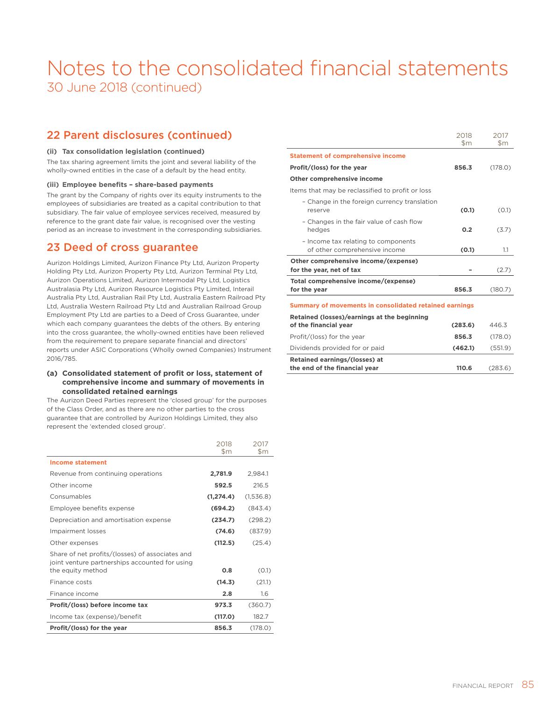### 22 Parent disclosures (continued)

### **(ii) Tax consolidation legislation (continued)**

The tax sharing agreement limits the joint and several liability of the wholly-owned entities in the case of a default by the head entity.

#### **(iii) Employee benefits – share-based payments**

The grant by the Company of rights over its equity instruments to the employees of subsidiaries are treated as a capital contribution to that subsidiary. The fair value of employee services received, measured by reference to the grant date fair value, is recognised over the vesting period as an increase to investment in the corresponding subsidiaries.

### 23 Deed of cross guarantee

Aurizon Holdings Limited, Aurizon Finance Pty Ltd, Aurizon Property Holding Pty Ltd, Aurizon Property Pty Ltd, Aurizon Terminal Pty Ltd, Aurizon Operations Limited, Aurizon Intermodal Pty Ltd, Logistics Australasia Pty Ltd, Aurizon Resource Logistics Pty Limited, Interail Australia Pty Ltd, Australian Rail Pty Ltd, Australia Eastern Railroad Pty Ltd, Australia Western Railroad Pty Ltd and Australian Railroad Group Employment Pty Ltd are parties to a Deed of Cross Guarantee, under which each company guarantees the debts of the others. By entering into the cross guarantee, the wholly-owned entities have been relieved from the requirement to prepare separate financial and directors' reports under ASIC Corporations (Wholly owned Companies) Instrument 2016/785.

### **(a) Consolidated statement of profit or loss, statement of comprehensive income and summary of movements in consolidated retained earnings**

The Aurizon Deed Parties represent the 'closed group' for the purposes of the Class Order, and as there are no other parties to the cross guarantee that are controlled by Aurizon Holdings Limited, they also represent the 'extended closed group'.

|                                                                     | 2018<br>$\mathsf{Sm}$ | 2017<br>$\mathsf{Sm}$ |
|---------------------------------------------------------------------|-----------------------|-----------------------|
| <b>Income statement</b>                                             |                       |                       |
| Revenue from continuing operations                                  | 2,781.9               | 2,984.1               |
| Other income                                                        | 592.5                 | 216.5                 |
| Consumables                                                         | (1, 274.4)            | (1,536.8)             |
| Employee benefits expense                                           | (694.2)               | (843.4)               |
| Depreciation and amortisation expense                               | (234.7)               | (298.2)               |
| Impairment losses                                                   | (74.6)                | (837.9)               |
| Other expenses                                                      | (112.5)               | (25.4)                |
| Share of net profits/(losses) of associates and                     |                       |                       |
| joint venture partnerships accounted for using<br>the equity method | 0.8                   | (0.1)                 |
| Finance costs                                                       | (14.3)                | (21.1)                |
| Finance income                                                      | 2.8                   | 1.6                   |
| Profit/(loss) before income tax                                     | 973.3                 | (360.7)               |
| Income tax (expense)/benefit                                        | (117.0)               | 182.7                 |
| Profit/(loss) for the year                                          | 856.3                 | (178.0)               |

|                                                                      | 2018<br>\$m | 2017<br>\$m |  |
|----------------------------------------------------------------------|-------------|-------------|--|
| <b>Statement of comprehensive income</b>                             |             |             |  |
| Profit/(loss) for the year                                           | 856.3       | (178.0)     |  |
| Other comprehensive income                                           |             |             |  |
| Items that may be reclassified to profit or loss                     |             |             |  |
| - Change in the foreign currency translation<br>reserve              | (0.1)       | (0.1)       |  |
| - Changes in the fair value of cash flow<br>hedges                   | 0.2         | (3.7)       |  |
| - Income tax relating to components<br>of other comprehensive income | (0.1)       | 1.1         |  |
| Other comprehensive income/(expense)<br>for the year, net of tax     |             | (2.7)       |  |
| Total comprehensive income/(expense)<br>for the year                 | 856.3       | (180.7)     |  |
| Summary of movements in consolidated retained earnings               |             |             |  |
| Retained (losses)/earnings at the beginning<br>of the financial year | (283.6)     | 446.3       |  |
| Profit/(loss) for the year                                           | 856.3       | (178.0)     |  |
| Dividends provided for or paid                                       | (462.1)     | (551.9)     |  |
| Retained earnings/(losses) at<br>the end of the financial year       | 110.6       | (283.6)     |  |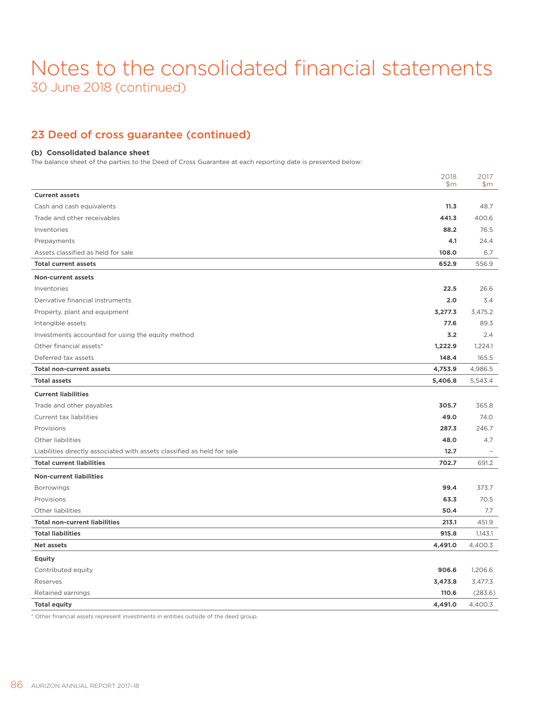### 23 Deed of cross guarantee (continued)

### **(b) Consolidated balance sheet**

The balance sheet of the parties to the Deed of Cross Guarantee at each reporting date is presented below:

|                                                                         | 2018<br>\$m\$ | 2017<br>\$m\$ |
|-------------------------------------------------------------------------|---------------|---------------|
| <b>Current assets</b>                                                   |               |               |
| Cash and cash equivalents                                               | 11.3          | 48.7          |
| Trade and other receivables                                             | 441.3         | 400.6         |
| Inventories                                                             | 88.2          | 76.5          |
| Prepayments                                                             | 4.1           | 24.4          |
| Assets classified as held for sale                                      | 108.0         | 6.7           |
| <b>Total current assets</b>                                             | 652.9         | 556.9         |
| <b>Non-current assets</b>                                               |               |               |
| Inventories                                                             | 22.5          | 26.6          |
| Derivative financial instruments                                        | 2.0           | 3.4           |
| Property, plant and equipment                                           | 3,277.3       | 3.475.2       |
| Intangible assets                                                       | 77.6          | 89.3          |
| Investments accounted for using the equity method                       | 3.2           | 2.4           |
| Other financial assets*                                                 | 1,222.9       | 1,224.1       |
| Deferred tax assets                                                     | 148.4         | 165.5         |
| <b>Total non-current assets</b>                                         | 4,753.9       | 4,986.5       |
| <b>Total assets</b>                                                     | 5,406.8       | 5,543.4       |
| <b>Current liabilities</b>                                              |               |               |
| Trade and other payables                                                | 305.7         | 365.8         |
| Current tax liabilities                                                 | 49.0          | 74.0          |
| Provisions                                                              | 287.3         | 246.7         |
| Other liabilities                                                       | 48.0          | 4.7           |
| Liabilities directly associated with assets classified as held for sale | 12.7          |               |
| <b>Total current liabilities</b>                                        | 702.7         | 691.2         |
| <b>Non-current liabilities</b>                                          |               |               |
| Borrowings                                                              | 99.4          | 373.7         |
| Provisions                                                              | 63.3          | 70.5          |
| Other liabilities                                                       | 50.4          | 7.7           |
| <b>Total non-current liabilities</b>                                    | 213.1         | 451.9         |
| <b>Total liabilities</b>                                                | 915.8         | 1,143.1       |
| <b>Net assets</b>                                                       | 4,491.0       | 4,400.3       |
| <b>Equity</b>                                                           |               |               |
| Contributed equity                                                      | 906.6         | 1,206.6       |
| Reserves                                                                | 3,473.8       | 3,477.3       |
| Retained earnings                                                       | 110.6         | (283.6)       |
| <b>Total equity</b>                                                     | 4,491.0       | 4,400.3       |

\* Other financial assets represent investments in entities outside of the deed group.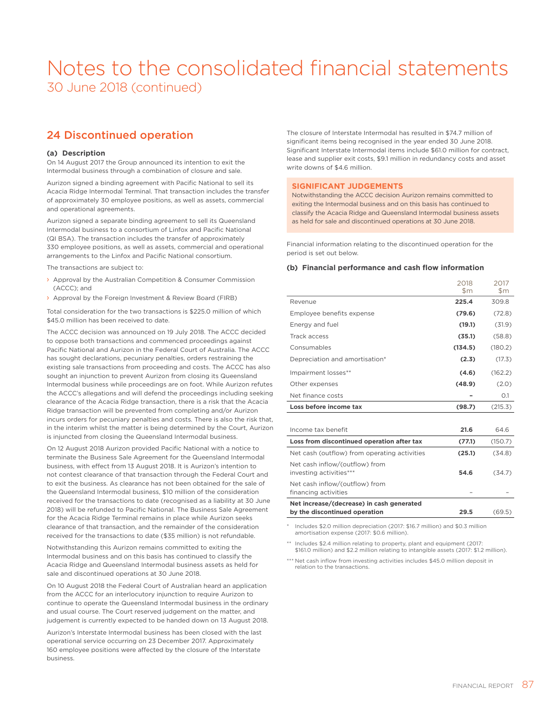### 24 Discontinued operation

### **(a) Description**

On 14 August 2017 the Group announced its intention to exit the Intermodal business through a combination of closure and sale.

Aurizon signed a binding agreement with Pacific National to sell its Acacia Ridge Intermodal Terminal. That transaction includes the transfer of approximately 30 employee positions, as well as assets, commercial and operational agreements.

Aurizon signed a separate binding agreement to sell its Queensland Intermodal business to a consortium of Linfox and Pacific National (QI BSA). The transaction includes the transfer of approximately 330 employee positions, as well as assets, commercial and operational arrangements to the Linfox and Pacific National consortium.

The transactions are subject to:

- › Approval by the Australian Competition & Consumer Commission (ACCC); and
- › Approval by the Foreign Investment & Review Board (FIRB)

Total consideration for the two transactions is \$225.0 million of which \$45.0 million has been received to date

The ACCC decision was announced on 19 July 2018. The ACCC decided to oppose both transactions and commenced proceedings against Pacific National and Aurizon in the Federal Court of Australia. The ACCC has sought declarations, pecuniary penalties, orders restraining the existing sale transactions from proceeding and costs. The ACCC has also sought an injunction to prevent Aurizon from closing its Queensland Intermodal business while proceedings are on foot. While Aurizon refutes the ACCC's allegations and will defend the proceedings including seeking clearance of the Acacia Ridge transaction, there is a risk that the Acacia Ridge transaction will be prevented from completing and/or Aurizon incurs orders for pecuniary penalties and costs. There is also the risk that, in the interim whilst the matter is being determined by the Court, Aurizon is injuncted from closing the Queensland Intermodal business.

On 12 August 2018 Aurizon provided Pacific National with a notice to terminate the Business Sale Agreement for the Queensland Intermodal business, with effect from 13 August 2018. It is Aurizon's intention to not contest clearance of that transaction through the Federal Court and to exit the business. As clearance has not been obtained for the sale of the Queensland Intermodal business, \$10 million of the consideration received for the transactions to date (recognised as a liability at 30 June 2018) will be refunded to Pacific National. The Business Sale Agreement for the Acacia Ridge Terminal remains in place while Aurizon seeks clearance of that transaction, and the remainder of the consideration received for the transactions to date (\$35 million) is not refundable.

Notwithstanding this Aurizon remains committed to exiting the Intermodal business and on this basis has continued to classify the Acacia Ridge and Queensland Intermodal business assets as held for sale and discontinued operations at 30 June 2018.

On 10 August 2018 the Federal Court of Australian heard an application from the ACCC for an interlocutory injunction to require Aurizon to continue to operate the Queensland Intermodal business in the ordinary and usual course. The Court reserved judgement on the matter, and judgement is currently expected to be handed down on 13 August 2018.

Aurizon's Interstate Intermodal business has been closed with the last operational service occurring on 23 December 2017. Approximately 160 employee positions were affected by the closure of the Interstate business.

The closure of Interstate Intermodal has resulted in \$74.7 million of significant items being recognised in the year ended 30 June 2018. Significant Interstate Intermodal items include \$61.0 million for contract, lease and supplier exit costs, \$9.1 million in redundancy costs and asset write downs of \$4.6 million.

### **SIGNIFICANT JUDGEMENTS**

Notwithstanding the ACCC decision Aurizon remains committed to exiting the Intermodal business and on this basis has continued to classify the Acacia Ridge and Queensland Intermodal business assets as held for sale and discontinued operations at 30 June 2018.

Financial information relating to the discontinued operation for the period is set out below.

### **(b) Financial performance and cash flow information**

|                                | 2018<br>\$m | 2017<br>\$m |
|--------------------------------|-------------|-------------|
| Revenue                        | 225.4       | 309.8       |
| Employee benefits expense      | (79.6)      | (72.8)      |
| Energy and fuel                | (19.1)      | (31.9)      |
| Track access                   | (35.1)      | (58.8)      |
| Consumables                    | (134.5)     | (180.2)     |
| Depreciation and amortisation* | (2.3)       | (17.3)      |
| Impairment losses**            | (4.6)       | (162.2)     |
| Other expenses                 | (48.9)      | (2.0)       |
| Net finance costs              |             | O.1         |
| Loss before income tax         | (98.7)      | (215.3)     |

| Income tax benefit                                                         | 21.6   | 646     |
|----------------------------------------------------------------------------|--------|---------|
| Loss from discontinued operation after tax                                 | (77.1) | (150.7) |
| Net cash (outflow) from operating activities                               | (25.1) | (34.8)  |
| Net cash inflow/(outflow) from<br>investing activities***                  | 54.6   | (34.7)  |
| Net cash inflow/(outflow) from<br>financing activities                     |        |         |
| Net increase/(decrease) in cash generated<br>by the discontinued operation | 29.5   | (69.5)  |

Includes \$2.0 million depreciation (2017: \$16.7 million) and \$0.3 million amortisation expense (2017: \$0.6 million).

Includes \$2.4 million relating to property, plant and equipment (2017: \$161.0 million) and \$2.2 million relating to intangible assets (2017: \$1.2 million).

\* Net cash inflow from investing activities includes \$45.0 million deposit in relation to the transactions.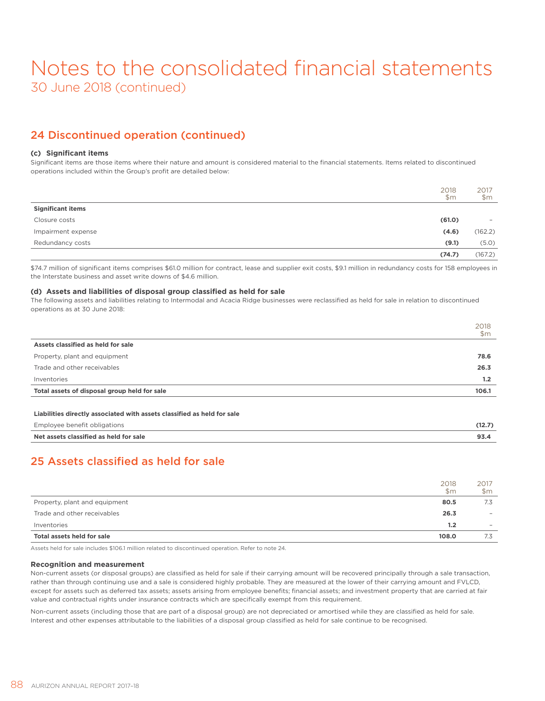### 24 Discontinued operation (continued)

### **(c) Significant items**

Significant items are those items where their nature and amount is considered material to the financial statements. Items related to discontinued operations included within the Group's profit are detailed below:

|                          | 2018<br>\$m\$ | 2017<br>\$m              |
|--------------------------|---------------|--------------------------|
| <b>Significant items</b> |               |                          |
| Closure costs            | (61.0)        | $\overline{\phantom{a}}$ |
| Impairment expense       | (4.6)         | (162.2)                  |
| Redundancy costs         | (9.1)         | (5.0)                    |
|                          | (74.7)        | (167.2)                  |

\$74.7 million of significant items comprises \$61.0 million for contract, lease and supplier exit costs, \$9.1 million in redundancy costs for 158 employees in the Interstate business and asset write downs of \$4.6 million.

### **(d) Assets and liabilities of disposal group classified as held for sale**

The following assets and liabilities relating to Intermodal and Acacia Ridge businesses were reclassified as held for sale in relation to discontinued operations as at 30 June 2018:

|                                              | 2018<br>\$m |
|----------------------------------------------|-------------|
| Assets classified as held for sale           |             |
| Property, plant and equipment                | 78.6        |
| Trade and other receivables                  | 26.3        |
| Inventories                                  | 1.2         |
| Total assets of disposal group held for sale | 106.1       |

#### **Liabilities directly associated with assets classified as held for sale**

| Employee benefit obligations           |  |
|----------------------------------------|--|
| Net assets classified as held for sale |  |

### 25 Assets classified as held for sale

|                               | 2018<br>$\mathsf{Sm}$ | 2017<br>\$m\$            |
|-------------------------------|-----------------------|--------------------------|
| Property, plant and equipment | 80.5                  | 7.3                      |
| Trade and other receivables   | 26.3                  | -                        |
| Inventories                   | 1.2                   | $\overline{\phantom{a}}$ |
| Total assets held for sale    | 108.0                 | 7.3                      |

Assets held for sale includes \$106.1 million related to discontinued operation. Refer to note 24.

#### **Recognition and measurement**

Non-current assets (or disposal groups) are classified as held for sale if their carrying amount will be recovered principally through a sale transaction, rather than through continuing use and a sale is considered highly probable. They are measured at the lower of their carrying amount and FVLCD, except for assets such as deferred tax assets; assets arising from employee benefits; financial assets; and investment property that are carried at fair value and contractual rights under insurance contracts which are specifically exempt from this requirement.

Non-current assets (including those that are part of a disposal group) are not depreciated or amortised while they are classified as held for sale. Interest and other expenses attributable to the liabilities of a disposal group classified as held for sale continue to be recognised.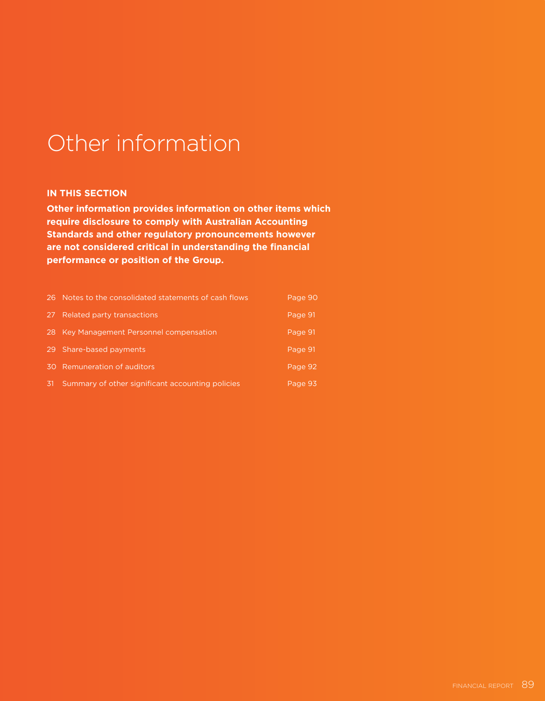# Other information

### **IN THIS SECTION**

**Other information provides information on other items which require disclosure to comply with Australian Accounting Standards and other regulatory pronouncements however are not considered critical in understanding the financial performance or position of the Group.**

|                 | 26 Notes to the consolidated statements of cash flows | Page 90 |
|-----------------|-------------------------------------------------------|---------|
| 27 <sup>2</sup> | Related party transactions                            | Page 91 |
|                 | 28 Key Management Personnel compensation              | Page 91 |
|                 | 29 Share-based payments                               | Page 91 |
|                 | 30 Remuneration of auditors                           | Page 92 |
| -31             | Summary of other significant accounting policies      | Page 93 |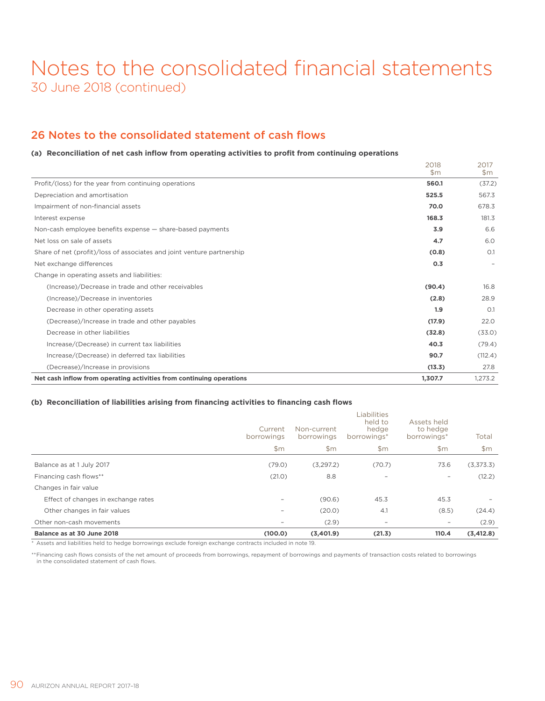### 26 Notes to the consolidated statement of cash flows

### **(a) Reconciliation of net cash inflow from operating activities to profit from continuing operations**

|                                                                        | 2018<br>$\mathsf{Sm}$ | 2017<br>$\mathsf{Sm}$ |
|------------------------------------------------------------------------|-----------------------|-----------------------|
| Profit/(loss) for the year from continuing operations                  | 560.1                 | (37.2)                |
| Depreciation and amortisation                                          | 525.5                 | 567.3                 |
| Impairment of non-financial assets                                     | 70.0                  | 678.3                 |
| Interest expense                                                       | 168.3                 | 181.3                 |
| Non-cash employee benefits expense - share-based payments              | 3.9                   | 6.6                   |
| Net loss on sale of assets                                             | 4.7                   | 6.0                   |
| Share of net (profit)/loss of associates and joint venture partnership | (0.8)                 | O.1                   |
| Net exchange differences                                               | 0.3                   |                       |
| Change in operating assets and liabilities:                            |                       |                       |
| (Increase)/Decrease in trade and other receivables                     | (90.4)                | 16.8                  |
| (Increase)/Decrease in inventories                                     | (2.8)                 | 28.9                  |
| Decrease in other operating assets                                     | 1.9                   | O.1                   |
| (Decrease)/Increase in trade and other payables                        | (17.9)                | 22.0                  |
| Decrease in other liabilities                                          | (32.8)                | (33.0)                |
| Increase/(Decrease) in current tax liabilities                         | 40.3                  | (79.4)                |
| Increase/(Decrease) in deferred tax liabilities                        | 90.7                  | (112.4)               |
| (Decrease)/Increase in provisions                                      | (13.3)                | 27.8                  |
| Net cash inflow from operating activities from continuing operations   | 1,307.7               | 1,273.2               |

### **(b) Reconciliation of liabilities arising from financing activities to financing cash flows**

| Other non-cash movements<br>Balance as at 30 June 2018 | $\qquad \qquad -$<br>(100.0) | (2.9)<br>(3,401.9)        | $\overline{\phantom{a}}$<br>(21.3)                    | $\qquad \qquad -$<br>110.4             | (2.9)<br>(3, 412.8)      |
|--------------------------------------------------------|------------------------------|---------------------------|-------------------------------------------------------|----------------------------------------|--------------------------|
| Other changes in fair values                           | $\overline{\phantom{a}}$     | (20.0)                    | 4.1                                                   | (8.5)                                  | (24.4)                   |
| Effect of changes in exchange rates                    | $\overline{\phantom{a}}$     | (90.6)                    | 45.3                                                  | 45.3                                   | $\overline{\phantom{a}}$ |
| Changes in fair value                                  |                              |                           |                                                       |                                        |                          |
| Financing cash flows**                                 | (21.0)                       | 8.8                       | $\overline{\phantom{a}}$                              | $\qquad \qquad -$                      | (12.2)                   |
| Balance as at 1 July 2017                              | (79.0)                       | (3,297.2)                 | (70.7)                                                | 73.6                                   | (3,373.3)                |
|                                                        | \$m                          | \$m\$                     | \$m\$                                                 | \$m\$                                  | \$m                      |
|                                                        | Current<br>borrowings        | Non-current<br>borrowings | <b>Liabilities</b><br>held to<br>hedge<br>borrowings* | Assets held<br>to hedge<br>borrowings* | Total                    |

\* Assets and liabilities held to hedge borrowings exclude foreign exchange contracts included in note 19.

\*\*Financing cash flows consists of the net amount of proceeds from borrowings, repayment of borrowings and payments of transaction costs related to borrowings in the consolidated statement of cash flows.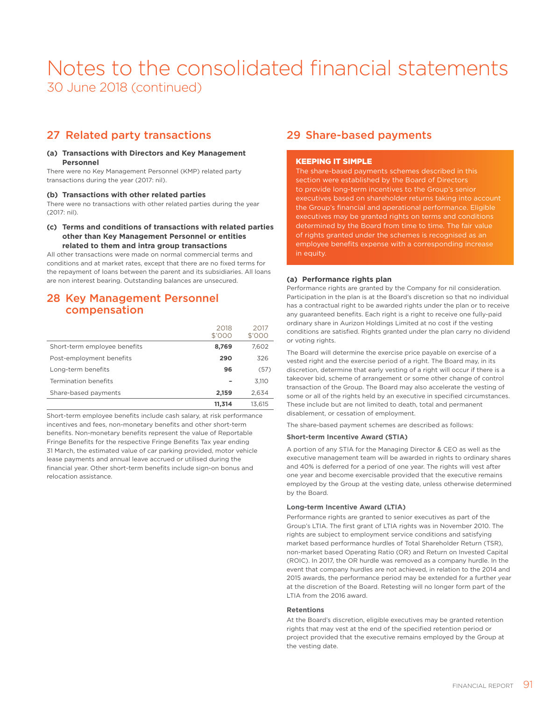### 27 Related party transactions

### **(a) Transactions with Directors and Key Management Personnel**

There were no Key Management Personnel (KMP) related party transactions during the year (2017: nil).

### **(b) Transactions with other related parties**

There were no transactions with other related parties during the year (2017: nil).

### **(c) Terms and conditions of transactions with related parties other than Key Management Personnel or entities related to them and intra group transactions**

All other transactions were made on normal commercial terms and conditions and at market rates, except that there are no fixed terms for the repayment of loans between the parent and its subsidiaries. All loans are non interest bearing. Outstanding balances are unsecured.

### 28 Key Management Personnel compensation

|                              | 2018<br>\$'000 | 2017<br>\$'000 |
|------------------------------|----------------|----------------|
| Short-term employee benefits | 8,769          | 7,602          |
| Post-employment benefits     | 290            | 326            |
| Long-term benefits           | 96             | (57)           |
| Termination benefits         |                | 3.110          |
| Share-based payments         | 2,159          | 2,634          |
|                              | 11.314         | 13.615         |

Short-term employee benefits include cash salary, at risk performance incentives and fees, non-monetary benefits and other short-term benefits. Non-monetary benefits represent the value of Reportable Fringe Benefits for the respective Fringe Benefits Tax year ending 31 March, the estimated value of car parking provided, motor vehicle lease payments and annual leave accrued or utilised during the financial year. Other short-term benefits include sign-on bonus and relocation assistance.

### 29 Share-based payments

### KEEPING IT SIMPLE

The share-based payments schemes described in this section were established by the Board of Directors to provide long-term incentives to the Group's senior executives based on shareholder returns taking into account the Group's financial and operational performance. Eligible executives may be granted rights on terms and conditions determined by the Board from time to time. The fair value of rights granted under the schemes is recognised as an employee benefits expense with a corresponding increase in equity.

### **(a) Performance rights plan**

Performance rights are granted by the Company for nil consideration. Participation in the plan is at the Board's discretion so that no individual has a contractual right to be awarded rights under the plan or to receive any guaranteed benefits. Each right is a right to receive one fully-paid ordinary share in Aurizon Holdings Limited at no cost if the vesting conditions are satisfied. Rights granted under the plan carry no dividend or voting rights.

The Board will determine the exercise price payable on exercise of a vested right and the exercise period of a right. The Board may, in its discretion, determine that early vesting of a right will occur if there is a takeover bid, scheme of arrangement or some other change of control transaction of the Group. The Board may also accelerate the vesting of some or all of the rights held by an executive in specified circumstances. These include but are not limited to death, total and permanent disablement, or cessation of employment.

The share-based payment schemes are described as follows:

### **Short-term Incentive Award (STIA)**

A portion of any STIA for the Managing Director & CEO as well as the executive management team will be awarded in rights to ordinary shares and 40% is deferred for a period of one year. The rights will vest after one year and become exercisable provided that the executive remains employed by the Group at the vesting date, unless otherwise determined by the Board.

### **Long-term Incentive Award (LTIA)**

Performance rights are granted to senior executives as part of the Group's LTIA. The first grant of LTIA rights was in November 2010. The rights are subject to employment service conditions and satisfying market based performance hurdles of Total Shareholder Return (TSR), non-market based Operating Ratio (OR) and Return on Invested Capital (ROIC). In 2017, the OR hurdle was removed as a company hurdle. In the event that company hurdles are not achieved, in relation to the 2014 and 2015 awards, the performance period may be extended for a further year at the discretion of the Board. Retesting will no longer form part of the LTIA from the 2016 award.

#### **Retentions**

At the Board's discretion, eligible executives may be granted retention rights that may vest at the end of the specified retention period or project provided that the executive remains employed by the Group at the vesting date.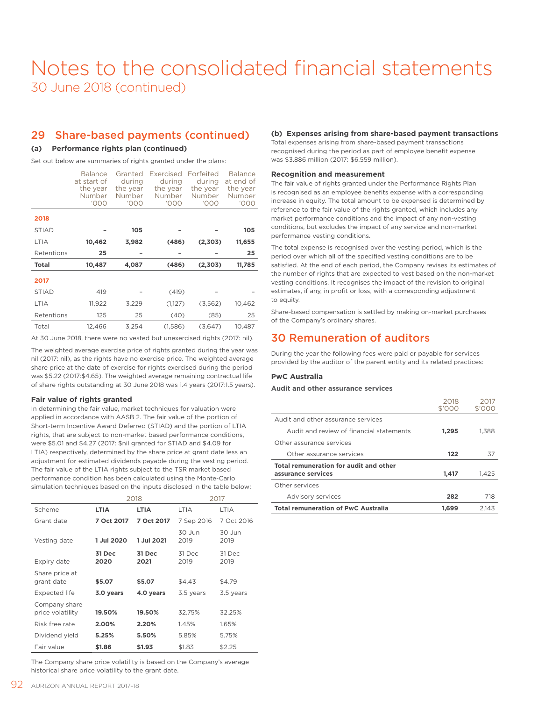### 29 Share-based payments (continued)

### **(a) Performance rights plan (continued)**

Set out below are summaries of rights granted under the plans:

|              | <b>Balance</b><br>at start of<br>the year<br>Number<br><b>'000</b> | Granted<br>during<br>the vear<br>Number<br><b>'000</b> | Exercised<br>during<br>the year<br>Number<br><b>'000</b> | Forfeited<br>during<br>the year<br>Number<br><b>'000</b> | <b>Balance</b><br>at end of<br>the year<br>Number<br><b>'000</b> |
|--------------|--------------------------------------------------------------------|--------------------------------------------------------|----------------------------------------------------------|----------------------------------------------------------|------------------------------------------------------------------|
| 2018         |                                                                    |                                                        |                                                          |                                                          |                                                                  |
| <b>STIAD</b> |                                                                    | 105                                                    |                                                          |                                                          | 105                                                              |
| <b>LTIA</b>  | 10,462                                                             | 3,982                                                  | (486)                                                    | (2,303)                                                  | 11,655                                                           |
| Retentions   | 25                                                                 |                                                        |                                                          |                                                          | 25                                                               |
| Total        | 10,487                                                             | 4,087                                                  | (486)                                                    | (2,303)                                                  | 11,785                                                           |
| 2017         |                                                                    |                                                        |                                                          |                                                          |                                                                  |
| <b>STIAD</b> | 419                                                                |                                                        | (419)                                                    |                                                          |                                                                  |
| <b>LTIA</b>  | 11,922                                                             | 3,229                                                  | (1,127)                                                  | (3,562)                                                  | 10,462                                                           |
| Retentions   | 125                                                                | 25                                                     | (40)                                                     | (85)                                                     | 25                                                               |
| Total        | 12,466                                                             | 3,254                                                  | (1,586)                                                  | (3,647)                                                  | 10,487                                                           |
|              |                                                                    |                                                        |                                                          |                                                          |                                                                  |

At 30 June 2018, there were no vested but unexercised rights (2017: nil).

The weighted average exercise price of rights granted during the year was nil (2017: nil), as the rights have no exercise price. The weighted average share price at the date of exercise for rights exercised during the period was \$5.22 (2017:\$4.65). The weighted average remaining contractual life of share rights outstanding at 30 June 2018 was 1.4 years (2017:1.5 years).

### **Fair value of rights granted**

In determining the fair value, market techniques for valuation were applied in accordance with AASB 2. The fair value of the portion of Short-term Incentive Award Deferred (STIAD) and the portion of LTIA rights, that are subject to non-market based performance conditions, were \$5.01 and \$4.27 (2017: \$nil granted for STIAD and \$4.09 for LTIA) respectively, determined by the share price at grant date less an adjustment for estimated dividends payable during the vesting period. The fair value of the LTIA rights subject to the TSR market based performance condition has been calculated using the Monte-Carlo simulation techniques based on the inputs disclosed in the table below:

|                                   |                | 2018           |                | 2017           |
|-----------------------------------|----------------|----------------|----------------|----------------|
| Scheme                            | <b>LTIA</b>    | <b>LTIA</b>    | LTIA           | LTIA           |
| Grant date                        | 7 Oct 2017     | 7 Oct 2017     | 7 Sep 2016     | 7 Oct 2016     |
| Vesting date                      | 1 Jul 2020     | 1 Jul 2021     | 30 Jun<br>2019 | 30 Jun<br>2019 |
| Expiry date                       | 31 Dec<br>2020 | 31 Dec<br>2021 | 31 Dec<br>2019 | 31 Dec<br>2019 |
| Share price at<br>grant date      | \$5.07         | \$5.07         | \$4.43         | \$4.79         |
| <b>Expected life</b>              | 3.0 years      | 4.0 years      | 3.5 years      | 3.5 years      |
| Company share<br>price volatility | 19.50%         | 19.50%         | 32.75%         | 32.25%         |
| Risk free rate                    | 2.00%          | 2.20%          | 1.45%          | 1.65%          |
| Dividend yield                    | 5.25%          | 5.50%          | 5.85%          | 5.75%          |
| Fair value                        | \$1.86         | \$1.93         | \$1.83         | \$2.25         |

The Company share price volatility is based on the Company's average historical share price volatility to the grant date.

### **(b) Expenses arising from share-based payment transactions**

Total expenses arising from share-based payment transactions recognised during the period as part of employee benefit expense was \$3.886 million (2017: \$6.559 million).

### **Recognition and measurement**

The fair value of rights granted under the Performance Rights Plan is recognised as an employee benefits expense with a corresponding increase in equity. The total amount to be expensed is determined by reference to the fair value of the rights granted, which includes any market performance conditions and the impact of any non-vesting conditions, but excludes the impact of any service and non-market performance vesting conditions.

The total expense is recognised over the vesting period, which is the period over which all of the specified vesting conditions are to be satisfied. At the end of each period, the Company revises its estimates of the number of rights that are expected to vest based on the non-market vesting conditions. It recognises the impact of the revision to original estimates, if any, in profit or loss, with a corresponding adjustment to equity.

Share-based compensation is settled by making on-market purchases of the Company's ordinary shares.

### 30 Remuneration of auditors

During the year the following fees were paid or payable for services provided by the auditor of the parent entity and its related practices:

### **PwC Australia**

### **Audit and other assurance services**

|                                            | 2018<br>\$'000 | 2017<br>\$'000 |
|--------------------------------------------|----------------|----------------|
| Audit and other assurance services         |                |                |
| Audit and review of financial statements   | 1.295          | 1.388          |
| Other assurance services                   |                |                |
| Other assurance services                   | 122            | 37             |
| Total remuneration for audit and other     |                |                |
| assurance services                         | 1,417          | 1.425          |
| Other services                             |                |                |
| Advisory services                          | 282            | 718            |
| <b>Total remuneration of PwC Australia</b> | 1.699          | 2.143          |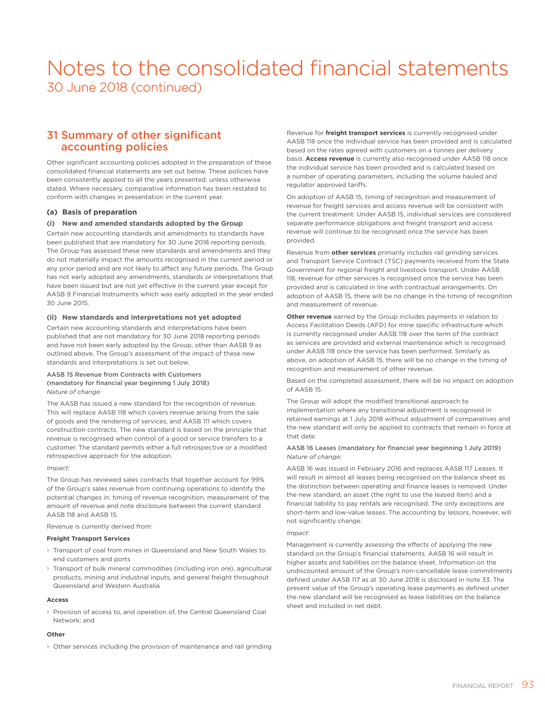### 31 Summary of other significant accounting policies

Other significant accounting policies adopted in the preparation of these consolidated financial statements are set out below. These policies have been consistently applied to all the years presented, unless otherwise stated. Where necessary, comparative information has been restated to conform with changes in presentation in the current year.

### **(a) Basis of preparation**

### **(i) New and amended standards adopted by the Group**

Certain new accounting standards and amendments to standards have been published that are mandatory for 30 June 2018 reporting periods. The Group has assessed these new standards and amendments and they do not materially impact the amounts recognised in the current period or any prior period and are not likely to affect any future periods. The Group has not early adopted any amendments, standards or interpretations that have been issued but are not yet effective in the current year except for AASB 9 Financial Instruments which was early adopted in the year ended 30 June 2015.

### **(ii) New standards and interpretations not yet adopted**

Certain new accounting standards and interpretations have been published that are not mandatory for 30 June 2018 reporting periods and have not been early adopted by the Group, other than AASB 9 as outlined above. The Group's assessment of the impact of these new standards and interpretations is set out below.

#### AASB 15 Revenue from Contracts with Customers (mandatory for financial year beginning 1 July 2018) *Nature of change:*

The AASB has issued a new standard for the recognition of revenue. This will replace AASB 118 which covers revenue arising from the sale of goods and the rendering of services, and AASB 111 which covers construction contracts. The new standard is based on the principle that revenue is recognised when control of a good or service transfers to a customer. The standard permits either a full retrospective or a modified retrospective approach for the adoption.

#### *Impact:*

The Group has reviewed sales contracts that together account for 99% of the Group's sales revenue from continuing operations to identify the potential changes in: timing of revenue recognition, measurement of the amount of revenue and note disclosure between the current standard AASB 118 and AASB 15.

#### Revenue is currently derived from:

### **Freight Transport Services**

- > Transport of coal from mines in Queensland and New South Wales to end customers and ports
- › Transport of bulk mineral commodities (including iron ore), agricultural products, mining and industrial inputs, and general freight throughout Queensland and Western Australia

#### **Access**

› Provision of access to, and operation of, the Central Queensland Coal Network; and

#### **Other**

› Other services including the provision of maintenance and rail grinding

Revenue for **freight transport services** is currently recognised under AASB 118 once the individual service has been provided and is calculated based on the rates agreed with customers on a tonnes per delivery basis. **Access revenue** is currently also recognised under AASB 118 once the individual service has been provided and is calculated based on a number of operating parameters, including the volume hauled and regulator approved tariffs.

On adoption of AASB 15, timing of recognition and measurement of revenue for freight services and access revenue will be consistent with the current treatment. Under AASB 15, individual services are considered separate performance obligations and freight transport and access revenue will continue to be recognised once the service has been provided.

Revenue from **other services** primarily includes rail grinding services and Transport Service Contract (TSC) payments received from the State Government for regional freight and livestock transport. Under AASB 118, revenue for other services is recognised once the service has been provided and is calculated in line with contractual arrangements. On adoption of AASB 15, there will be no change in the timing of recognition and measurement of revenue.

**Other revenue** earned by the Group includes payments in relation to Access Facilitation Deeds (AFD) for mine specific infrastructure which is currently recognised under AASB 118 over the term of the contract as services are provided and external maintenance which is recognised under AASB 118 once the service has been performed. Similarly as above, on adoption of AASB 15, there will be no change in the timing of recognition and measurement of other revenue.

Based on the completed assessment, there will be no impact on adoption of AASB 15.

The Group will adopt the modified transitional approach to implementation where any transitional adjustment is recognised in retained earnings at 1 July 2018 without adjustment of comparatives and the new standard will only be applied to contracts that remain in force at that date.

#### AASB 16 Leases (mandatory for financial year beginning 1 July 2019) *Nature of change:*

AASB 16 was issued in February 2016 and replaces AASB 117 Leases. It will result in almost all leases being recognised on the balance sheet as the distinction between operating and finance leases is removed. Under the new standard, an asset (the right to use the leased item) and a financial liability to pay rentals are recognised. The only exceptions are short-term and low-value leases. The accounting by lessors, however, will not significantly change.

#### *Impact*:

Management is currently assessing the effects of applying the new standard on the Group's financial statements. AASB 16 will result in higher assets and liabilities on the balance sheet. Information on the undiscounted amount of the Group's non-cancellable lease commitments defined under AASB 117 as at 30 June 2018 is disclosed in note 33. The present value of the Group's operating lease payments as defined under the new standard will be recognised as lease liabilities on the balance sheet and included in net debt.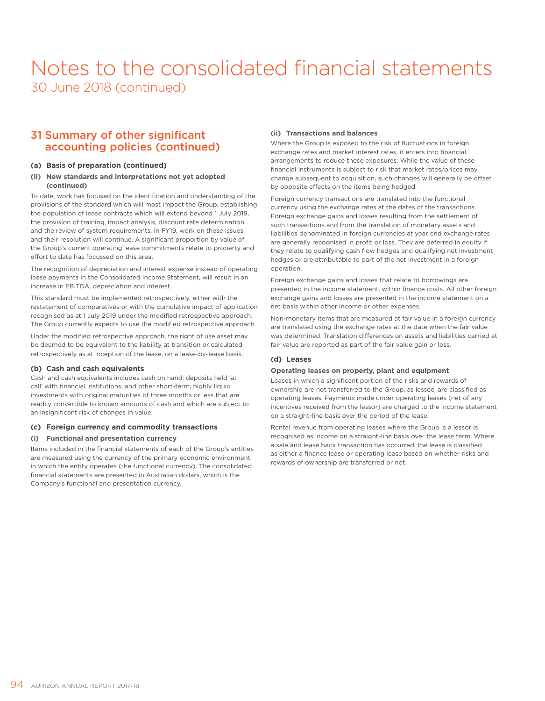### 31 Summary of other significant accounting policies (continued)

### **(a) Basis of preparation (continued)**

### **(ii) New standards and interpretations not yet adopted (continued)**

To date, work has focused on the identification and understanding of the provisions of the standard which will most impact the Group, establishing the population of lease contracts which will extend beyond 1 July 2019, the provision of training, impact analysis, discount rate determination and the review of system requirements. In FY19, work on these issues and their resolution will continue. A significant proportion by value of the Group's current operating lease commitments relate to property and effort to date has focussed on this area.

The recognition of depreciation and interest expense instead of operating lease payments in the Consolidated Income Statement, will result in an increase in EBITDA, depreciation and interest.

This standard must be implemented retrospectively, either with the restatement of comparatives or with the cumulative impact of application recognised as at 1 July 2019 under the modified retrospective approach. The Group currently expects to use the modified retrospective approach.

Under the modified retrospective approach, the right of use asset may be deemed to be equivalent to the liability at transition or calculated retrospectively as at inception of the lease, on a lease-by-lease basis.

### **(b) Cash and cash equivalents**

Cash and cash equivalents includes cash on hand; deposits held 'at call' with financial institutions; and other short-term, highly liquid investments with original maturities of three months or less that are readily convertible to known amounts of cash and which are subject to an insignificant risk of changes in value.

### **(c) Foreign currency and commodity transactions**

### **(i) Functional and presentation currency**

Items included in the financial statements of each of the Group's entities are measured using the currency of the primary economic environment in which the entity operates (the functional currency). The consolidated financial statements are presented in Australian dollars, which is the Company's functional and presentation currency.

### **(ii) Transactions and balances**

Where the Group is exposed to the risk of fluctuations in foreign exchange rates and market interest rates, it enters into financial arrangements to reduce these exposures. While the value of these financial instruments is subject to risk that market rates/prices may change subsequent to acquisition, such changes will generally be offset by opposite effects on the items being hedged.

Foreign currency transactions are translated into the functional currency using the exchange rates at the dates of the transactions. Foreign exchange gains and losses resulting from the settlement of such transactions and from the translation of monetary assets and liabilities denominated in foreign currencies at year end exchange rates are generally recognised in profit or loss. They are deferred in equity if they relate to qualifying cash flow hedges and qualifying net investment hedges or are attributable to part of the net investment in a foreign operation.

Foreign exchange gains and losses that relate to borrowings are presented in the income statement, within finance costs. All other foreign exchange gains and losses are presented in the income statement on a net basis within other income or other expenses.

Non-monetary items that are measured at fair value in a foreign currency are translated using the exchange rates at the date when the fair value was determined. Translation differences on assets and liabilities carried at fair value are reported as part of the fair value gain or loss.

### **(d) Leases**

#### **Operating leases on property, plant and equipment**

Leases in which a significant portion of the risks and rewards of ownership are not transferred to the Group, as lessee, are classified as operating leases. Payments made under operating leases (net of any incentives received from the lessor) are charged to the income statement on a straight-line basis over the period of the lease.

Rental revenue from operating leases where the Group is a lessor is recognised as income on a straight-line basis over the lease term. Where a sale and lease back transaction has occurred, the lease is classified as either a finance lease or operating lease based on whether risks and rewards of ownership are transferred or not.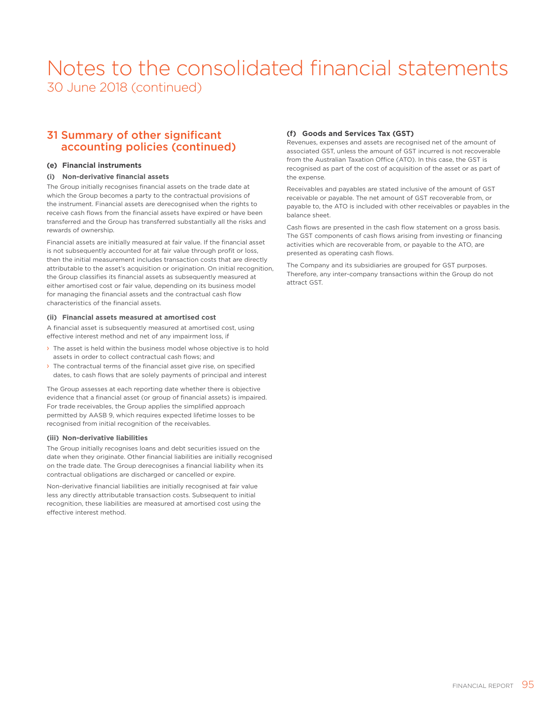### 31 Summary of other significant accounting policies (continued)

### **(e) Financial instruments**

### **(i) Non-derivative financial assets**

The Group initially recognises financial assets on the trade date at which the Group becomes a party to the contractual provisions of the instrument. Financial assets are derecognised when the rights to receive cash flows from the financial assets have expired or have been transferred and the Group has transferred substantially all the risks and rewards of ownership.

Financial assets are initially measured at fair value. If the financial asset is not subsequently accounted for at fair value through profit or loss, then the initial measurement includes transaction costs that are directly attributable to the asset's acquisition or origination. On initial recognition, the Group classifies its financial assets as subsequently measured at either amortised cost or fair value, depending on its business model for managing the financial assets and the contractual cash flow characteristics of the financial assets.

### **(ii) Financial assets measured at amortised cost**

A financial asset is subsequently measured at amortised cost, using effective interest method and net of any impairment loss, if

- › The asset is held within the business model whose objective is to hold assets in order to collect contractual cash flows; and
- › The contractual terms of the financial asset give rise, on specified dates, to cash flows that are solely payments of principal and interest

The Group assesses at each reporting date whether there is objective evidence that a financial asset (or group of financial assets) is impaired. For trade receivables, the Group applies the simplified approach permitted by AASB 9, which requires expected lifetime losses to be recognised from initial recognition of the receivables.

### **(iii) Non-derivative liabilities**

The Group initially recognises loans and debt securities issued on the date when they originate. Other financial liabilities are initially recognised on the trade date. The Group derecognises a financial liability when its contractual obligations are discharged or cancelled or expire.

Non-derivative financial liabilities are initially recognised at fair value less any directly attributable transaction costs. Subsequent to initial recognition, these liabilities are measured at amortised cost using the effective interest method.

### **(f) Goods and Services Tax (GST)**

Revenues, expenses and assets are recognised net of the amount of associated GST, unless the amount of GST incurred is not recoverable from the Australian Taxation Office (ATO). In this case, the GST is recognised as part of the cost of acquisition of the asset or as part of the expense.

Receivables and payables are stated inclusive of the amount of GST receivable or payable. The net amount of GST recoverable from, or payable to, the ATO is included with other receivables or payables in the balance sheet.

Cash flows are presented in the cash flow statement on a gross basis. The GST components of cash flows arising from investing or financing activities which are recoverable from, or payable to the ATO, are presented as operating cash flows.

The Company and its subsidiaries are grouped for GST purposes. Therefore, any inter-company transactions within the Group do not attract GST.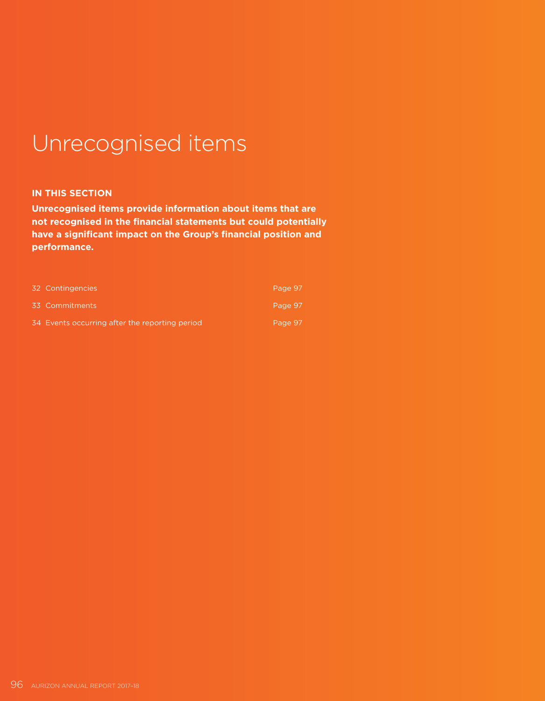# Unrecognised items

### **IN THIS SECTION**

**Unrecognised items provide information about items that are not recognised in the financial statements but could potentially have a significant impact on the Group's financial position and performance.**

| 32 Contingencies                               | Page 97 |
|------------------------------------------------|---------|
| 33 Commitments                                 | Page 97 |
| 34 Events occurring after the reporting period | Page 97 |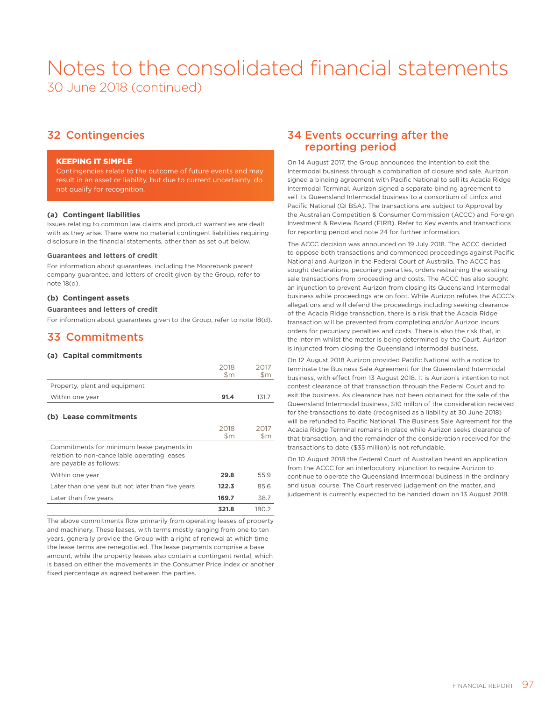### 32 Contingencies

### KEEPING IT SIMPLE

Contingencies relate to the outcome of future events and may result in an asset or liability, but due to current uncertainty, do not qualify for recognition.

### **(a) Contingent liabilities**

Issues relating to common law claims and product warranties are dealt with as they arise. There were no material contingent liabilities requiring disclosure in the financial statements, other than as set out below.

### **Guarantees and letters of credit**

For information about guarantees, including the Moorebank parent company guarantee, and letters of credit given by the Group, refer to note 18(d).

### **(b) Contingent assets**

### **Guarantees and letters of credit**

For information about guarantees given to the Group, refer to note 18(d).

### 33 Commitments

### **(a) Capital commitments**

|                                                                                                                      | 2018<br>$\mathsf{Sm}$ | 2017<br>\$m           |
|----------------------------------------------------------------------------------------------------------------------|-----------------------|-----------------------|
| Property, plant and equipment                                                                                        |                       |                       |
| Within one year                                                                                                      | 91.4                  | 131.7                 |
| (b) Lease commitments                                                                                                |                       |                       |
|                                                                                                                      | 2018<br>$\mathsf{Sm}$ | 2017<br>$\mathsf{Sm}$ |
| Commitments for minimum lease payments in<br>relation to non-cancellable operating leases<br>are payable as follows: |                       |                       |
| Within one year                                                                                                      | 29.8                  | 55.9                  |
| Later than one year but not later than five years                                                                    | 122.3                 | 85.6                  |
| Later than five years                                                                                                | 169.7                 | 38.7                  |
|                                                                                                                      | 321.8                 | 180.2                 |

The above commitments flow primarily from operating leases of property and machinery. These leases, with terms mostly ranging from one to ten years, generally provide the Group with a right of renewal at which time the lease terms are renegotiated. The lease payments comprise a base amount, while the property leases also contain a contingent rental, which is based on either the movements in the Consumer Price Index or another fixed percentage as agreed between the parties.

### 34 Events occurring after the reporting period

On 14 August 2017, the Group announced the intention to exit the Intermodal business through a combination of closure and sale. Aurizon signed a binding agreement with Pacific National to sell its Acacia Ridge Intermodal Terminal. Aurizon signed a separate binding agreement to sell its Queensland Intermodal business to a consortium of Linfox and Pacific National (QI BSA). The transactions are subject to Approval by the Australian Competition & Consumer Commission (ACCC) and Foreign Investment & Review Board (FIRB). Refer to Key events and transactions for reporting period and note 24 for further information.

The ACCC decision was announced on 19 July 2018. The ACCC decided to oppose both transactions and commenced proceedings against Pacific National and Aurizon in the Federal Court of Australia. The ACCC has sought declarations, pecuniary penalties, orders restraining the existing sale transactions from proceeding and costs. The ACCC has also sought an injunction to prevent Aurizon from closing its Queensland Intermodal business while proceedings are on foot. While Aurizon refutes the ACCC's allegations and will defend the proceedings including seeking clearance of the Acacia Ridge transaction, there is a risk that the Acacia Ridge transaction will be prevented from completing and/or Aurizon incurs orders for pecuniary penalties and costs. There is also the risk that, in the interim whilst the matter is being determined by the Court, Aurizon is injuncted from closing the Queensland Intermodal business.

On 12 August 2018 Aurizon provided Pacific National with a notice to terminate the Business Sale Agreement for the Queensland Intermodal business, with effect from 13 August 2018. It is Aurizon's intention to not contest clearance of that transaction through the Federal Court and to exit the business. As clearance has not been obtained for the sale of the Queensland Intermodal business, \$10 millon of the consideration received for the transactions to date (recognised as a liability at 30 June 2018) will be refunded to Pacific National. The Business Sale Agreement for the Acacia Ridge Terminal remains in place while Aurizon seeks clearance of that transaction, and the remainder of the consideration received for the transactions to date (\$35 million) is not refundable.

On 10 August 2018 the Federal Court of Australian heard an application from the ACCC for an interlocutory injunction to require Aurizon to continue to operate the Queensland Intermodal business in the ordinary and usual course. The Court reserved judgement on the matter, and judgement is currently expected to be handed down on 13 August 2018.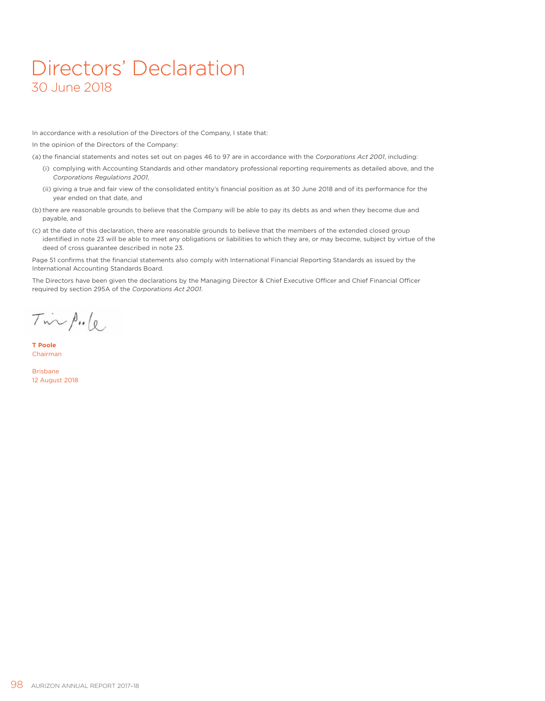## Directors' Declaration 30 June 2018

In accordance with a resolution of the Directors of the Company, I state that:

In the opinion of the Directors of the Company:

(a) the financial statements and notes set out on pages 46 to 97 are in accordance with the *Corporations Act 2001*, including:

- (i) complying with Accounting Standards and other mandatory professional reporting requirements as detailed above, and the *Corporations Regulations 2001*,
- (ii) giving a true and fair view of the consolidated entity's financial position as at 30 June 2018 and of its performance for the year ended on that date, and
- (b) there are reasonable grounds to believe that the Company will be able to pay its debts as and when they become due and payable, and
- (c) at the date of this declaration, there are reasonable grounds to believe that the members of the extended closed group identified in note 23 will be able to meet any obligations or liabilities to which they are, or may become, subject by virtue of the deed of cross guarantee described in note 23.

Page 51 confirms that the financial statements also comply with International Financial Reporting Standards as issued by the International Accounting Standards Board.

The Directors have been given the declarations by the Managing Director & Chief Executive Officer and Chief Financial Officer required by section 295A of the *Corporations Act 2001*.

 $T_{\text{inv}}$  p. le

**T Poole** Chairman

Brisbane 12 August 2018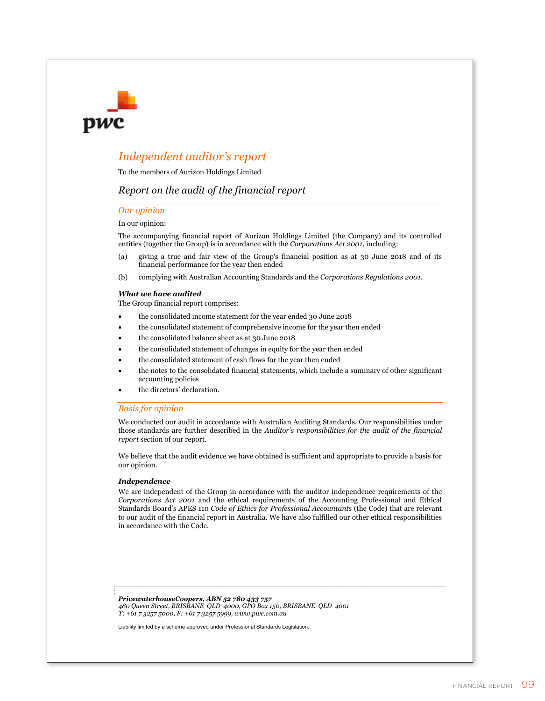### *Independent auditor's report*

To the members of Aurizon Holdings Limited

### *Report on the audit of the financial report*

### *Our opinion*

DWC

#### In our opinion:

The accompanying financial report of Aurizon Holdings Limited (the Company) and its controlled entities (together the Group) is in accordance with the *Corporations Act 2001*, including:

- (a) giving a true and fair view of the Group's financial position as at 30 June 2018 and of its financial performance for the year then ended
- (b) complying with Australian Accounting Standards and the *Corporations Regulations 2001*.

#### *What we have audited*

The Group financial report comprises:

- the consolidated income statement for the year ended 30 June 2018
- the consolidated statement of comprehensive income for the year then ended
- the consolidated balance sheet as at 30 June 2018
- the consolidated statement of changes in equity for the year then ended
- the consolidated statement of cash flows for the year then ended
- the notes to the consolidated financial statements, which include a summary of other significant accounting policies
- the directors' declaration.

### *Basis for opinion*

We conducted our audit in accordance with Australian Auditing Standards. Our responsibilities under those standards are further described in the *Auditor's responsibilities for the audit of the financial report* section of our report.

We believe that the audit evidence we have obtained is sufficient and appropriate to provide a basis for our opinion.

### *Independence*

We are independent of the Group in accordance with the auditor independence requirements of the *Corporations Act 2001* and the ethical requirements of the Accounting Professional and Ethical Standards Board's APES 110 *Code of Ethics for Professional Accountants* (the Code) that are relevant to our audit of the financial report in Australia. We have also fulfilled our other ethical responsibilities in accordance with the Code.

*PricewaterhouseCoopers, ABN 52 780 433 757 480 Queen Street, BRISBANE QLD 4000, GPO Box 150, BRISBANE QLD 4001 T: +61 7 3257 5000, F: +61 7 3257 5999, www.pwc.com.au* 

Liability limited by a scheme approved under Professional Standards Legislation.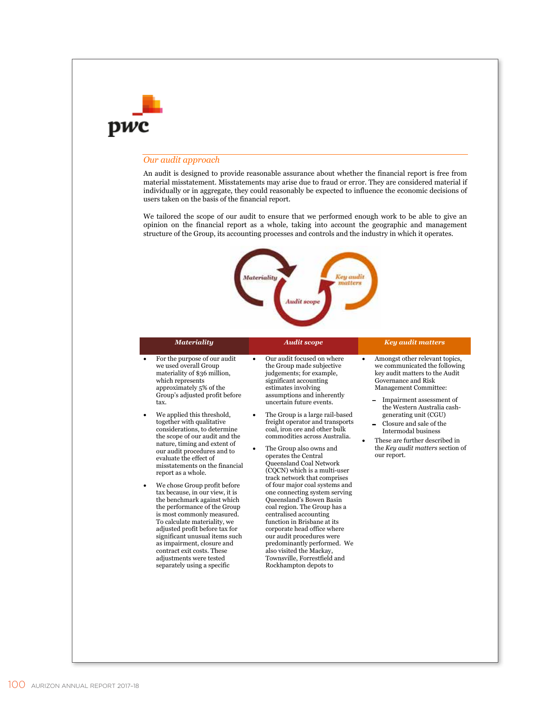### *Our audit approach*

adjustments were tested separately using a specific

An audit is designed to provide reasonable assurance about whether the financial report is free from material misstatement. Misstatements may arise due to fraud or error. They are considered material if individually or in aggregate, they could reasonably be expected to influence the economic decisions of users taken on the basis of the financial report.

We tailored the scope of our audit to ensure that we performed enough work to be able to give an opinion on the financial report as a whole, taking into account the geographic and management structure of the Group, its accounting processes and controls and the industry in which it operates.



#### *Materiality Audit scope Key audit matters*  For the purpose of our audit we used overall Group materiality of \$36 million, which represents approximately 5% of the Group's adjusted profit before tax. We applied this threshold, together with qualitative considerations, to determine the scope of our audit and the nature, timing and extent of our audit procedures and to evaluate the effect of misstatements on the financial report as a whole. We chose Group profit before tax because, in our view, it is the benchmark against which the performance of the Group is most commonly measured. To calculate materiality, we adjusted profit before tax for significant unusual items such as impairment, closure and contract exit costs. These Our audit focused on where the Group made subjective judgements; for example, significant accounting estimates involving assumptions and inherently uncertain future events. The Group is a large rail-based freight operator and transports coal, iron ore and other bulk commodities across Australia. The Group also owns and operates the Central Queensland Coal Network (CQCN) which is a multi-user track network that comprises of four major coal systems and one connecting system serving Queensland's Bowen Basin coal region. The Group has a centralised accounting function in Brisbane at its corporate head office where our audit procedures were predominantly performed. We also visited the Mackay, Amongst other relevant topics, we communicated the following key audit matters to the Audit Governance and Risk Management Committee: Impairment assessment of the Western Australia cashgenerating unit (CGU) Closure and sale of the Intermodal business These are further described in the *Key audit matters* section of our report.

Townsville, Forrestfield and Rockhampton depots to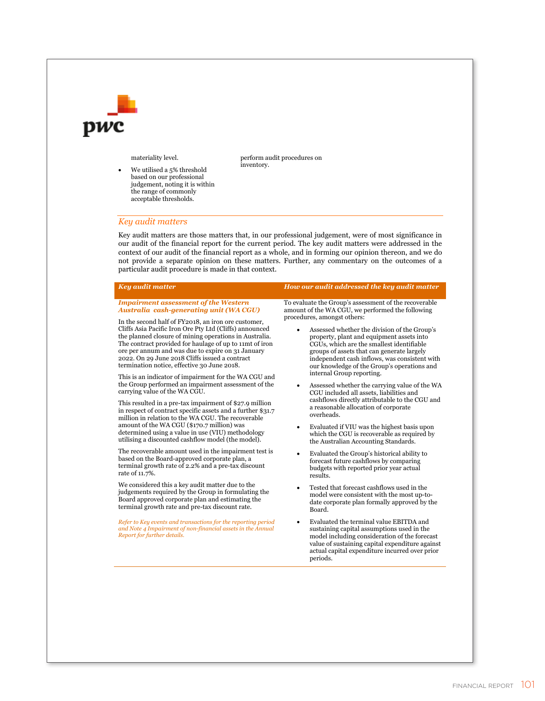

materiality level.

 We utilised a 5% threshold based on our professional judgement, noting it is within the range of commonly acceptable thresholds.

perform audit procedures on inventory.

### *Key audit matters*

Key audit matters are those matters that, in our professional judgement, were of most significance in our audit of the financial report for the current period. The key audit matters were addressed in the context of our audit of the financial report as a whole, and in forming our opinion thereon, and we do not provide a separate opinion on these matters. Further, any commentary on the outcomes of a particular audit procedure is made in that context.

| To evaluate the Group's assessment of the recoverable<br><b>Impairment assessment of the Western</b><br>Australia cash-generating unit (WA CGU)<br>amount of the WA CGU, we performed the following<br>procedures, amongst others:<br>In the second half of FY2018, an iron ore customer,<br>Cliffs Asia Pacific Iron Ore Pty Ltd (Cliffs) announced<br>Assessed whether the division of the Group's<br>$\bullet$<br>the planned closure of mining operations in Australia.<br>property, plant and equipment assets into<br>The contract provided for haulage of up to 11mt of iron<br>CGUs, which are the smallest identifiable<br>ore per annum and was due to expire on 31 January<br>groups of assets that can generate largely<br>2022. On 29 June 2018 Cliffs issued a contract<br>independent cash inflows, was consistent with<br>termination notice, effective 30 June 2018.<br>our knowledge of the Group's operations and<br>internal Group reporting.<br>This is an indicator of impairment for the WA CGU and<br>the Group performed an impairment assessment of the<br>Assessed whether the carrying value of the WA<br>$\bullet$<br>carrying value of the WA CGU.<br>CGU included all assets, liabilities and<br>cashflows directly attributable to the CGU and<br>This resulted in a pre-tax impairment of \$27.9 million<br>a reasonable allocation of corporate<br>in respect of contract specific assets and a further \$31.7<br>overheads.<br>million in relation to the WA CGU. The recoverable<br>amount of the WA CGU (\$170.7 million) was<br>Evaluated if VIU was the highest basis upon<br>$\bullet$<br>determined using a value in use (VIU) methodology<br>which the CGU is recoverable as required by<br>utilising a discounted cashflow model (the model).<br>the Australian Accounting Standards.<br>The recoverable amount used in the impairment test is<br>Evaluated the Group's historical ability to<br>based on the Board-approved corporate plan, a<br>forecast future cashflows by comparing<br>terminal growth rate of 2.2% and a pre-tax discount<br>budgets with reported prior year actual<br>rate of 11.7%.<br>results.<br>We considered this a key audit matter due to the<br>Tested that forecast cashflows used in the<br>٠<br>judgements required by the Group in formulating the<br>model were consistent with the most up-to-<br>Board approved corporate plan and estimating the<br>date corporate plan formally approved by the<br>terminal growth rate and pre-tax discount rate.<br>Board.<br>Evaluated the terminal value EBITDA and<br>Refer to Key events and transactions for the reporting period<br>and Note 4 Impairment of non-financial assets in the Annual<br>sustaining capital assumptions used in the<br>Report for further details.<br>model including consideration of the forecast<br>value of sustaining capital expenditure against | <b>Key audit matter</b> | How our audit addressed the key audit matter   |
|--------------------------------------------------------------------------------------------------------------------------------------------------------------------------------------------------------------------------------------------------------------------------------------------------------------------------------------------------------------------------------------------------------------------------------------------------------------------------------------------------------------------------------------------------------------------------------------------------------------------------------------------------------------------------------------------------------------------------------------------------------------------------------------------------------------------------------------------------------------------------------------------------------------------------------------------------------------------------------------------------------------------------------------------------------------------------------------------------------------------------------------------------------------------------------------------------------------------------------------------------------------------------------------------------------------------------------------------------------------------------------------------------------------------------------------------------------------------------------------------------------------------------------------------------------------------------------------------------------------------------------------------------------------------------------------------------------------------------------------------------------------------------------------------------------------------------------------------------------------------------------------------------------------------------------------------------------------------------------------------------------------------------------------------------------------------------------------------------------------------------------------------------------------------------------------------------------------------------------------------------------------------------------------------------------------------------------------------------------------------------------------------------------------------------------------------------------------------------------------------------------------------------------------------------------------------------------------------------------------------------------------------------------------------------------------------------------------------------------------------------------------------------------------------------------------------------------------------------------------------------------------------------------------|-------------------------|------------------------------------------------|
| periods.                                                                                                                                                                                                                                                                                                                                                                                                                                                                                                                                                                                                                                                                                                                                                                                                                                                                                                                                                                                                                                                                                                                                                                                                                                                                                                                                                                                                                                                                                                                                                                                                                                                                                                                                                                                                                                                                                                                                                                                                                                                                                                                                                                                                                                                                                                                                                                                                                                                                                                                                                                                                                                                                                                                                                                                                                                                                                                     |                         | actual capital expenditure incurred over prior |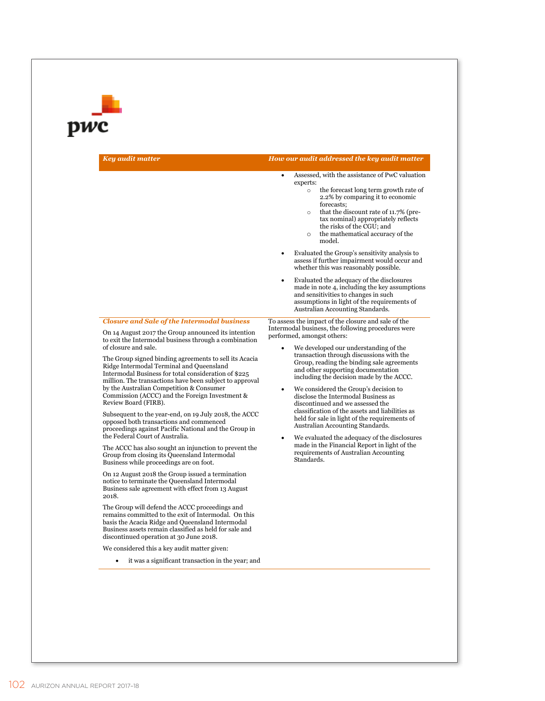# pwc

*Key audit matter How our audit addressed the key audit matter* 

|  |  |  | How our audit addressed the key audit matter <sub>l</sub> |  |
|--|--|--|-----------------------------------------------------------|--|
|--|--|--|-----------------------------------------------------------|--|

- Assessed, with the assistance of PwC valuation experts:
	- o the forecast long term growth rate of 2.2% by comparing it to economic forecasts;
	- o that the discount rate of 11.7% (pretax nominal) appropriately reflects the risks of the CGU; and
	- o the mathematical accuracy of the model.
- Evaluated the Group's sensitivity analysis to assess if further impairment would occur and whether this was reasonably possible.
- Evaluated the adequacy of the disclosures made in note 4, including the key assumptions and sensitivities to changes in such assumptions in light of the requirements of Australian Accounting Standards.

#### *Closure and Sale of the Intermodal business*

On 14 August 2017 the Group announced its intention to exit the Intermodal business through a combination of closure and sale.

The Group signed binding agreements to sell its Acacia Ridge Intermodal Terminal and Queensland Intermodal Business for total consideration of \$225 million. The transactions have been subject to approval by the Australian Competition & Consumer Commission (ACCC) and the Foreign Investment & Review Board (FIRB).

Subsequent to the year-end, on 19 July 2018, the ACCC opposed both transactions and commenced proceedings against Pacific National and the Group in the Federal Court of Australia.

The ACCC has also sought an injunction to prevent the Group from closing its Queensland Intermodal Business while proceedings are on foot.

On 12 August 2018 the Group issued a termination notice to terminate the Queensland Intermodal Business sale agreement with effect from 13 August 2018.

The Group will defend the ACCC proceedings and remains committed to the exit of Intermodal. On this basis the Acacia Ridge and Queensland Intermodal Business assets remain classified as held for sale and discontinued operation at 30 June 2018.

We considered this a key audit matter given:

it was a significant transaction in the year; and

To assess the impact of the closure and sale of the Intermodal business, the following procedures were performed, amongst others:

- We developed our understanding of the transaction through discussions with the Group, reading the binding sale agreements and other supporting documentation including the decision made by the ACCC.
- We considered the Group's decision to disclose the Intermodal Business as discontinued and we assessed the classification of the assets and liabilities as held for sale in light of the requirements of Australian Accounting Standards.
- We evaluated the adequacy of the disclosures made in the Financial Report in light of the requirements of Australian Accounting Standards.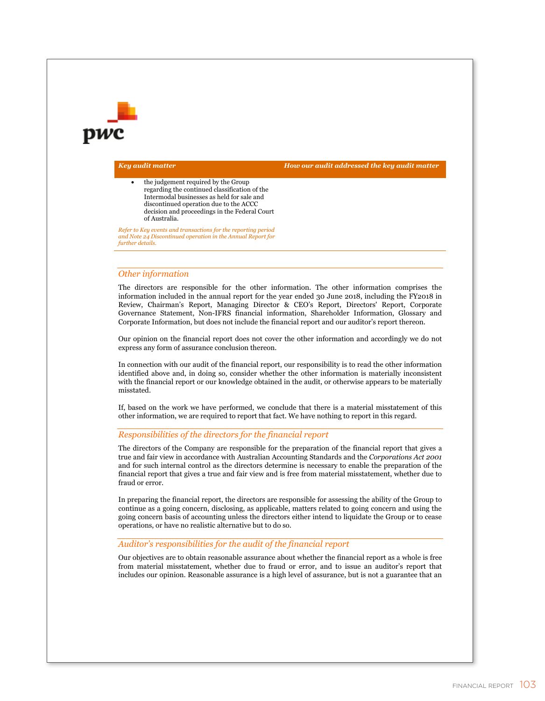*Key audit matter How our audit addressed the key audit matter* 

 the judgement required by the Group regarding the continued classification of the Intermodal businesses as held for sale and discontinued operation due to the ACCC decision and proceedings in the Federal Court of Australia.

*Refer to Key events and transactions for the reporting period and Note 24 Discontinued operation in the Annual Report for further details.* 

### *Other information*

The directors are responsible for the other information. The other information comprises the information included in the annual report for the year ended 30 June 2018, including the FY2018 in Review, Chairman's Report, Managing Director & CEO's Report, Directors' Report, Corporate Governance Statement, Non-IFRS financial information, Shareholder Information, Glossary and Corporate Information, but does not include the financial report and our auditor's report thereon.

Our opinion on the financial report does not cover the other information and accordingly we do not express any form of assurance conclusion thereon.

In connection with our audit of the financial report, our responsibility is to read the other information identified above and, in doing so, consider whether the other information is materially inconsistent with the financial report or our knowledge obtained in the audit, or otherwise appears to be materially misstated.

If, based on the work we have performed, we conclude that there is a material misstatement of this other information, we are required to report that fact. We have nothing to report in this regard.

### *Responsibilities of the directors for the financial report*

The directors of the Company are responsible for the preparation of the financial report that gives a true and fair view in accordance with Australian Accounting Standards and the *Corporations Act 2001* and for such internal control as the directors determine is necessary to enable the preparation of the financial report that gives a true and fair view and is free from material misstatement, whether due to fraud or error.

In preparing the financial report, the directors are responsible for assessing the ability of the Group to continue as a going concern, disclosing, as applicable, matters related to going concern and using the going concern basis of accounting unless the directors either intend to liquidate the Group or to cease operations, or have no realistic alternative but to do so.

### *Auditor's responsibilities for the audit of the financial report*

Our objectives are to obtain reasonable assurance about whether the financial report as a whole is free from material misstatement, whether due to fraud or error, and to issue an auditor's report that includes our opinion. Reasonable assurance is a high level of assurance, but is not a guarantee that an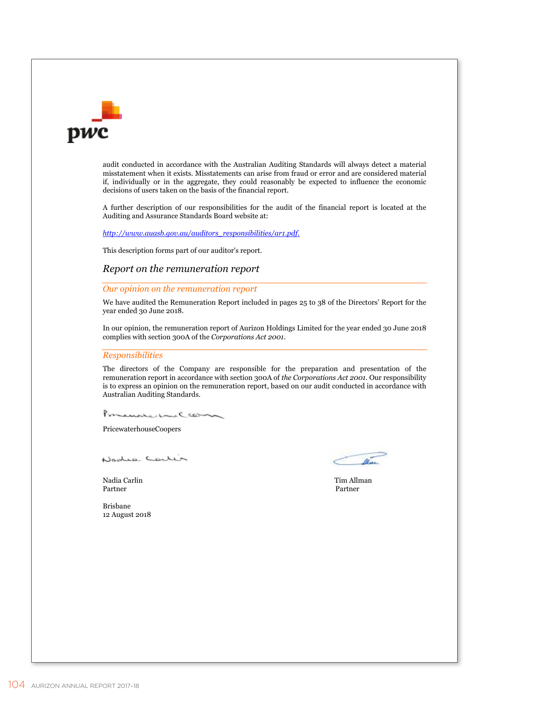

audit conducted in accordance with the Australian Auditing Standards will always detect a material misstatement when it exists. Misstatements can arise from fraud or error and are considered material if, individually or in the aggregate, they could reasonably be expected to influence the economic decisions of users taken on the basis of the financial report.

A further description of our responsibilities for the audit of the financial report is located at the Auditing and Assurance Standards Board website at:

*http://www.auasb.gov.au/auditors\_responsibilities/ar1.pdf.* 

This description forms part of our auditor's report.

### *Report on the remuneration report*

*Our opinion on the remuneration report* 

We have audited the Remuneration Report included in pages 25 to 38 of the Directors' Report for the year ended 30 June 2018.

In our opinion, the remuneration report of Aurizon Holdings Limited for the year ended 30 June 2018 complies with section 300A of the *Corporations Act 2001.*

### *Responsibilities*

The directors of the Company are responsible for the preparation and presentation of the remuneration report in accordance with section 300A of *the Corporations Act 2001*. Our responsibility is to express an opinion on the remuneration report, based on our audit conducted in accordance with Australian Auditing Standards.

PoncualedalCarn

PricewaterhouseCoopers

Nodro Contin

Nadia Carlin Tim Allman Partner

Partner

Brisbane 12 August 2018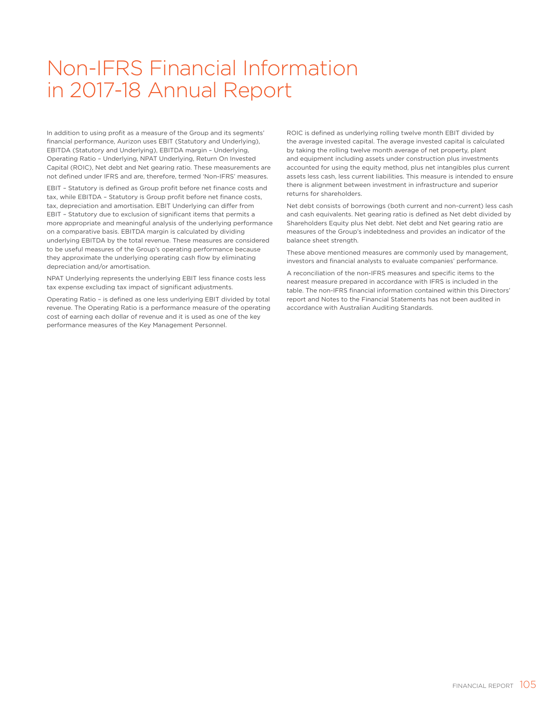## Non-IFRS Financial Information in 2017-18 Annual Report

In addition to using profit as a measure of the Group and its segments' financial performance, Aurizon uses EBIT (Statutory and Underlying), EBITDA (Statutory and Underlying), EBITDA margin – Underlying, Operating Ratio – Underlying, NPAT Underlying, Return On Invested Capital (ROIC), Net debt and Net gearing ratio. These measurements are not defined under IFRS and are, therefore, termed 'Non-IFRS' measures.

EBIT – Statutory is defined as Group profit before net finance costs and tax, while EBITDA – Statutory is Group profit before net finance costs, tax, depreciation and amortisation. EBIT Underlying can differ from EBIT – Statutory due to exclusion of significant items that permits a more appropriate and meaningful analysis of the underlying performance on a comparative basis. EBITDA margin is calculated by dividing underlying EBITDA by the total revenue. These measures are considered to be useful measures of the Group's operating performance because they approximate the underlying operating cash flow by eliminating depreciation and/or amortisation.

NPAT Underlying represents the underlying EBIT less finance costs less tax expense excluding tax impact of significant adjustments.

Operating Ratio – is defined as one less underlying EBIT divided by total revenue. The Operating Ratio is a performance measure of the operating cost of earning each dollar of revenue and it is used as one of the key performance measures of the Key Management Personnel.

ROIC is defined as underlying rolling twelve month EBIT divided by the average invested capital. The average invested capital is calculated by taking the rolling twelve month average of net property, plant and equipment including assets under construction plus investments accounted for using the equity method, plus net intangibles plus current assets less cash, less current liabilities. This measure is intended to ensure there is alignment between investment in infrastructure and superior returns for shareholders.

Net debt consists of borrowings (both current and non-current) less cash and cash equivalents. Net gearing ratio is defined as Net debt divided by Shareholders Equity plus Net debt. Net debt and Net gearing ratio are measures of the Group's indebtedness and provides an indicator of the balance sheet strength.

These above mentioned measures are commonly used by management, investors and financial analysts to evaluate companies' performance.

A reconciliation of the non-IFRS measures and specific items to the nearest measure prepared in accordance with IFRS is included in the table. The non-IFRS financial information contained within this Directors' report and Notes to the Financial Statements has not been audited in accordance with Australian Auditing Standards.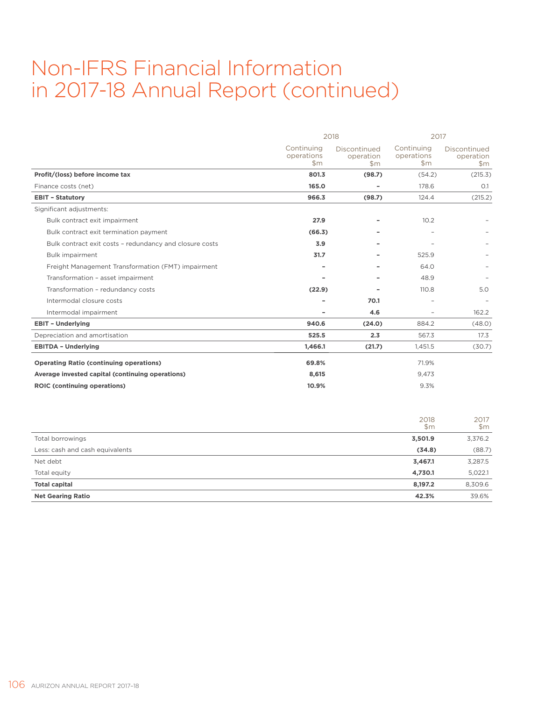## Non-IFRS Financial Information in 2017-18 Annual Report (continued)

|                                                         | 2018                              |                                  |                                           | 2017                               |  |
|---------------------------------------------------------|-----------------------------------|----------------------------------|-------------------------------------------|------------------------------------|--|
|                                                         | Continuing<br>operations<br>\$m\$ | Discontinued<br>operation<br>\$m | Continuing<br>operations<br>$\mathsf{Sm}$ | Discontinued<br>operation<br>\$m\$ |  |
| Profit/(loss) before income tax                         | 801.3                             | (98.7)                           | (54.2)                                    | (215.3)                            |  |
| Finance costs (net)                                     | 165.0                             | ٠                                | 178.6                                     | O.1                                |  |
| <b>EBIT - Statutory</b>                                 | 966.3                             | (98.7)                           | 124.4                                     | (215.2)                            |  |
| Significant adjustments:                                |                                   |                                  |                                           |                                    |  |
| Bulk contract exit impairment                           | 27.9                              |                                  | 10.2                                      |                                    |  |
| Bulk contract exit termination payment                  | (66.3)                            |                                  |                                           |                                    |  |
| Bulk contract exit costs - redundancy and closure costs | 3.9                               |                                  |                                           |                                    |  |
| Bulk impairment                                         | 31.7                              |                                  | 525.9                                     |                                    |  |
| Freight Management Transformation (FMT) impairment      |                                   |                                  | 64.0                                      |                                    |  |
| Transformation - asset impairment                       |                                   |                                  | 48.9                                      |                                    |  |
| Transformation - redundancy costs                       | (22.9)                            |                                  | 110.8                                     | 5.0                                |  |
| Intermodal closure costs                                |                                   | 70.1                             |                                           |                                    |  |
| Intermodal impairment                                   | ۰                                 | 4.6                              | $\overline{\phantom{a}}$                  | 162.2                              |  |
| <b>EBIT - Underlying</b>                                | 940.6                             | (24.0)                           | 884.2                                     | (48.0)                             |  |
| Depreciation and amortisation                           | 525.5                             | 2.3                              | 567.3                                     | 17.3                               |  |
| <b>EBITDA - Underlying</b>                              | 1,466.1                           | (21.7)                           | 1,451.5                                   | (30.7)                             |  |
| <b>Operating Ratio (continuing operations)</b>          | 69.8%                             |                                  | 71.9%                                     |                                    |  |
| Average invested capital (continuing operations)        | 8,615                             |                                  | 9,473                                     |                                    |  |
| <b>ROIC (continuing operations)</b>                     | 10.9%                             |                                  | 9.3%                                      |                                    |  |
|                                                         |                                   |                                  | 2018<br>\$m\$                             | 2017<br>\$m\$                      |  |
| Total borrowings                                        |                                   |                                  | 3,501.9                                   | 3,376.2                            |  |

| Less: cash and cash equivalents | (34.8)  | (88.7)  |
|---------------------------------|---------|---------|
| Net debt                        | 3,467.1 | 3,287.5 |
| Total equity                    | 4.730.1 | 5,022.1 |
| <b>Total capital</b>            | 8.197.2 | 8,309.6 |
| <b>Net Gearing Ratio</b>        | 42.3%   | 39.6%   |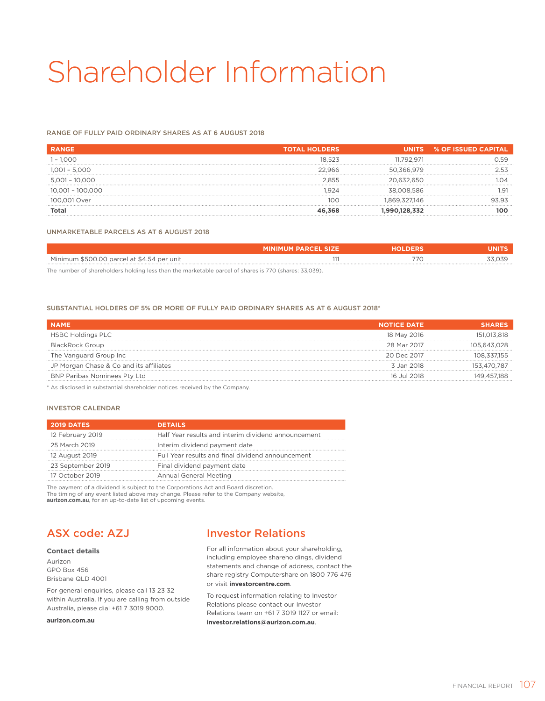# Shareholder Information

### RANGE OF FULLY PAID ORDINARY SHARES AS AT 6 AUGUST 2018

| <b>RANGE</b>       | <b>TOTAL HOLDERS</b> |              | UNITS % OF ISSUED CAPITAL |
|--------------------|----------------------|--------------|---------------------------|
| $1 - 1.000$        | 18.523               | 11.792.971   | 7 5 Q                     |
| $1,001 - 5,000$    | 22.966               | 50.366.979   | り らる                      |
| $5,001 - 10,000$   | 2.855                | 20 632 650   |                           |
| $10.001 - 100.000$ | .924                 | 38.008.586   |                           |
| 100.001 Over       | 100                  | .869.327.146 |                           |
| Total              |                      |              |                           |

### UNMARKETABLE PARCELS AS AT 6 AUGUST 2018

|                                            | <b>MINIMUM PARCEL SIZE</b> | LDERS. | лиг                |
|--------------------------------------------|----------------------------|--------|--------------------|
| Minimum \$500.00 parcel at \$4.54 per unit |                            |        | $Z$ $\cap$ $Z$ $C$ |
|                                            |                            |        |                    |

The number of shareholders holding less than the marketable parcel of shares is 770 (shares: 33,039).

#### SUBSTANTIAL HOLDERS OF 5% OR MORE OF FULLY PAID ORDINARY SHARES AS AT 6 AUGUST 2018\*

| <b>NAME</b>                             | <b>NOTICE DATE</b> |             |
|-----------------------------------------|--------------------|-------------|
| <b>HSBC Holdings PLC</b>                | 18 May 2016        | 151.013.818 |
| <b>BlackRock Group</b>                  | 28 Mar 2017        | 105.643.028 |
| The Vanguard Group Inc                  | 20 Dec 2017        | 108,337,155 |
| JP Morgan Chase & Co and its affiliates | 3 Jan 2018         | 153.470.787 |
| <b>BNP Paribas Nominees Pty Ltd</b>     | 16 Jul 2018        | 149.457.188 |

\* As disclosed in substantial shareholder notices received by the Company.

### INVESTOR CALENDAR

| <b>2019 DATES</b> | <b>DETAILS</b>                                      |
|-------------------|-----------------------------------------------------|
| 12 February 2019  | Half Year results and interim dividend announcement |
| 25 March 2019     | Interim dividend payment date                       |
| 12 August 2019    | Full Year results and final dividend announcement   |
| 23 September 2019 | Final dividend payment date                         |
| 17 October 2019   | Annual General Meeting                              |

The payment of a dividend is subject to the Corporations Act and Board discretion. The timing of any event listed above may change. Please refer to the Company website, **aurizon.com.au**, for an up-to-date list of upcoming events.

### ASX code: AZJ

#### **Contact details**

Aurizon GPO Box 456 Brisbane QLD 4001

For general enquiries, please call 13 23 32 within Australia. If you are calling from outside Australia, please dial +61 7 3019 9000.

**aurizon.com.au**

### Investor Relations

For all information about your shareholding, including employee shareholdings, dividend statements and change of address, contact the share registry Computershare on 1800 776 476 or visit **investorcentre.com**.

To request information relating to Investor Relations please contact our Investor Relations team on +61 7 3019 1127 or email: **investor.relations@aurizon.com.au**.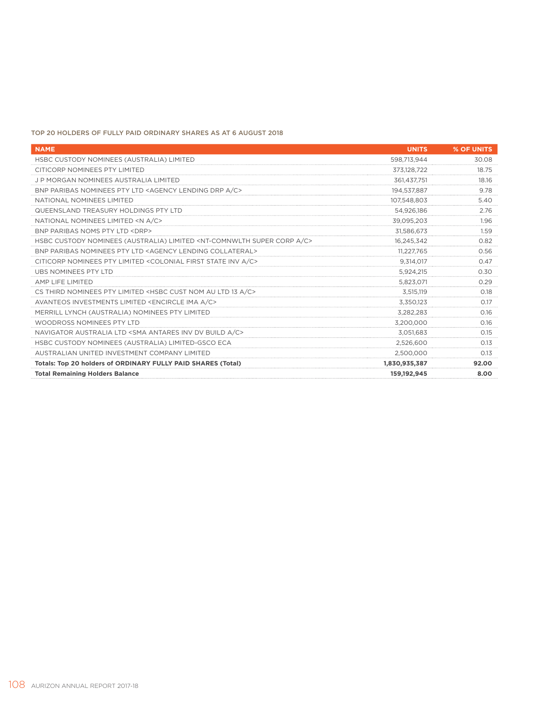### TOP 20 HOLDERS OF FULLY PAID ORDINARY SHARES AS AT 6 AUGUST 2018

| <b>NAME</b>                                                                                      | <b>UNITS</b>  | % OF UNITS |
|--------------------------------------------------------------------------------------------------|---------------|------------|
| HSBC CUSTODY NOMINEES (AUSTRALIA) LIMITED                                                        | 598,713,944   | 30.08      |
| CITICORP NOMINEES PTY LIMITED                                                                    | 373,128,722   | 18.75      |
| <b>JP MORGAN NOMINEES AUSTRALIA LIMITED</b>                                                      | 361,437,751   | 18.16      |
| BNP PARIBAS NOMINEES PTY LTD <agency a="" c="" drp="" lending=""></agency>                       | 194.537.887   | 9.78       |
| NATIONAL NOMINEES LIMITED                                                                        | 107,548,803   | 5.40       |
| QUEENSLAND TREASURY HOLDINGS PTY LTD                                                             | 54.926.186    | 2.76       |
| NATIONAL NOMINEES LIMITED <n a="" c=""></n>                                                      | 39,095,203    | 1.96       |
| BNP PARIBAS NOMS PTY LTD <drp></drp>                                                             | 31,586,673    | 1.59       |
| HSBC CUSTODY NOMINEES (AUSTRALIA) LIMITED <nt-comnwlth a="" c="" corp="" super=""></nt-comnwlth> | 16,245,342    | 0.82       |
| BNP PARIBAS NOMINEES PTY LTD <agency collateral="" lending=""></agency>                          | 11.227.765    | 0.56       |
| CITICORP NOMINEES PTY LIMITED <colonial a="" c="" first="" inv="" state=""></colonial>           | 9,314,017     | 0.47       |
| <b>UBS NOMINEES PTY LTD</b>                                                                      | 5,924,215     | 0.30       |
| AMP LIFE LIMITED                                                                                 | 5,823,071     | 0.29       |
| CS THIRD NOMINEES PTY LIMITED <hsbc 13="" a="" au="" c="" cust="" ltd="" nom=""></hsbc>          | 3,515,119     | 0.18       |
| AVANTEOS INVESTMENTS LIMITED <encircle a="" c="" ima=""></encircle>                              | 3,350,123     | 017        |
| MERRILL LYNCH (AUSTRALIA) NOMINEES PTY LIMITED                                                   | 3,282,283     | 0.16       |
| WOODROSS NOMINEES PTY LTD                                                                        | 3.200.000     | 0.16       |
| NAVIGATOR AUSTRALIA LTD <sma a="" antares="" build="" c="" dv="" inv=""></sma>                   | 3.051.683     | 0.15       |
| HSBC CUSTODY NOMINEES (AUSTRALIA) LIMITED-GSCO ECA                                               | 2,526,600     | 0.13       |
| AUSTRALIAN UNITED INVESTMENT COMPANY LIMITED                                                     | 2,500,000     | 0.13       |
| Totals: Top 20 holders of ORDINARY FULLY PAID SHARES (Total)                                     | 1,830,935,387 | 92.00      |
| <b>Total Remaining Holders Balance</b>                                                           | 159,192,945   | 8.00       |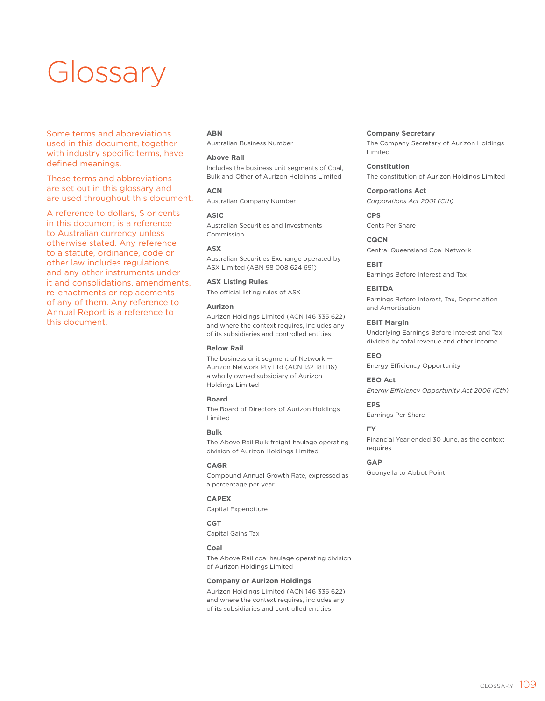# **Glossary**

Some terms and abbreviations used in this document, together with industry specific terms, have defined meanings.

These terms and abbreviations are set out in this glossary and are used throughout this document.

A reference to dollars, \$ or cents in this document is a reference to Australian currency unless otherwise stated. Any reference to a statute, ordinance, code or other law includes regulations and any other instruments under it and consolidations, amendments, re-enactments or replacements of any of them. Any reference to Annual Report is a reference to this document.

### **ABN**

Australian Business Number

### **Above Rail**

Includes the business unit segments of Coal, Bulk and Other of Aurizon Holdings Limited

**ACN** Australian Company Number

**ASIC** Australian Securities and Investments Commission

#### **ASX**

Australian Securities Exchange operated by ASX Limited (ABN 98 008 624 691)

**ASX Listing Rules** The official listing rules of ASX

### **Aurizon**

Aurizon Holdings Limited (ACN 146 335 622) and where the context requires, includes any of its subsidiaries and controlled entities

**Below Rail**

The business unit segment of Network — Aurizon Network Pty Ltd (ACN 132 181 116) a wholly owned subsidiary of Aurizon Holdings Limited

### **Board**

The Board of Directors of Aurizon Holdings Limited

### **Bulk**

The Above Rail Bulk freight haulage operating division of Aurizon Holdings Limited

### **CAGR**

Compound Annual Growth Rate, expressed as a percentage per year

### **CAPEX**

Capital Expenditure

**CGT** Capital Gains Tax

### **Coal**

The Above Rail coal haulage operating division of Aurizon Holdings Limited

#### **Company or Aurizon Holdings**

Aurizon Holdings Limited (ACN 146 335 622) and where the context requires, includes any of its subsidiaries and controlled entities

**Company Secretary** The Company Secretary of Aurizon Holdings Limited

**Constitution** The constitution of Aurizon Holdings Limited

**Corporations Act** *Corporations Act 2001 (Cth)*

**CPS** Cents Per Share

**CQCN** Central Queensland Coal Network

**EBIT** Earnings Before Interest and Tax

### **EBITDA**

Earnings Before Interest, Tax, Depreciation and Amortisation

### **EBIT Margin**

Underlying Earnings Before Interest and Tax divided by total revenue and other income

**EEO** Energy Efficiency Opportunity

**EEO Act** *Energy Efficiency Opportunity Act 2006 (Cth)*

### **EPS**

Earnings Per Share

### **FY**

Financial Year ended 30 June, as the context requires

### **GAP**

Goonyella to Abbot Point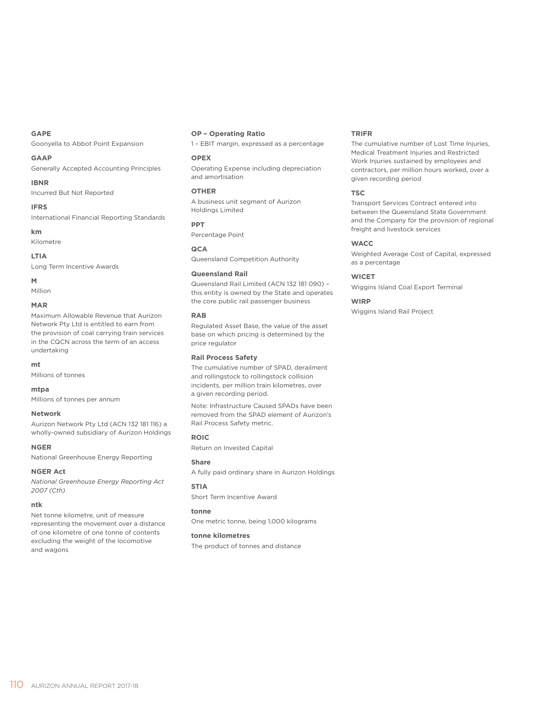### **GAPE**

Goonyella to Abbot Point Expansion

#### **GAAP**

Generally Accepted Accounting Principles

#### **IBNR**

Incurred But Not Reported

### **IFRS**

International Financial Reporting Standards

### **km**

Kilometre

### **LTIA**

Long Term Incentive Awards

### **M**

Million

### **MAR**

Maximum Allowable Revenue that Aurizon Network Pty Ltd is entitled to earn from the provision of coal carrying train services in the CQCN across the term of an access undertaking

#### **mt**

Millions of tonnes

#### **mtpa**

Millions of tonnes per annum

#### **Network**

Aurizon Network Pty Ltd (ACN 132 181 116) a wholly-owned subsidiary of Aurizon Holdings

#### **NGER**

National Greenhouse Energy Reporting

### **NGER Act**

*National Greenhouse Energy Reporting Act 2007 (Cth)*

### **ntk**

Net tonne kilometre, unit of measure representing the movement over a distance of one kilometre of one tonne of contents excluding the weight of the locomotive and wagons

### **OP – Operating Ratio**

1 – EBIT margin, expressed as a percentage

### **OPEX**

Operating Expense including depreciation and amortisation

### **OTHER**

A business unit segment of Aurizon Holdings Limited

### **PPT** Percentage Point

**QCA**

Queensland Competition Authority

### **Queensland Rail**

Queensland Rail Limited (ACN 132 181 090) – this entity is owned by the State and operates the core public rail passenger business

#### **RAB**

Regulated Asset Base, the value of the asset base on which pricing is determined by the price regulator

### **Rail Process Safety**

The cumulative number of SPAD, derailment and rollingstock to rollingstock collision incidents, per million train kilometres, over a given recording period.

Note: Infrastructure Caused SPADs have been removed from the SPAD element of Aurizon's Rail Process Safety metric.

#### **ROIC**

Return on Invested Capital

#### **Share**

A fully paid ordinary share in Aurizon Holdings

### **STIA**

Short Term Incentive Award

### **tonne**

One metric tonne, being 1,000 kilograms

### **tonne kilometres**

The product of tonnes and distance

### **TRIFR**

The cumulative number of Lost Time Injuries, Medical Treatment Injuries and Restricted Work Injuries sustained by employees and contractors, per million hours worked, over a given recording period

### **TSC**

Transport Services Contract entered into between the Queensland State Government and the Company for the provision of regional freight and livestock services

### **WACC**

Weighted Average Cost of Capital, expressed as a percentage

### **WICET**

Wiggins Island Coal Export Terminal

### **WIRP**

Wiggins Island Rail Project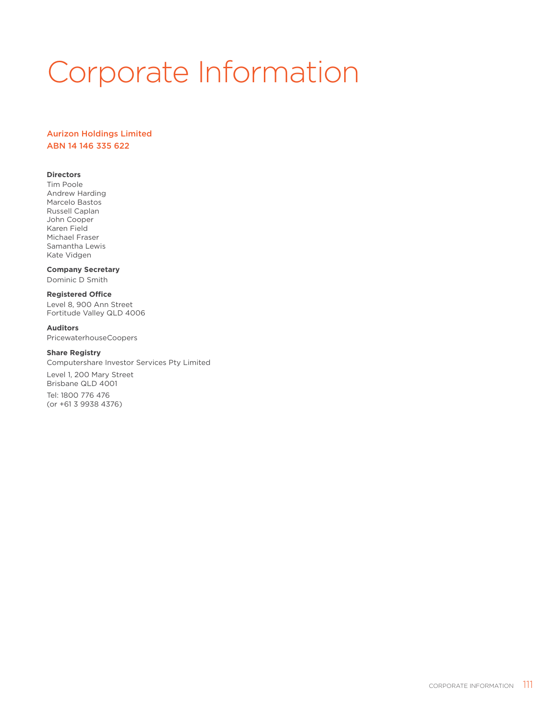# Corporate Information

### Aurizon Holdings Limited ABN 14 146 335 622

### **Directors**

Tim Poole Andrew Harding Marcelo Bastos Russell Caplan John Cooper Karen Field Michael Fraser Samantha Lewis Kate Vidgen

### **Company Secretary**

Dominic D Smith

### **Registered Office**

Level 8, 900 Ann Street Fortitude Valley QLD 4006

### **Auditors**

PricewaterhouseCoopers

### **Share Registry**

Computershare Investor Services Pty Limited

Level 1, 200 Mary Street Brisbane QLD 4001

Tel: 1800 776 476 (or +61 3 9938 4376)